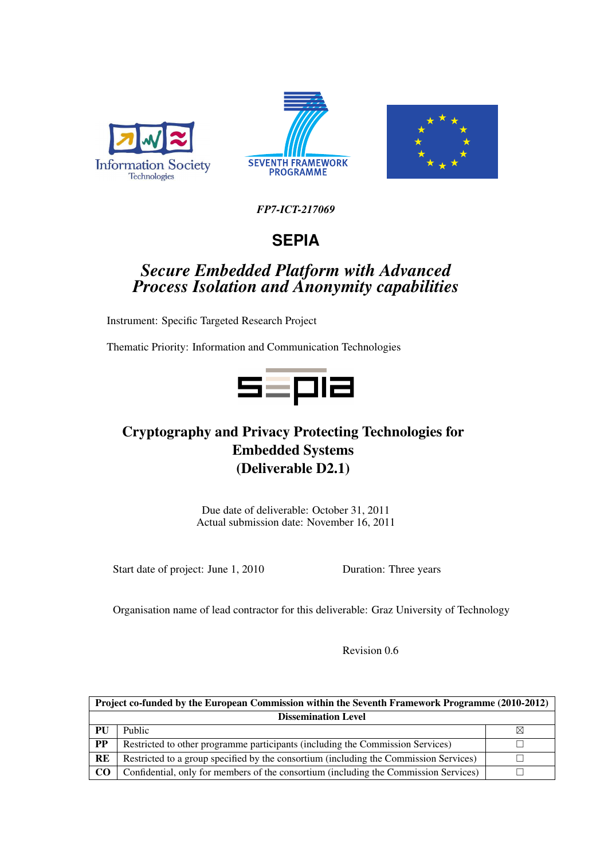





*FP7-ICT-217069*

# **SEPIA**

# *Secure Embedded Platform with Advanced Process Isolation and Anonymity capabilities*

Instrument: Specific Targeted Research Project

Thematic Priority: Information and Communication Technologies



## Cryptography and Privacy Protecting Technologies for Embedded Systems (Deliverable D2.1)

Due date of deliverable: October 31, 2011 Actual submission date: November 16, 2011

Start date of project: June 1, 2010 Duration: Three years

Organisation name of lead contractor for this deliverable: Graz University of Technology

Revision 0.6

| Project co-funded by the European Commission within the Seventh Framework Programme (2010-2012) |                                                                                       |   |  |  |  |
|-------------------------------------------------------------------------------------------------|---------------------------------------------------------------------------------------|---|--|--|--|
|                                                                                                 | <b>Dissemination Level</b>                                                            |   |  |  |  |
| PU                                                                                              | Public                                                                                | ⋈ |  |  |  |
| PP                                                                                              | Restricted to other programme participants (including the Commission Services)        |   |  |  |  |
| RE                                                                                              | Restricted to a group specified by the consortium (including the Commission Services) |   |  |  |  |
| $\bf CO$                                                                                        | Confidential, only for members of the consortium (including the Commission Services)  |   |  |  |  |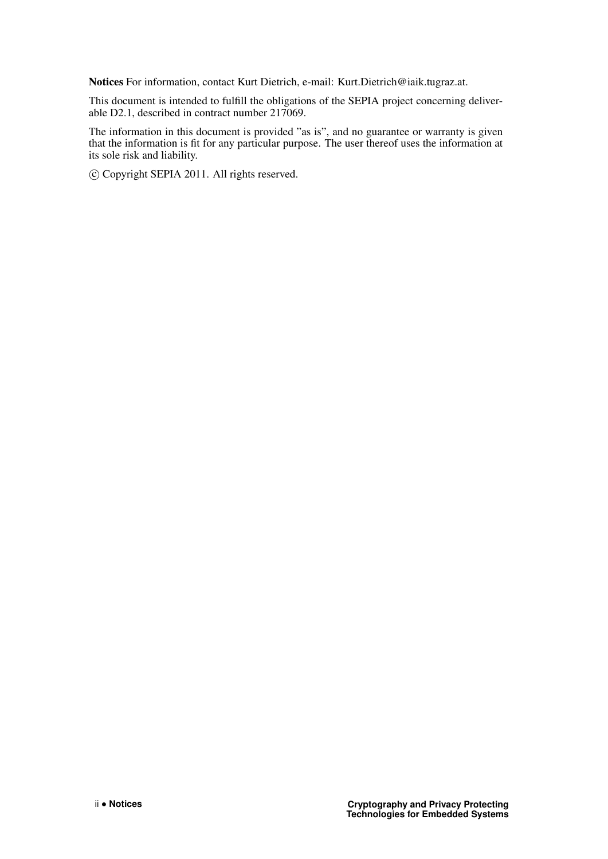Notices For information, contact Kurt Dietrich, e-mail: Kurt.Dietrich@iaik.tugraz.at.

This document is intended to fulfill the obligations of the SEPIA project concerning deliverable D2.1, described in contract number 217069.

The information in this document is provided "as is", and no guarantee or warranty is given that the information is fit for any particular purpose. The user thereof uses the information at its sole risk and liability.

c Copyright SEPIA 2011. All rights reserved.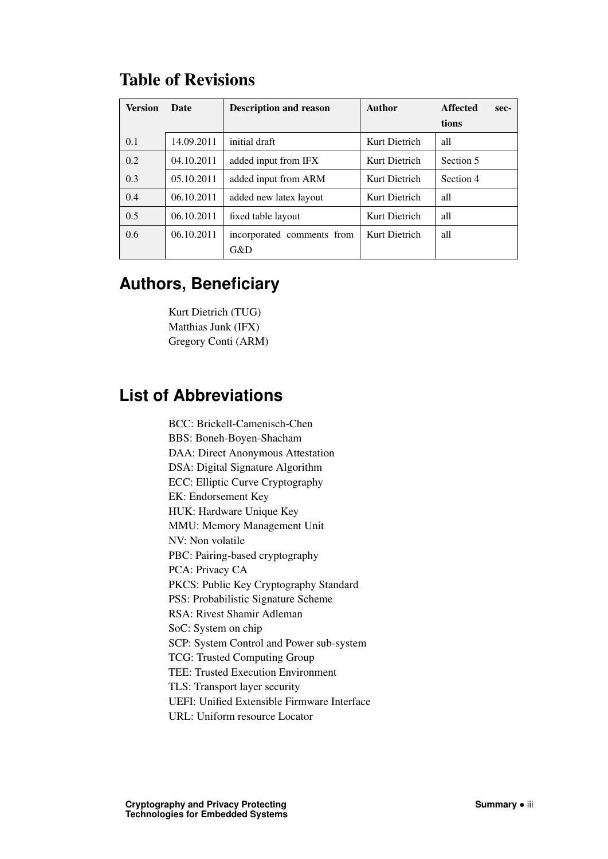| <b>Version</b> | <b>Date</b> | <b>Description and reason</b> | <b>Author</b> | <b>Affected</b><br>sec-<br>tions |
|----------------|-------------|-------------------------------|---------------|----------------------------------|
| 0.1            | 14.09.2011  | initial draft                 | Kurt Dietrich | all                              |
| 0.2            | 04.10.2011  | added input from IFX          | Kurt Dietrich | Section 5                        |
| 0.3            | 05.10.2011  | added input from ARM          | Kurt Dietrich | Section 4                        |
| 0.4            | 06.10.2011  | added new latex layout        | Kurt Dietrich | all                              |
| 0.5            | 06.10.2011  | fixed table layout            | Kurt Dietrich | all                              |
| 0.6            | 06.10.2011  | incorporated comments from    | Kurt Dietrich | all                              |
|                |             | G&D                           |               |                                  |

# Table of Revisions

# **Authors, Beneficiary**

Kurt Dietrich (TUG) Matthias Junk (IFX) Gregory Conti (ARM)

# **List of Abbreviations**

BCC: Brickell-Camenisch-Chen BBS: Boneh-Boyen-Shacham DAA: Direct Anonymous Attestation DSA: Digital Signature Algorithm ECC: Elliptic Curve Cryptography EK: Endorsement Key HUK: Hardware Unique Key MMU: Memory Management Unit NV: Non volatile PBC: Pairing-based cryptography PCA: Privacy CA PKCS: Public Key Cryptography Standard PSS: Probabilistic Signature Scheme RSA: Rivest Shamir Adleman SoC: System on chip SCP: System Control and Power sub-system TCG: Trusted Computing Group TEE: Trusted Execution Environment TLS: Transport layer security UEFI: Unified Extensible Firmware Interface URL: Uniform resource Locator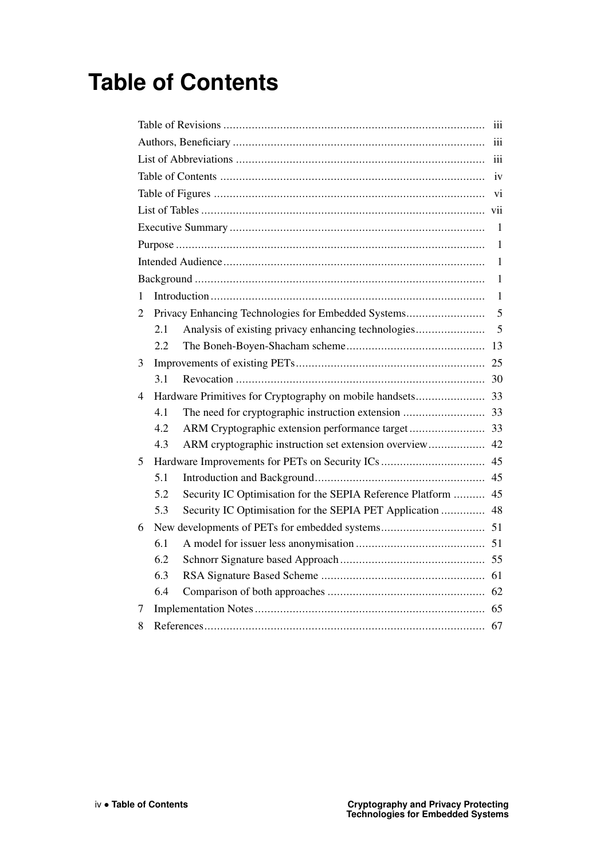# **Table of Contents**

|   |     |                                                               | iii          |
|---|-----|---------------------------------------------------------------|--------------|
|   |     |                                                               | iii          |
|   |     |                                                               | iii          |
|   |     |                                                               | iv           |
|   |     |                                                               | vi           |
|   |     |                                                               |              |
|   |     |                                                               | 1            |
|   |     |                                                               | 1            |
|   |     |                                                               | 1            |
|   |     |                                                               | 1            |
| 1 |     |                                                               | $\mathbf{1}$ |
| 2 |     | Privacy Enhancing Technologies for Embedded Systems           | 5            |
|   | 2.1 | Analysis of existing privacy enhancing technologies           | 5            |
|   | 2.2 |                                                               | 13           |
| 3 |     |                                                               |              |
|   | 3.1 |                                                               |              |
| 4 |     |                                                               |              |
|   | 4.1 |                                                               |              |
|   | 4.2 |                                                               |              |
|   | 4.3 | ARM cryptographic instruction set extension overview 42       |              |
| 5 |     |                                                               |              |
|   | 5.1 |                                                               |              |
|   | 5.2 | Security IC Optimisation for the SEPIA Reference Platform  45 |              |
|   | 5.3 | Security IC Optimisation for the SEPIA PET Application  48    |              |
| 6 |     |                                                               |              |
|   | 6.1 |                                                               |              |
|   | 6.2 |                                                               |              |
|   | 6.3 |                                                               |              |
|   | 6.4 |                                                               |              |
| 7 |     |                                                               |              |
| 8 |     |                                                               |              |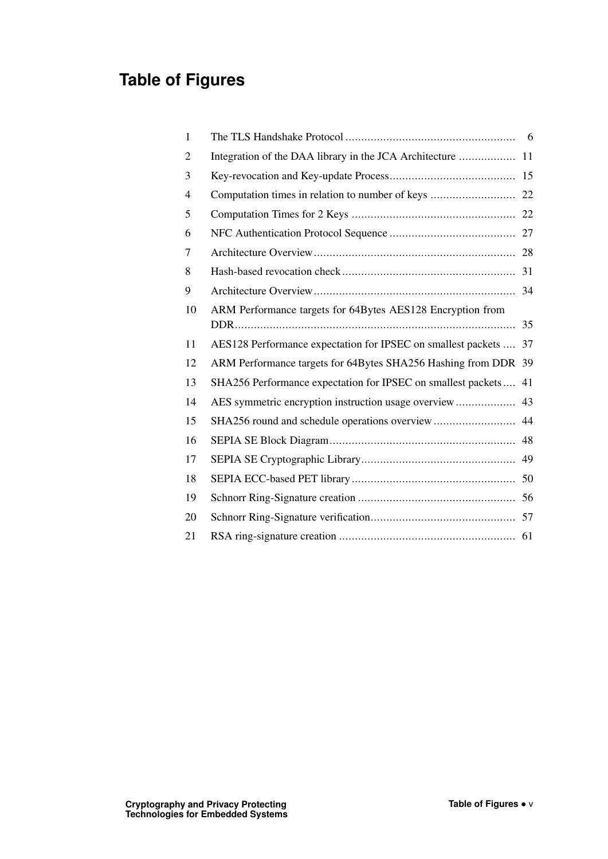# **Table of Figures**

| $\mathbf{1}$   |                                                                  |    |
|----------------|------------------------------------------------------------------|----|
| $\overline{2}$ | Integration of the DAA library in the JCA Architecture  11       |    |
| 3              |                                                                  |    |
| $\overline{4}$ |                                                                  |    |
| 5              |                                                                  |    |
| 6              |                                                                  |    |
| 7              |                                                                  |    |
| 8              |                                                                  |    |
| 9              |                                                                  |    |
| 10             | ARM Performance targets for 64Bytes AES128 Encryption from       | 35 |
| 11             | AES128 Performance expectation for IPSEC on smallest packets  37 |    |
| 12             | ARM Performance targets for 64Bytes SHA256 Hashing from DDR 39   |    |
| 13             | SHA256 Performance expectation for IPSEC on smallest packets 41  |    |
| 14             |                                                                  | 43 |
| 15             | SHA256 round and schedule operations overview  44                |    |
| 16             |                                                                  |    |
| 17             |                                                                  |    |
| 18             |                                                                  |    |
| 19             |                                                                  |    |
| 20             |                                                                  |    |
| 21             |                                                                  |    |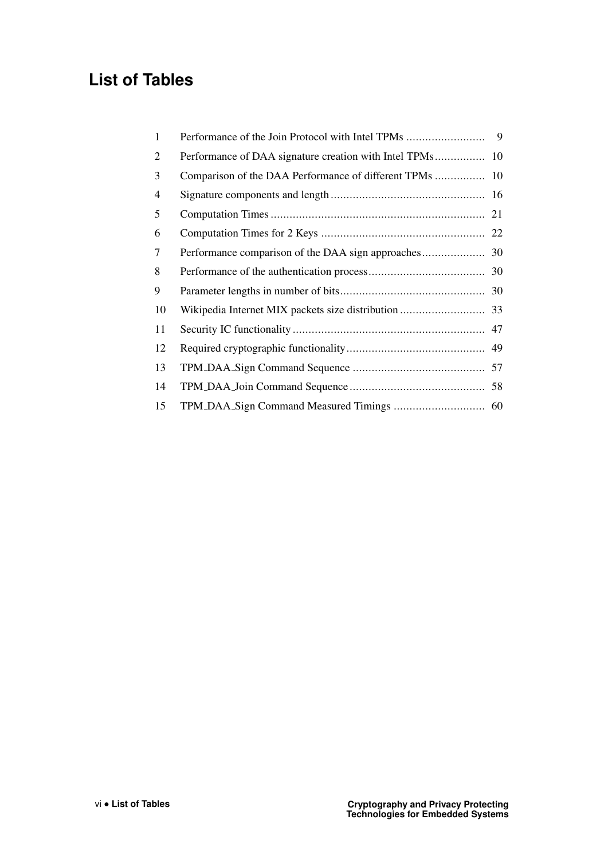# **List of Tables**

| 1  | Performance of the Join Protocol with Intel TPMs    | 9  |
|----|-----------------------------------------------------|----|
| 2  |                                                     |    |
| 3  | Comparison of the DAA Performance of different TPMs | 10 |
| 4  |                                                     |    |
| 5  |                                                     |    |
| 6  |                                                     |    |
| 7  |                                                     |    |
| 8  |                                                     |    |
| 9  |                                                     |    |
| 10 |                                                     |    |
| 11 |                                                     |    |
| 12 |                                                     |    |
| 13 |                                                     |    |
| 14 |                                                     |    |
| 15 |                                                     |    |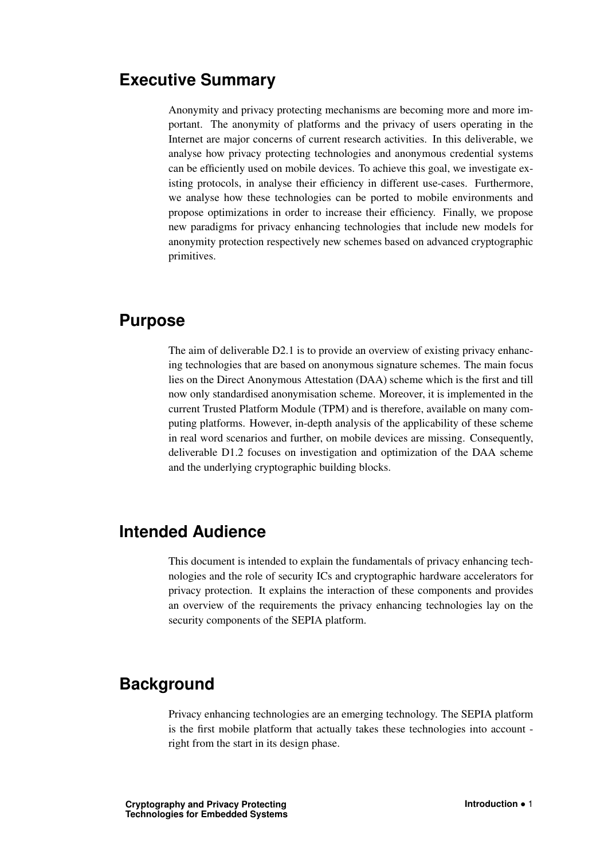## **Executive Summary**

Anonymity and privacy protecting mechanisms are becoming more and more important. The anonymity of platforms and the privacy of users operating in the Internet are major concerns of current research activities. In this deliverable, we analyse how privacy protecting technologies and anonymous credential systems can be efficiently used on mobile devices. To achieve this goal, we investigate existing protocols, in analyse their efficiency in different use-cases. Furthermore, we analyse how these technologies can be ported to mobile environments and propose optimizations in order to increase their efficiency. Finally, we propose new paradigms for privacy enhancing technologies that include new models for anonymity protection respectively new schemes based on advanced cryptographic primitives.

## **Purpose**

The aim of deliverable D2.1 is to provide an overview of existing privacy enhancing technologies that are based on anonymous signature schemes. The main focus lies on the Direct Anonymous Attestation (DAA) scheme which is the first and till now only standardised anonymisation scheme. Moreover, it is implemented in the current Trusted Platform Module (TPM) and is therefore, available on many computing platforms. However, in-depth analysis of the applicability of these scheme in real word scenarios and further, on mobile devices are missing. Consequently, deliverable D1.2 focuses on investigation and optimization of the DAA scheme and the underlying cryptographic building blocks.

# **Intended Audience**

This document is intended to explain the fundamentals of privacy enhancing technologies and the role of security ICs and cryptographic hardware accelerators for privacy protection. It explains the interaction of these components and provides an overview of the requirements the privacy enhancing technologies lay on the security components of the SEPIA platform.

## **Background**

Privacy enhancing technologies are an emerging technology. The SEPIA platform is the first mobile platform that actually takes these technologies into account right from the start in its design phase.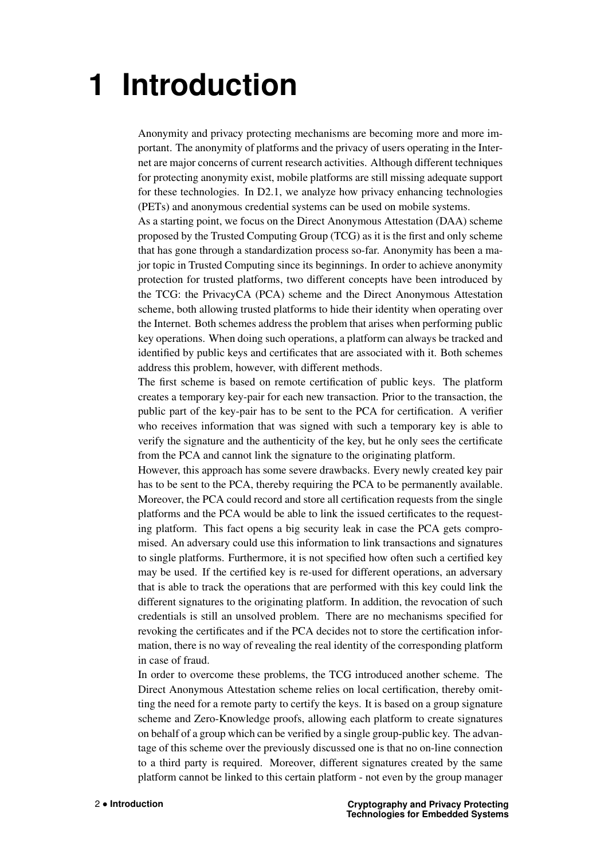# **1 Introduction**

Anonymity and privacy protecting mechanisms are becoming more and more important. The anonymity of platforms and the privacy of users operating in the Internet are major concerns of current research activities. Although different techniques for protecting anonymity exist, mobile platforms are still missing adequate support for these technologies. In D2.1, we analyze how privacy enhancing technologies (PETs) and anonymous credential systems can be used on mobile systems.

As a starting point, we focus on the Direct Anonymous Attestation (DAA) scheme proposed by the Trusted Computing Group (TCG) as it is the first and only scheme that has gone through a standardization process so-far. Anonymity has been a major topic in Trusted Computing since its beginnings. In order to achieve anonymity protection for trusted platforms, two different concepts have been introduced by the TCG: the PrivacyCA (PCA) scheme and the Direct Anonymous Attestation scheme, both allowing trusted platforms to hide their identity when operating over the Internet. Both schemes address the problem that arises when performing public key operations. When doing such operations, a platform can always be tracked and identified by public keys and certificates that are associated with it. Both schemes address this problem, however, with different methods.

The first scheme is based on remote certification of public keys. The platform creates a temporary key-pair for each new transaction. Prior to the transaction, the public part of the key-pair has to be sent to the PCA for certification. A verifier who receives information that was signed with such a temporary key is able to verify the signature and the authenticity of the key, but he only sees the certificate from the PCA and cannot link the signature to the originating platform.

However, this approach has some severe drawbacks. Every newly created key pair has to be sent to the PCA, thereby requiring the PCA to be permanently available. Moreover, the PCA could record and store all certification requests from the single platforms and the PCA would be able to link the issued certificates to the requesting platform. This fact opens a big security leak in case the PCA gets compromised. An adversary could use this information to link transactions and signatures to single platforms. Furthermore, it is not specified how often such a certified key may be used. If the certified key is re-used for different operations, an adversary that is able to track the operations that are performed with this key could link the different signatures to the originating platform. In addition, the revocation of such credentials is still an unsolved problem. There are no mechanisms specified for revoking the certificates and if the PCA decides not to store the certification information, there is no way of revealing the real identity of the corresponding platform in case of fraud.

In order to overcome these problems, the TCG introduced another scheme. The Direct Anonymous Attestation scheme relies on local certification, thereby omitting the need for a remote party to certify the keys. It is based on a group signature scheme and Zero-Knowledge proofs, allowing each platform to create signatures on behalf of a group which can be verified by a single group-public key. The advantage of this scheme over the previously discussed one is that no on-line connection to a third party is required. Moreover, different signatures created by the same platform cannot be linked to this certain platform - not even by the group manager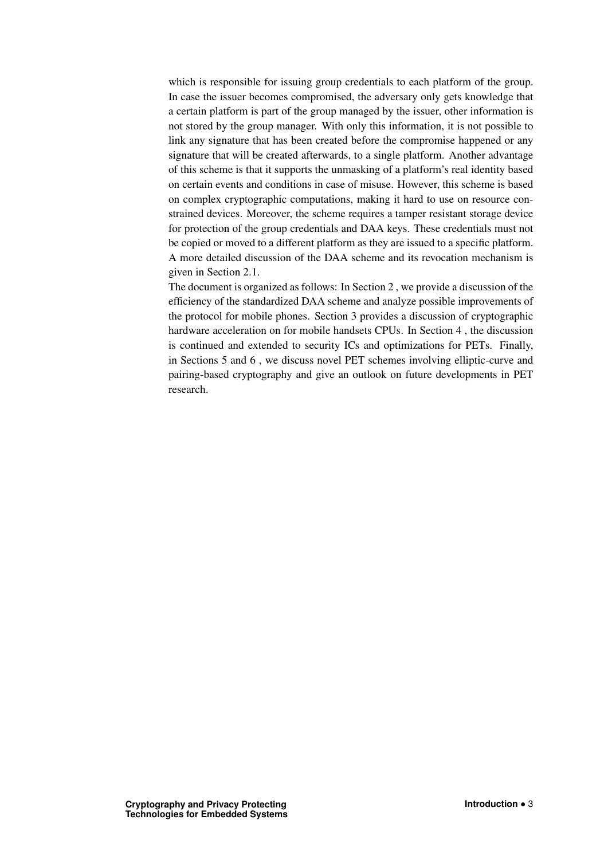which is responsible for issuing group credentials to each platform of the group. In case the issuer becomes compromised, the adversary only gets knowledge that a certain platform is part of the group managed by the issuer, other information is not stored by the group manager. With only this information, it is not possible to link any signature that has been created before the compromise happened or any signature that will be created afterwards, to a single platform. Another advantage of this scheme is that it supports the unmasking of a platform's real identity based on certain events and conditions in case of misuse. However, this scheme is based on complex cryptographic computations, making it hard to use on resource constrained devices. Moreover, the scheme requires a tamper resistant storage device for protection of the group credentials and DAA keys. These credentials must not be copied or moved to a different platform as they are issued to a specific platform. A more detailed discussion of the DAA scheme and its revocation mechanism is given in Section 2.1.

The document is organized as follows: In Section 2 , we provide a discussion of the efficiency of the standardized DAA scheme and analyze possible improvements of the protocol for mobile phones. Section 3 provides a discussion of cryptographic hardware acceleration on for mobile handsets CPUs. In Section 4 , the discussion is continued and extended to security ICs and optimizations for PETs. Finally, in Sections 5 and 6 , we discuss novel PET schemes involving elliptic-curve and pairing-based cryptography and give an outlook on future developments in PET research.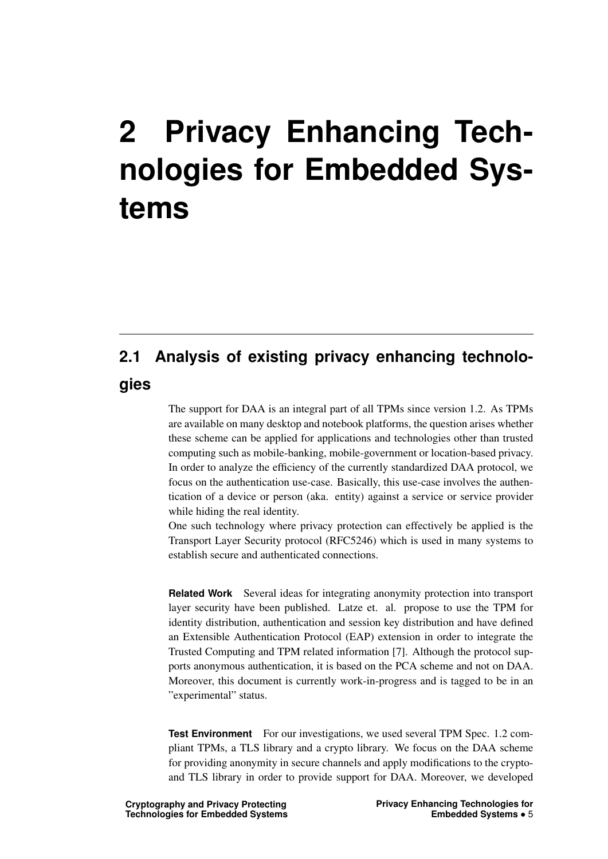# **2 Privacy Enhancing Technologies for Embedded Systems**

# **2.1 Analysis of existing privacy enhancing technologies**

The support for DAA is an integral part of all TPMs since version 1.2. As TPMs are available on many desktop and notebook platforms, the question arises whether these scheme can be applied for applications and technologies other than trusted computing such as mobile-banking, mobile-government or location-based privacy. In order to analyze the efficiency of the currently standardized DAA protocol, we focus on the authentication use-case. Basically, this use-case involves the authentication of a device or person (aka. entity) against a service or service provider while hiding the real identity.

One such technology where privacy protection can effectively be applied is the Transport Layer Security protocol (RFC5246) which is used in many systems to establish secure and authenticated connections.

**Related Work** Several ideas for integrating anonymity protection into transport layer security have been published. Latze et. al. propose to use the TPM for identity distribution, authentication and session key distribution and have defined an Extensible Authentication Protocol (EAP) extension in order to integrate the Trusted Computing and TPM related information [7]. Although the protocol supports anonymous authentication, it is based on the PCA scheme and not on DAA. Moreover, this document is currently work-in-progress and is tagged to be in an "experimental" status.

**Test Environment** For our investigations, we used several TPM Spec. 1.2 compliant TPMs, a TLS library and a crypto library. We focus on the DAA scheme for providing anonymity in secure channels and apply modifications to the cryptoand TLS library in order to provide support for DAA. Moreover, we developed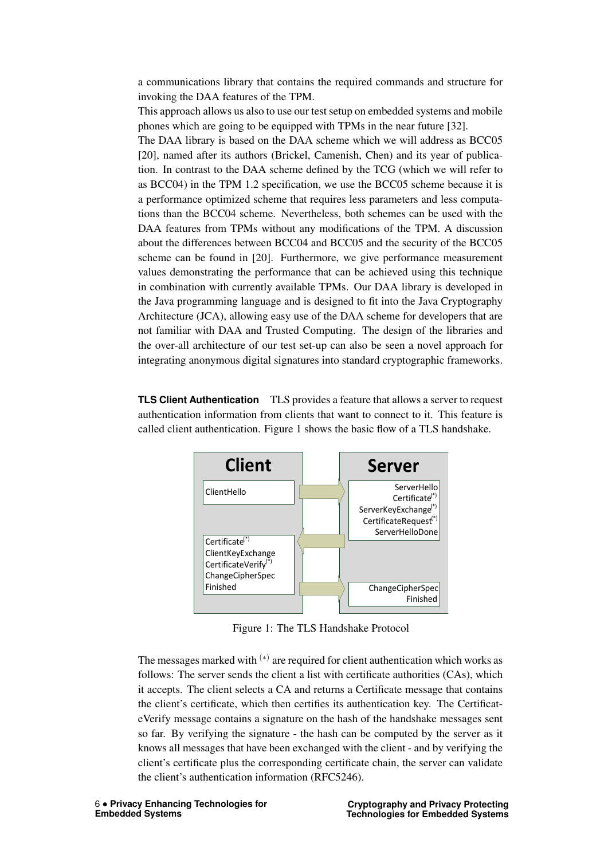a communications library that contains the required commands and structure for invoking the DAA features of the TPM.

This approach allows us also to use our test setup on embedded systems and mobile phones which are going to be equipped with TPMs in the near future [32].

The DAA library is based on the DAA scheme which we will address as BCC05 [20], named after its authors (Brickel, Camenish, Chen) and its year of publication. In contrast to the DAA scheme defined by the TCG (which we will refer to as BCC04) in the TPM 1.2 specification, we use the BCC05 scheme because it is a performance optimized scheme that requires less parameters and less computations than the BCC04 scheme. Nevertheless, both schemes can be used with the DAA features from TPMs without any modifications of the TPM. A discussion about the differences between BCC04 and BCC05 and the security of the BCC05 scheme can be found in [20]. Furthermore, we give performance measurement values demonstrating the performance that can be achieved using this technique in combination with currently available TPMs. Our DAA library is developed in the Java programming language and is designed to fit into the Java Cryptography Architecture (JCA), allowing easy use of the DAA scheme for developers that are not familiar with DAA and Trusted Computing. The design of the libraries and the over-all architecture of our test set-up can also be seen a novel approach for integrating anonymous digital signatures into standard cryptographic frameworks.

**TLS Client Authentication** TLS provides a feature that allows a server to request authentication information from clients that want to connect to it. This feature is called client authentication. Figure 1 shows the basic flow of a TLS handshake.



Figure 1: The TLS Handshake Protocol

The messages marked with  $(*)$  are required for client authentication which works as follows: The server sends the client a list with certificate authorities (CAs), which it accepts. The client selects a CA and returns a Certificate message that contains the client's certificate, which then certifies its authentication key. The CertificateVerify message contains a signature on the hash of the handshake messages sent so far. By verifying the signature - the hash can be computed by the server as it knows all messages that have been exchanged with the client - and by verifying the client's certificate plus the corresponding certificate chain, the server can validate the client's authentication information (RFC5246).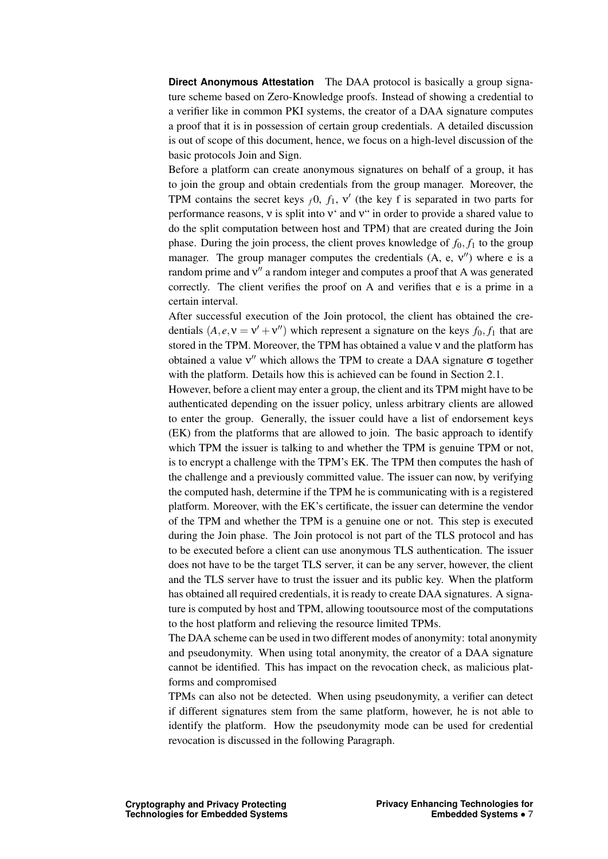**Direct Anonymous Attestation** The DAA protocol is basically a group signature scheme based on Zero-Knowledge proofs. Instead of showing a credential to a verifier like in common PKI systems, the creator of a DAA signature computes a proof that it is in possession of certain group credentials. A detailed discussion is out of scope of this document, hence, we focus on a high-level discussion of the basic protocols Join and Sign.

Before a platform can create anonymous signatures on behalf of a group, it has to join the group and obtain credentials from the group manager. Moreover, the TPM contains the secret keys  $_f$ 0,  $f_1$ , v' (the key f is separated in two parts for performance reasons, ν is split into ν' and ν" in order to provide a shared value to do the split computation between host and TPM) that are created during the Join phase. During the join process, the client proves knowledge of  $f_0$ ,  $f_1$  to the group manager. The group manager computes the credentials  $(A, e, v'')$  where e is a random prime and  $v''$  a random integer and computes a proof that A was generated correctly. The client verifies the proof on A and verifies that e is a prime in a certain interval.

After successful execution of the Join protocol, the client has obtained the credentials  $(A, e, v = v' + v'')$  which represent a signature on the keys  $f_0, f_1$  that are stored in the TPM. Moreover, the TPM has obtained a value ν and the platform has obtained a value  $v''$  which allows the TPM to create a DAA signature  $\sigma$  together with the platform. Details how this is achieved can be found in Section 2.1.

However, before a client may enter a group, the client and its TPM might have to be authenticated depending on the issuer policy, unless arbitrary clients are allowed to enter the group. Generally, the issuer could have a list of endorsement keys (EK) from the platforms that are allowed to join. The basic approach to identify which TPM the issuer is talking to and whether the TPM is genuine TPM or not, is to encrypt a challenge with the TPM's EK. The TPM then computes the hash of the challenge and a previously committed value. The issuer can now, by verifying the computed hash, determine if the TPM he is communicating with is a registered platform. Moreover, with the EK's certificate, the issuer can determine the vendor of the TPM and whether the TPM is a genuine one or not. This step is executed during the Join phase. The Join protocol is not part of the TLS protocol and has to be executed before a client can use anonymous TLS authentication. The issuer does not have to be the target TLS server, it can be any server, however, the client and the TLS server have to trust the issuer and its public key. When the platform has obtained all required credentials, it is ready to create DAA signatures. A signature is computed by host and TPM, allowing tooutsource most of the computations to the host platform and relieving the resource limited TPMs.

The DAA scheme can be used in two different modes of anonymity: total anonymity and pseudonymity. When using total anonymity, the creator of a DAA signature cannot be identified. This has impact on the revocation check, as malicious platforms and compromised

TPMs can also not be detected. When using pseudonymity, a verifier can detect if different signatures stem from the same platform, however, he is not able to identify the platform. How the pseudonymity mode can be used for credential revocation is discussed in the following Paragraph.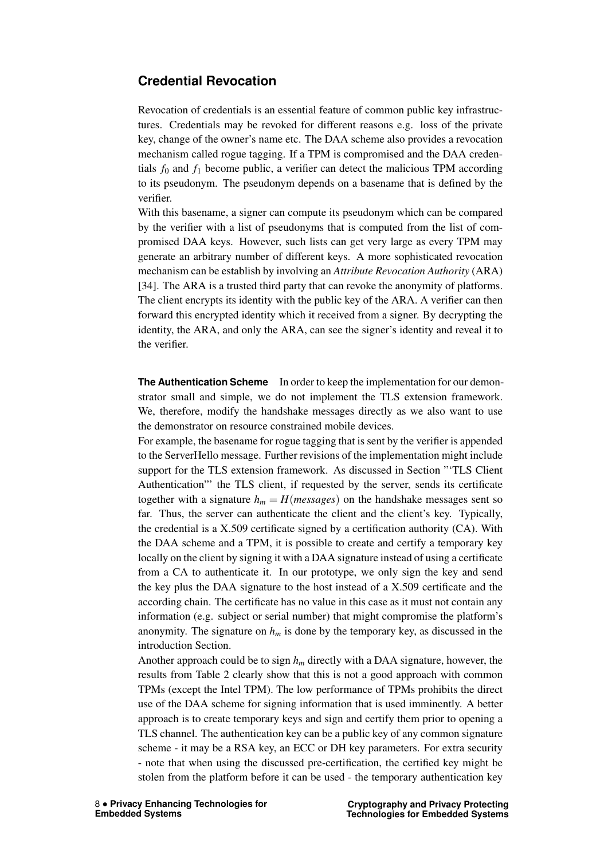#### **Credential Revocation**

Revocation of credentials is an essential feature of common public key infrastructures. Credentials may be revoked for different reasons e.g. loss of the private key, change of the owner's name etc. The DAA scheme also provides a revocation mechanism called rogue tagging. If a TPM is compromised and the DAA credentials  $f_0$  and  $f_1$  become public, a verifier can detect the malicious TPM according to its pseudonym. The pseudonym depends on a basename that is defined by the verifier.

With this basename, a signer can compute its pseudonym which can be compared by the verifier with a list of pseudonyms that is computed from the list of compromised DAA keys. However, such lists can get very large as every TPM may generate an arbitrary number of different keys. A more sophisticated revocation mechanism can be establish by involving an *Attribute Revocation Authority* (ARA) [34]. The ARA is a trusted third party that can revoke the anonymity of platforms. The client encrypts its identity with the public key of the ARA. A verifier can then forward this encrypted identity which it received from a signer. By decrypting the identity, the ARA, and only the ARA, can see the signer's identity and reveal it to the verifier.

**The Authentication Scheme** In order to keep the implementation for our demonstrator small and simple, we do not implement the TLS extension framework. We, therefore, modify the handshake messages directly as we also want to use the demonstrator on resource constrained mobile devices.

For example, the basename for rogue tagging that is sent by the verifier is appended to the ServerHello message. Further revisions of the implementation might include support for the TLS extension framework. As discussed in Section "'TLS Client Authentication"' the TLS client, if requested by the server, sends its certificate together with a signature  $h_m = H(m \text{essages})$  on the handshake messages sent so far. Thus, the server can authenticate the client and the client's key. Typically, the credential is a X.509 certificate signed by a certification authority (CA). With the DAA scheme and a TPM, it is possible to create and certify a temporary key locally on the client by signing it with a DAA signature instead of using a certificate from a CA to authenticate it. In our prototype, we only sign the key and send the key plus the DAA signature to the host instead of a X.509 certificate and the according chain. The certificate has no value in this case as it must not contain any information (e.g. subject or serial number) that might compromise the platform's anonymity. The signature on  $h_m$  is done by the temporary key, as discussed in the introduction Section.

Another approach could be to sign *h<sup>m</sup>* directly with a DAA signature, however, the results from Table 2 clearly show that this is not a good approach with common TPMs (except the Intel TPM). The low performance of TPMs prohibits the direct use of the DAA scheme for signing information that is used imminently. A better approach is to create temporary keys and sign and certify them prior to opening a TLS channel. The authentication key can be a public key of any common signature scheme - it may be a RSA key, an ECC or DH key parameters. For extra security - note that when using the discussed pre-certification, the certified key might be stolen from the platform before it can be used - the temporary authentication key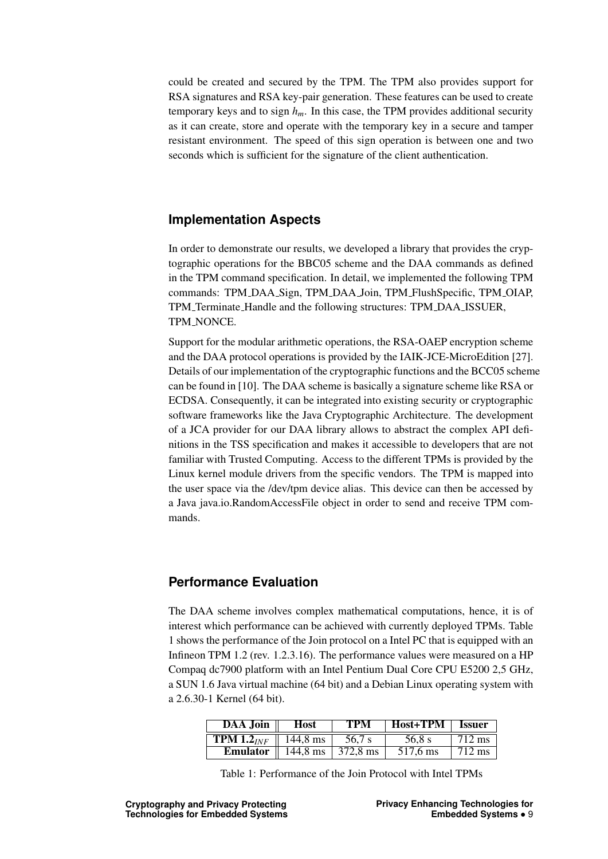could be created and secured by the TPM. The TPM also provides support for RSA signatures and RSA key-pair generation. These features can be used to create temporary keys and to sign *hm*. In this case, the TPM provides additional security as it can create, store and operate with the temporary key in a secure and tamper resistant environment. The speed of this sign operation is between one and two seconds which is sufficient for the signature of the client authentication.

#### **Implementation Aspects**

In order to demonstrate our results, we developed a library that provides the cryptographic operations for the BBC05 scheme and the DAA commands as defined in the TPM command specification. In detail, we implemented the following TPM commands: TPM DAA Sign, TPM DAA Join, TPM FlushSpecific, TPM OIAP, TPM Terminate Handle and the following structures: TPM DAA ISSUER, TPM NONCE.

Support for the modular arithmetic operations, the RSA-OAEP encryption scheme and the DAA protocol operations is provided by the IAIK-JCE-MicroEdition [27]. Details of our implementation of the cryptographic functions and the BCC05 scheme can be found in [10]. The DAA scheme is basically a signature scheme like RSA or ECDSA. Consequently, it can be integrated into existing security or cryptographic software frameworks like the Java Cryptographic Architecture. The development of a JCA provider for our DAA library allows to abstract the complex API definitions in the TSS specification and makes it accessible to developers that are not familiar with Trusted Computing. Access to the different TPMs is provided by the Linux kernel module drivers from the specific vendors. The TPM is mapped into the user space via the /dev/tpm device alias. This device can then be accessed by a Java java.io.RandomAccessFile object in order to send and receive TPM commands.

## **Performance Evaluation**

The DAA scheme involves complex mathematical computations, hence, it is of interest which performance can be achieved with currently deployed TPMs. Table 1 shows the performance of the Join protocol on a Intel PC that is equipped with an Infineon TPM 1.2 (rev. 1.2.3.16). The performance values were measured on a HP Compaq dc7900 platform with an Intel Pentium Dual Core CPU E5200 2,5 GHz, a SUN 1.6 Java virtual machine (64 bit) and a Debian Linux operating system with a 2.6.30-1 Kernel (64 bit).

| <b>DAA Join</b>        | Host     | <b>TPM</b> | Host+TPM   | <b>Issuer</b> |
|------------------------|----------|------------|------------|---------------|
| <b>TPM</b> $1.2_{INF}$ | 144,8 ms | 56.7 s     | 56.8 s     | 712 ms        |
| <b>Emulator</b>        | 144,8 ms | 372,8 ms   | $517,6$ ms | 712 ms        |

Table 1: Performance of the Join Protocol with Intel TPMs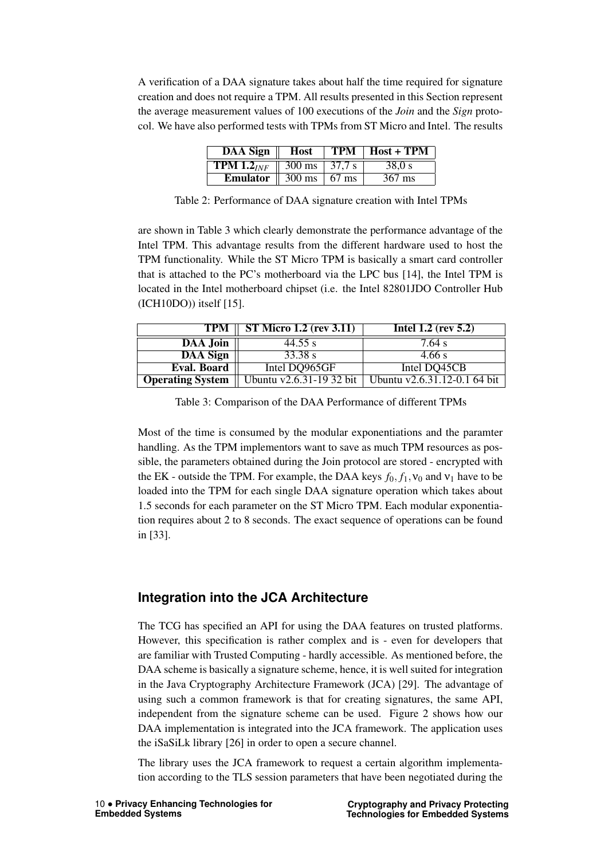A verification of a DAA signature takes about half the time required for signature creation and does not require a TPM. All results presented in this Section represent the average measurement values of 100 executions of the *Join* and the *Sign* protocol. We have also performed tests with TPMs from ST Micro and Intel. The results

| DAA Sign   Host                                        |                 | $\vert$ TPM $\vert$ Host + TPM |
|--------------------------------------------------------|-----------------|--------------------------------|
| <b>TPM 1.2</b> <sub><i>INF</i></sub>   300 ms   37,7 s |                 | 38.0 s                         |
| <b>Emulator</b> $\parallel$ 300 ms                     | $67 \text{ ms}$ | 367 ms                         |

Table 2: Performance of DAA signature creation with Intel TPMs

are shown in Table 3 which clearly demonstrate the performance advantage of the Intel TPM. This advantage results from the different hardware used to host the TPM functionality. While the ST Micro TPM is basically a smart card controller that is attached to the PC's motherboard via the LPC bus [14], the Intel TPM is located in the Intel motherboard chipset (i.e. the Intel 82801JDO Controller Hub (ICH10DO)) itself [15].

|                         | <b>TPM</b> $\parallel$ <b>ST</b> Micro 1.2 (rev 3.11) | <b>Intel 1.2</b> (rev $5.2$ ) |  |  |
|-------------------------|-------------------------------------------------------|-------------------------------|--|--|
| DAA Join                | 44.55 s                                               | 7.64 s                        |  |  |
| <b>DAA Sign</b>         | 33.38 s                                               | 4.66 s                        |  |  |
| Eval. Board             | Intel DQ965GF                                         | Intel DQ45CB                  |  |  |
| <b>Operating System</b> | Ubuntu v2.6.31-19 32 bit                              | Ubuntu v2.6.31.12-0.1 64 bit  |  |  |

Table 3: Comparison of the DAA Performance of different TPMs

Most of the time is consumed by the modular exponentiations and the paramter handling. As the TPM implementors want to save as much TPM resources as possible, the parameters obtained during the Join protocol are stored - encrypted with the EK - outside the TPM. For example, the DAA keys  $f_0, f_1, v_0$  and  $v_1$  have to be loaded into the TPM for each single DAA signature operation which takes about 1.5 seconds for each parameter on the ST Micro TPM. Each modular exponentiation requires about 2 to 8 seconds. The exact sequence of operations can be found in [33].

#### **Integration into the JCA Architecture**

The TCG has specified an API for using the DAA features on trusted platforms. However, this specification is rather complex and is - even for developers that are familiar with Trusted Computing - hardly accessible. As mentioned before, the DAA scheme is basically a signature scheme, hence, it is well suited for integration in the Java Cryptography Architecture Framework (JCA) [29]. The advantage of using such a common framework is that for creating signatures, the same API, independent from the signature scheme can be used. Figure 2 shows how our DAA implementation is integrated into the JCA framework. The application uses the iSaSiLk library [26] in order to open a secure channel.

The library uses the JCA framework to request a certain algorithm implementation according to the TLS session parameters that have been negotiated during the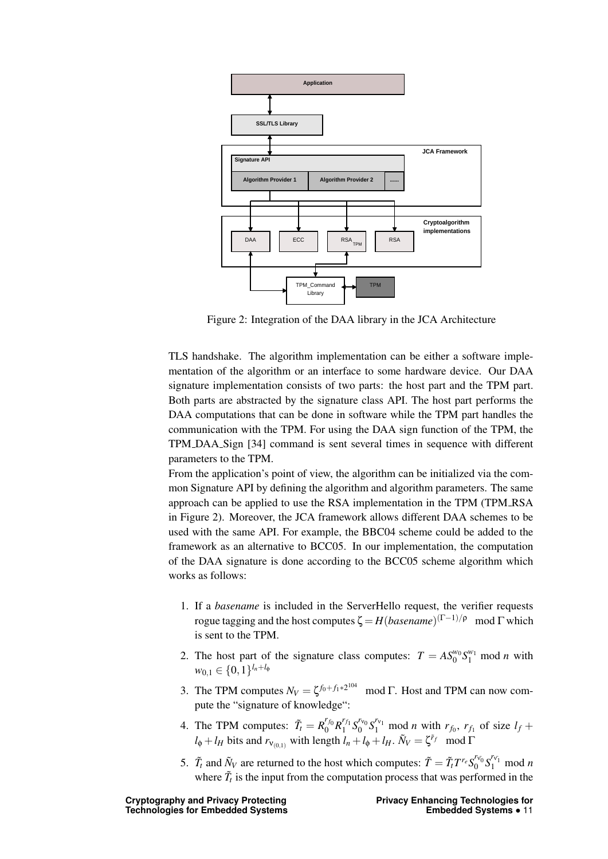

Figure 2: Integration of the DAA library in the JCA Architecture

TLS handshake. The algorithm implementation can be either a software implementation of the algorithm or an interface to some hardware device. Our DAA signature implementation consists of two parts: the host part and the TPM part. Both parts are abstracted by the signature class API. The host part performs the DAA computations that can be done in software while the TPM part handles the communication with the TPM. For using the DAA sign function of the TPM, the TPM DAA Sign [34] command is sent several times in sequence with different parameters to the TPM.

From the application's point of view, the algorithm can be initialized via the common Signature API by defining the algorithm and algorithm parameters. The same approach can be applied to use the RSA implementation in the TPM (TPM RSA in Figure 2). Moreover, the JCA framework allows different DAA schemes to be used with the same API. For example, the BBC04 scheme could be added to the framework as an alternative to BCC05. In our implementation, the computation of the DAA signature is done according to the BCC05 scheme algorithm which works as follows:

- 1. If a *basename* is included in the ServerHello request, the verifier requests rogue tagging and the host computes  $\zeta = H(basename)^{(\Gamma-1)/\rho} \mod \Gamma$  which is sent to the TPM.
- 2. The host part of the signature class computes:  $T = AS_0^{w_0}S_1^{w_1} \text{ mod } n$  with  $w_{0,1} \in \{0,1\}^{l_n + l_{\phi}}$
- 3. The TPM computes  $N_V = \zeta^{f_0 + f_1 * 2^{104}}$  mod Γ. Host and TPM can now compute the "signature of knowledge":
- 4. The TPM computes:  $\tilde{T}_t = R_0^{r_{f_0}} R_1^{r_{f_1}} S_0^{r_{v_0}} S_1^{r_{v_1}}$  mod *n* with  $r_{f_0}$ ,  $r_{f_1}$  of size  $l_f$  +  $l_{\phi} + l_H$  bits and  $r_{V_{(0,1)}}$  with length  $l_n + l_{\phi} + l_H$ .  $\tilde{N}_V = \zeta^{\tilde{r}_f} \mod \Gamma$
- 5.  $\tilde{T}_t$  and  $\tilde{N}_V$  are returned to the host which computes:  $\tilde{T} = \tilde{T}_t T^{r_e} S_0^{r_{V_0}} S_1^{r_{V_1}}$  mod *n* where  $\tilde{T}_t$  is the input from the computation process that was performed in the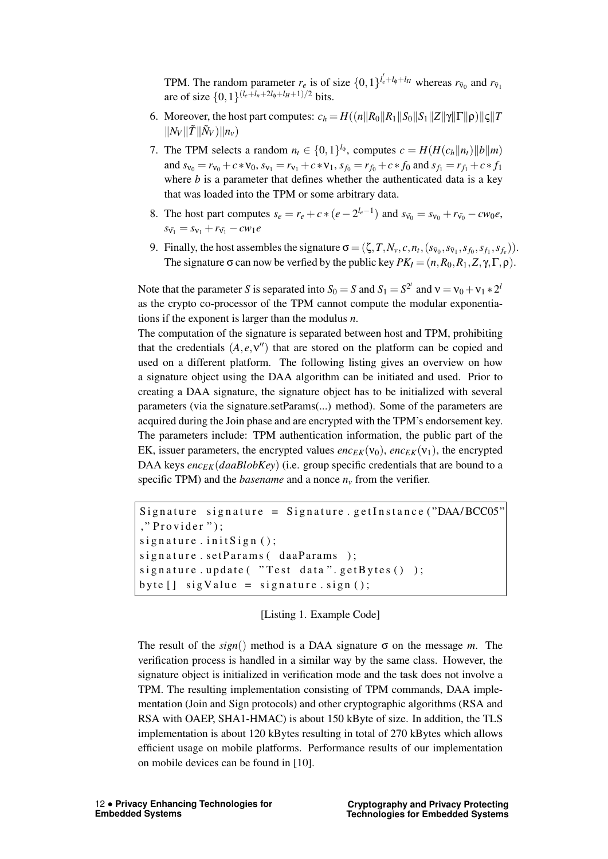**TPM.** The random parameter  $r_e$  is of size  $\{0,1\}^{l'_e+l_\phi+l_H}$  whereas  $r_{\bar{v}_0}$  and  $r_{\bar{v}_1}$ are of size  $\{0, 1\}^{(l_e + l_n + 2l_{\phi} + l_H + 1)/2}$  bits.

- 6. Moreover, the host part computes:  $c_h = H((n||R_0||R_1||S_0||S_1||Z||\gamma||\Gamma||\rho)||\zeta||T$  $\|N_V\| \tilde{T} \|\tilde{N}_V\| \|n_v\|$
- 7. The TPM selects a random  $n_t \in \{0, 1\}^{l_{\phi}}$ , computes  $c = H(H(c_h||n_t)||b||m)$ and  $s_{v_0} = r_{v_0} + c * v_0$ ,  $s_{v_1} = r_{v_1} + c * v_1$ ,  $s_{f_0} = r_{f_0} + c * f_0$  and  $s_{f_1} = r_{f_1} + c * f_1$ where  $b$  is a parameter that defines whether the authenticated data is a key that was loaded into the TPM or some arbitrary data.
- 8. The host part computes  $s_e = r_e + c * (e 2^{l_e 1})$  and  $s_{\bar{v_0}} = s_{v_0} + r_{\bar{v_0}} c w_0 e$ ,  $s_{\bar{v_1}} = s_{v_1} + r_{\bar{v_1}} - c w_1 e$
- 9. Finally, the host assembles the signature  $\sigma = (\zeta, T, N_v, c, n_t, (s_{\bar{v}_0}, s_{\bar{v}_1}, s_{f_0}, s_{f_1}, s_{f_e}))$ . The signature  $\sigma$  can now be verfied by the public key  $PK_I = (n, R_0, R_1, Z, \gamma, \Gamma, \rho)$ .

Note that the parameter *S* is separated into  $S_0 = S$  and  $S_1 = S^{2^t}$  and  $v = v_0 + v_1 * 2^t$ as the crypto co-processor of the TPM cannot compute the modular exponentiations if the exponent is larger than the modulus *n*.

The computation of the signature is separated between host and TPM, prohibiting that the credentials  $(A, e, v'')$  that are stored on the platform can be copied and used on a different platform. The following listing gives an overview on how a signature object using the DAA algorithm can be initiated and used. Prior to creating a DAA signature, the signature object has to be initialized with several parameters (via the signature.setParams(...) method). Some of the parameters are acquired during the Join phase and are encrypted with the TPM's endorsement key. The parameters include: TPM authentication information, the public part of the EK, issuer parameters, the encrypted values  $enc_{EK}(v_0)$ ,  $enc_{EK}(v_1)$ , the encrypted DAA keys  $enc_{EK}(daaBlobKey)$  (i.e. group specific credentials that are bound to a specific TPM) and the *basename* and a nonce  $n<sub>v</sub>$  from the verifier.

```
Signature signature = Signature.getInstance("DAA/BCC05"
, "Provider";
signature.initsign();signature.setParams (daaParams);
signature.update( "Test data".getBytes());
byte [] sig Value = signature . sign ();
```
[Listing 1. Example Code]

The result of the *sign*() method is a DAA signature σ on the message *m*. The verification process is handled in a similar way by the same class. However, the signature object is initialized in verification mode and the task does not involve a TPM. The resulting implementation consisting of TPM commands, DAA implementation (Join and Sign protocols) and other cryptographic algorithms (RSA and RSA with OAEP, SHA1-HMAC) is about 150 kByte of size. In addition, the TLS implementation is about 120 kBytes resulting in total of 270 kBytes which allows efficient usage on mobile platforms. Performance results of our implementation on mobile devices can be found in [10].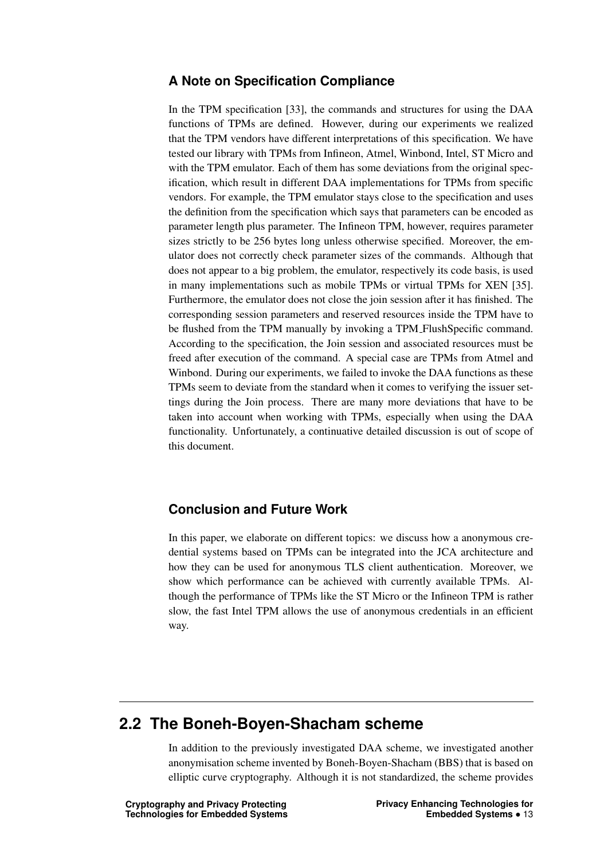#### **A Note on Specification Compliance**

In the TPM specification [33], the commands and structures for using the DAA functions of TPMs are defined. However, during our experiments we realized that the TPM vendors have different interpretations of this specification. We have tested our library with TPMs from Infineon, Atmel, Winbond, Intel, ST Micro and with the TPM emulator. Each of them has some deviations from the original specification, which result in different DAA implementations for TPMs from specific vendors. For example, the TPM emulator stays close to the specification and uses the definition from the specification which says that parameters can be encoded as parameter length plus parameter. The Infineon TPM, however, requires parameter sizes strictly to be 256 bytes long unless otherwise specified. Moreover, the emulator does not correctly check parameter sizes of the commands. Although that does not appear to a big problem, the emulator, respectively its code basis, is used in many implementations such as mobile TPMs or virtual TPMs for XEN [35]. Furthermore, the emulator does not close the join session after it has finished. The corresponding session parameters and reserved resources inside the TPM have to be flushed from the TPM manually by invoking a TPM FlushSpecific command. According to the specification, the Join session and associated resources must be freed after execution of the command. A special case are TPMs from Atmel and Winbond. During our experiments, we failed to invoke the DAA functions as these TPMs seem to deviate from the standard when it comes to verifying the issuer settings during the Join process. There are many more deviations that have to be taken into account when working with TPMs, especially when using the DAA functionality. Unfortunately, a continuative detailed discussion is out of scope of this document.

#### **Conclusion and Future Work**

In this paper, we elaborate on different topics: we discuss how a anonymous credential systems based on TPMs can be integrated into the JCA architecture and how they can be used for anonymous TLS client authentication. Moreover, we show which performance can be achieved with currently available TPMs. Although the performance of TPMs like the ST Micro or the Infineon TPM is rather slow, the fast Intel TPM allows the use of anonymous credentials in an efficient way.

## **2.2 The Boneh-Boyen-Shacham scheme**

In addition to the previously investigated DAA scheme, we investigated another anonymisation scheme invented by Boneh-Boyen-Shacham (BBS) that is based on elliptic curve cryptography. Although it is not standardized, the scheme provides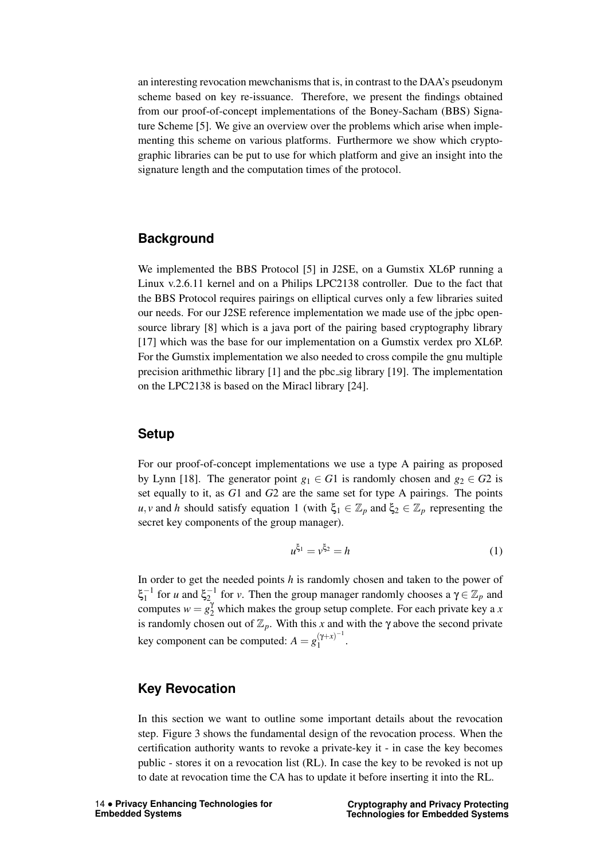an interesting revocation mewchanisms that is, in contrast to the DAA's pseudonym scheme based on key re-issuance. Therefore, we present the findings obtained from our proof-of-concept implementations of the Boney-Sacham (BBS) Signature Scheme [5]. We give an overview over the problems which arise when implementing this scheme on various platforms. Furthermore we show which cryptographic libraries can be put to use for which platform and give an insight into the signature length and the computation times of the protocol.

#### **Background**

We implemented the BBS Protocol [5] in J2SE, on a Gumstix XL6P running a Linux v.2.6.11 kernel and on a Philips LPC2138 controller. Due to the fact that the BBS Protocol requires pairings on elliptical curves only a few libraries suited our needs. For our J2SE reference implementation we made use of the jpbc opensource library [8] which is a java port of the pairing based cryptography library [17] which was the base for our implementation on a Gumstix verdex pro XL6P. For the Gumstix implementation we also needed to cross compile the gnu multiple precision arithmethic library [1] and the pbc sig library [19]. The implementation on the LPC2138 is based on the Miracl library [24].

#### **Setup**

For our proof-of-concept implementations we use a type A pairing as proposed by Lynn [18]. The generator point  $g_1 \in G1$  is randomly chosen and  $g_2 \in G2$  is set equally to it, as *G*1 and *G*2 are the same set for type A pairings. The points *u*, *v* and *h* should satisfy equation 1 (with  $\xi_1 \in \mathbb{Z}_p$  and  $\xi_2 \in \mathbb{Z}_p$  representing the secret key components of the group manager).

$$
u^{\xi_1} = v^{\xi_2} = h \tag{1}
$$

In order to get the needed points *h* is randomly chosen and taken to the power of ξ<sup>-1</sup> for *u* and ξ<sup>-1</sup> for *v*. Then the group manager randomly chooses a γ ∈  $\mathbb{Z}_p$  and computes  $w = g_2^{\gamma}$  which makes the group setup complete. For each private key a *x* is randomly chosen out of  $\mathbb{Z}_p$ . With this *x* and with the  $\gamma$  above the second private key component can be computed:  $A = g_1^{(\gamma + x)^{-1}}$  $\frac{(1+x)}{1}$ .

#### **Key Revocation**

In this section we want to outline some important details about the revocation step. Figure 3 shows the fundamental design of the revocation process. When the certification authority wants to revoke a private-key it - in case the key becomes public - stores it on a revocation list (RL). In case the key to be revoked is not up to date at revocation time the CA has to update it before inserting it into the RL.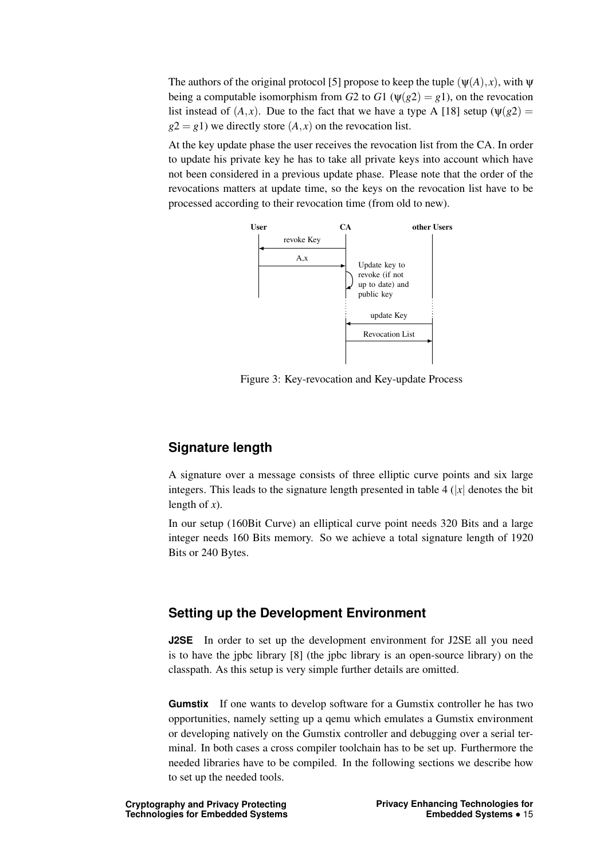The authors of the original protocol [5] propose to keep the tuple  $(\psi(A), x)$ , with  $\psi$ being a computable isomorphism from *G*2 to *G*1 ( $\psi(g2) = g1$ ), on the revocation list instead of  $(A, x)$ . Due to the fact that we have a type A [18] setup  $(\psi(g2)) =$  $g2 = g1$ ) we directly store  $(A, x)$  on the revocation list.

At the key update phase the user receives the revocation list from the CA. In order to update his private key he has to take all private keys into account which have not been considered in a previous update phase. Please note that the order of the revocations matters at update time, so the keys on the revocation list have to be processed according to their revocation time (from old to new).



Figure 3: Key-revocation and Key-update Process

#### **Signature length**

A signature over a message consists of three elliptic curve points and six large integers. This leads to the signature length presented in table 4  $(|x|)$  denotes the bit length of  $x$ ).

In our setup (160Bit Curve) an elliptical curve point needs 320 Bits and a large integer needs 160 Bits memory. So we achieve a total signature length of 1920 Bits or 240 Bytes.

#### **Setting up the Development Environment**

**J2SE** In order to set up the development environment for J2SE all you need is to have the jpbc library [8] (the jpbc library is an open-source library) on the classpath. As this setup is very simple further details are omitted.

**Gumstix** If one wants to develop software for a Gumstix controller he has two opportunities, namely setting up a qemu which emulates a Gumstix environment or developing natively on the Gumstix controller and debugging over a serial terminal. In both cases a cross compiler toolchain has to be set up. Furthermore the needed libraries have to be compiled. In the following sections we describe how to set up the needed tools.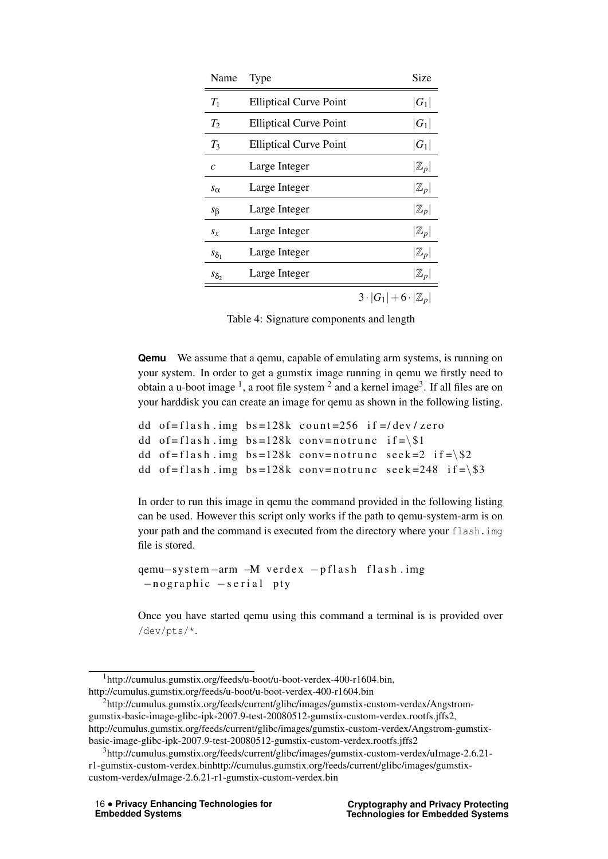| Name           | Type                          | Size                                 |
|----------------|-------------------------------|--------------------------------------|
| $T_1$          | <b>Elliptical Curve Point</b> | $ G_1 $                              |
| $T_2$          | <b>Elliptical Curve Point</b> | $ G_1 $                              |
| $T_3$          | <b>Elliptical Curve Point</b> | $ G_1 $                              |
| $\mathcal{C}$  | Large Integer                 | $ \mathbb{Z}_p $                     |
| $s_{\alpha}$   | Large Integer                 | $ \mathbb{Z}_p $                     |
| $S_{\beta}$    | Large Integer                 | $ \mathbb{Z}_p $                     |
| $S_{x}$        | Large Integer                 | $ \mathbb{Z}_p $                     |
| $S_{\delta_1}$ | Large Integer                 | $ \mathbb{Z}_p $                     |
| $s_{\delta}$   | Large Integer                 | $ \mathbb{Z}_p $                     |
|                |                               | $3\cdot  G_1 +6\cdot  \mathbb{Z}_n $ |

Table 4: Signature components and length

**Qemu** We assume that a qemu, capable of emulating arm systems, is running on your system. In order to get a gumstix image running in qemu we firstly need to obtain a u-boot image <sup>1</sup>, a root file system <sup>2</sup> and a kernel image<sup>3</sup>. If all files are on your harddisk you can create an image for qemu as shown in the following listing.

```
dd of=flash.img bs=128k count=256 if=/dev/zero
dd of=flash.img bs=128k conv=notrunc if=\$1
dd of=flash.img bs=128k conv=notrunc seek=2 if=\$2
dd of=flash.img bs=128k conv=notrunc seek=248 if=\$3
```
In order to run this image in qemu the command provided in the following listing can be used. However this script only works if the path to qemu-system-arm is on your path and the command is executed from the directory where your flash.img file is stored.

qemu-system-arm -M verdex -pflash flash.img  $-$ n o graphic  $-$ s e rial pty

Once you have started qemu using this command a terminal is is provided over /dev/pts/\*.

<sup>1</sup>http://cumulus.gumstix.org/feeds/u-boot/u-boot-verdex-400-r1604.bin, http://cumulus.gumstix.org/feeds/u-boot/u-boot-verdex-400-r1604.bin

<sup>2</sup>http://cumulus.gumstix.org/feeds/current/glibc/images/gumstix-custom-verdex/Angstromgumstix-basic-image-glibc-ipk-2007.9-test-20080512-gumstix-custom-verdex.rootfs.jffs2, http://cumulus.gumstix.org/feeds/current/glibc/images/gumstix-custom-verdex/Angstrom-gumstixbasic-image-glibc-ipk-2007.9-test-20080512-gumstix-custom-verdex.rootfs.jffs2

<sup>3</sup>http://cumulus.gumstix.org/feeds/current/glibc/images/gumstix-custom-verdex/uImage-2.6.21 r1-gumstix-custom-verdex.binhttp://cumulus.gumstix.org/feeds/current/glibc/images/gumstixcustom-verdex/uImage-2.6.21-r1-gumstix-custom-verdex.bin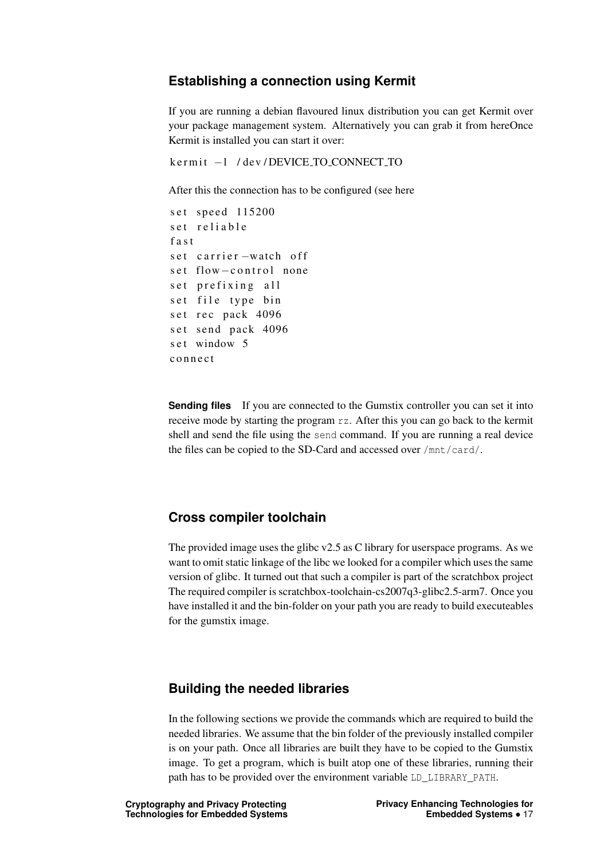#### **Establishing a connection using Kermit**

If you are running a debian flavoured linux distribution you can get Kermit over your package management system. Alternatively you can grab it from hereOnce Kermit is installed you can start it over:

k e r m i t -l / dev / DEVICE\_TO\_CONNECT\_TO

After this the connection has to be configured (see here

```
set speed 115200
s et reliable
f a s t
s et carrier –watch of f
set flow-control none
set prefixing all
set file type bin
set rec pack 4096
set send pack 4096
s et window 5
c o n n e ct
```
**Sending files** If you are connected to the Gumstix controller you can set it into receive mode by starting the program rz. After this you can go back to the kermit shell and send the file using the send command. If you are running a real device the files can be copied to the SD-Card and accessed over /mnt/card/.

#### **Cross compiler toolchain**

The provided image uses the glibc v2.5 as C library for userspace programs. As we want to omit static linkage of the libc we looked for a compiler which uses the same version of glibc. It turned out that such a compiler is part of the scratchbox project The required compiler is scratchbox-toolchain-cs2007q3-glibc2.5-arm7. Once you have installed it and the bin-folder on your path you are ready to build executeables for the gumstix image.

#### **Building the needed libraries**

In the following sections we provide the commands which are required to build the needed libraries. We assume that the bin folder of the previously installed compiler is on your path. Once all libraries are built they have to be copied to the Gumstix image. To get a program, which is built atop one of these libraries, running their path has to be provided over the environment variable LD\_LIBRARY\_PATH.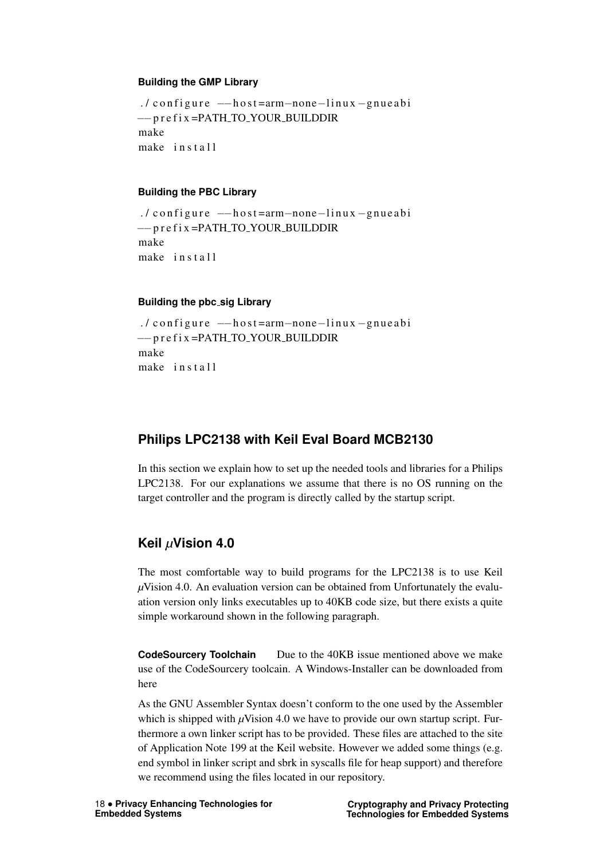#### **Building the GMP Library**

```
./ configure --host=arm-none-linux -gnueabi
−−p r e f i x =PATH TO YOUR BUILDDIR
make
make install
```
#### **Building the PBC Library**

```
./ configure --host=arm-none-linux -gnueabi
−−p r e f i x =PATH TO YOUR BUILDDIR
make
make in stall
```
#### **Building the pbc sig Library**

```
\ldots / configure -\text{host=arm-none-linux-gnueabi}−−p r e f i x =PATH TO YOUR BUILDDIR
make
make install
```
#### **Philips LPC2138 with Keil Eval Board MCB2130**

In this section we explain how to set up the needed tools and libraries for a Philips LPC2138. For our explanations we assume that there is no OS running on the target controller and the program is directly called by the startup script.

#### **Keil** *µ***Vision 4.0**

The most comfortable way to build programs for the LPC2138 is to use Keil *µ*Vision 4.0. An evaluation version can be obtained from Unfortunately the evaluation version only links executables up to 40KB code size, but there exists a quite simple workaround shown in the following paragraph.

**CodeSourcery Toolchain** Due to the 40KB issue mentioned above we make use of the CodeSourcery toolcain. A Windows-Installer can be downloaded from here

As the GNU Assembler Syntax doesn't conform to the one used by the Assembler which is shipped with  $\mu$ Vision 4.0 we have to provide our own startup script. Furthermore a own linker script has to be provided. These files are attached to the site of Application Note 199 at the Keil website. However we added some things (e.g. end symbol in linker script and sbrk in syscalls file for heap support) and therefore we recommend using the files located in our repository.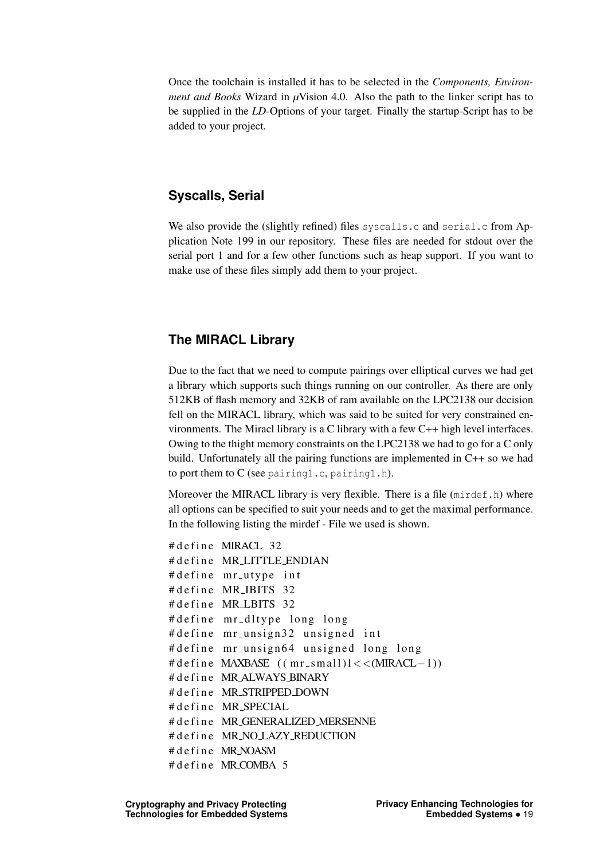Once the toolchain is installed it has to be selected in the *Components, Environment and Books* Wizard in *µ*Vision 4.0. Also the path to the linker script has to be supplied in the *LD*-Options of your target. Finally the startup-Script has to be added to your project.

#### **Syscalls, Serial**

We also provide the (slightly refined) files syscalls.c and serial.c from Application Note 199 in our repository. These files are needed for stdout over the serial port 1 and for a few other functions such as heap support. If you want to make use of these files simply add them to your project.

## **The MIRACL Library**

Due to the fact that we need to compute pairings over elliptical curves we had get a library which supports such things running on our controller. As there are only 512KB of flash memory and 32KB of ram available on the LPC2138 our decision fell on the MIRACL library, which was said to be suited for very constrained environments. The Miracl library is a C library with a few C++ high level interfaces. Owing to the thight memory constraints on the LPC2138 we had to go for a C only build. Unfortunately all the pairing functions are implemented in C++ so we had to port them to C (see pairing1.c, pairing1.h).

Moreover the MIRACL library is very flexible. There is a file  $(\text{mixed}, h)$  where all options can be specified to suit your needs and to get the maximal performance. In the following listing the mirdef - File we used is shown.

```
# define MIRACL 32
# define MR_LITTLE_ENDIAN
# define mr_utype int
# define MR_IBITS 32
# define MR LBITS 32
# define mr_dltype long long
# define mr_unsign32 unsigned int
# define mr_unsign64 unsigned long long
# define MAXBASE ((mr_small)1 < < (MIRACL-1))
# define MRALWAYS BINARY
# define MR_STRIPPED_DOWN
# define MR_SPECIAL
# define MR GENERALIZED MERSENNE
# define MR NO LAZY REDUCTION
# define MR NOASM
# define MR COMBA 5
```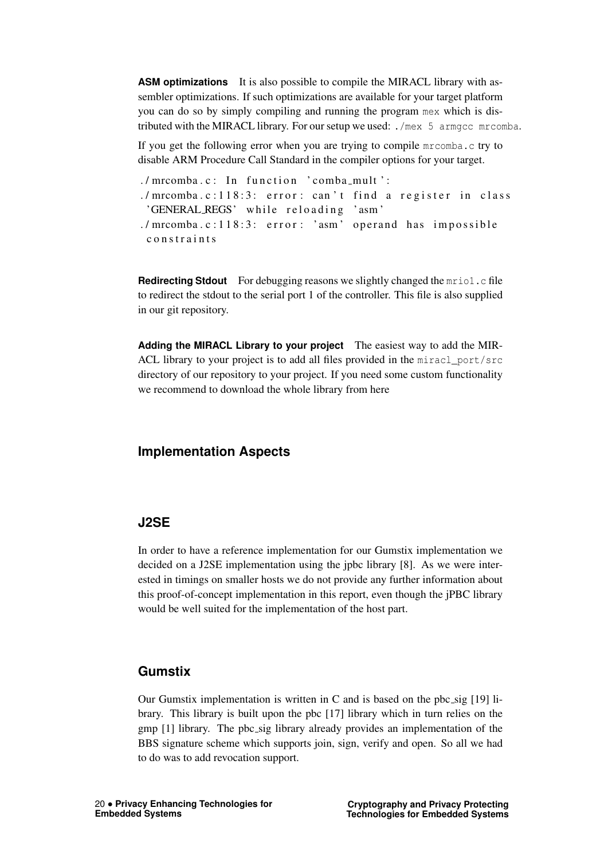**ASM optimizations** It is also possible to compile the MIRACL library with assembler optimizations. If such optimizations are available for your target platform you can do so by simply compiling and running the program mex which is distributed with the MIRACL library. For our setup we used: ./mex 5 armgcc mrcomba.

If you get the following error when you are trying to compile mrcomba.c try to disable ARM Procedure Call Standard in the compiler options for your target.

```
./mrcomba.c: In function 'comba_mult':
./mrcomba.c:118:3: error: can't find a register in class
'GENERAL REGS' while reloading 'asm'
./mrcomba.c:118:3: error: 'asm' operand has impossible
c o n s t r a i n t s
```
**Redirecting Stdout** For debugging reasons we slightly changed the mriol.c file to redirect the stdout to the serial port 1 of the controller. This file is also supplied in our git repository.

**Adding the MIRACL Library to your project** The easiest way to add the MIR-ACL library to your project is to add all files provided in the miracl port/src directory of our repository to your project. If you need some custom functionality we recommend to download the whole library from here

#### **Implementation Aspects**

#### **J2SE**

In order to have a reference implementation for our Gumstix implementation we decided on a J2SE implementation using the jpbc library [8]. As we were interested in timings on smaller hosts we do not provide any further information about this proof-of-concept implementation in this report, even though the jPBC library would be well suited for the implementation of the host part.

#### **Gumstix**

Our Gumstix implementation is written in C and is based on the pbc\_sig  $[19]$  library. This library is built upon the pbc [17] library which in turn relies on the gmp [1] library. The pbc sig library already provides an implementation of the BBS signature scheme which supports join, sign, verify and open. So all we had to do was to add revocation support.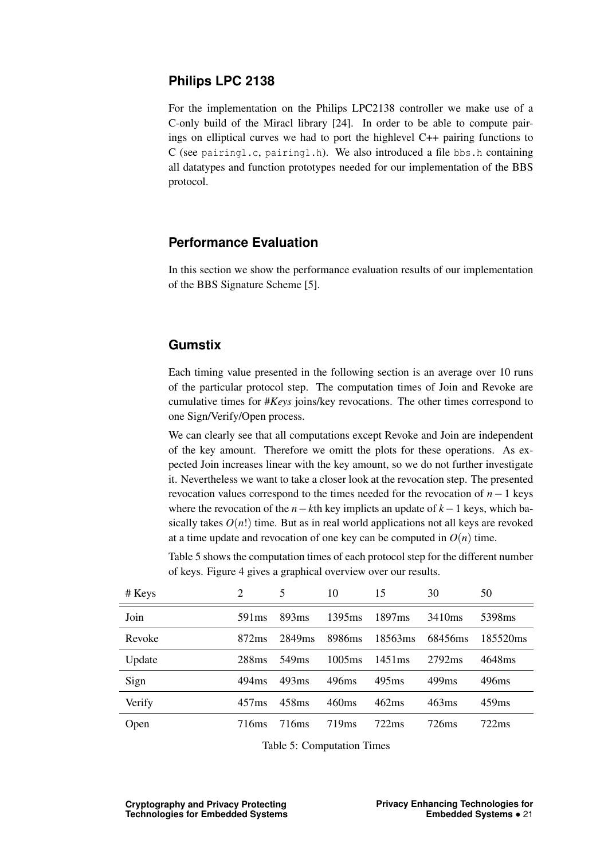## **Philips LPC 2138**

For the implementation on the Philips LPC2138 controller we make use of a C-only build of the Miracl library [24]. In order to be able to compute pairings on elliptical curves we had to port the highlevel C++ pairing functions to C (see pairing1.c, pairing1.h). We also introduced a file bbs.h containing all datatypes and function prototypes needed for our implementation of the BBS protocol.

## **Performance Evaluation**

In this section we show the performance evaluation results of our implementation of the BBS Signature Scheme [5].

#### **Gumstix**

Each timing value presented in the following section is an average over 10 runs of the particular protocol step. The computation times of Join and Revoke are cumulative times for #*Keys* joins/key revocations. The other times correspond to one Sign/Verify/Open process.

We can clearly see that all computations except Revoke and Join are independent of the key amount. Therefore we omitt the plots for these operations. As expected Join increases linear with the key amount, so we do not further investigate it. Nevertheless we want to take a closer look at the revocation step. The presented revocation values correspond to the times needed for the revocation of *n*−1 keys where the revocation of the *n*−*k*th key implicts an update of *k*−1 keys, which basically takes  $O(n!)$  time. But as in real world applications not all keys are revoked at a time update and revocation of one key can be computed in  $O(n)$  time.

Table 5 shows the computation times of each protocol step for the different number of keys. Figure 4 gives a graphical overview over our results.

| # Keys | $\mathfrak{D}$    | 5                  | 10                 | 15                 | 30                 | 50                 |
|--------|-------------------|--------------------|--------------------|--------------------|--------------------|--------------------|
| Join   | 591 <sub>ms</sub> | 893 <sub>ms</sub>  | 1395 <sub>ms</sub> | 1897 <sub>ms</sub> | 3410 <sub>ms</sub> | 5398 <sub>ms</sub> |
| Revoke | 872ms             | 2849 <sub>ms</sub> | 8986 <sub>ms</sub> | 18563ms            | 68456ms            | 185520ms           |
| Update | 288 <sub>ms</sub> | 549 <sub>ms</sub>  | $1005$ ms          | $1451 \,\rm{ms}$   | 2792ms             | 4648ms             |
| Sign   | 494ms             | 493ms              | 496ms              | 495 <sub>ms</sub>  | 499 <sub>ms</sub>  | 496ms              |
| Verify | 457ms             | 458 <sub>ms</sub>  | 460ms              | 462ms              | $463$ ms           | 459ms              |
| Open   | 716ms             | 716ms              | 719 <sub>ms</sub>  | 722ms              | 726ms              | 722ms              |

Table 5: Computation Times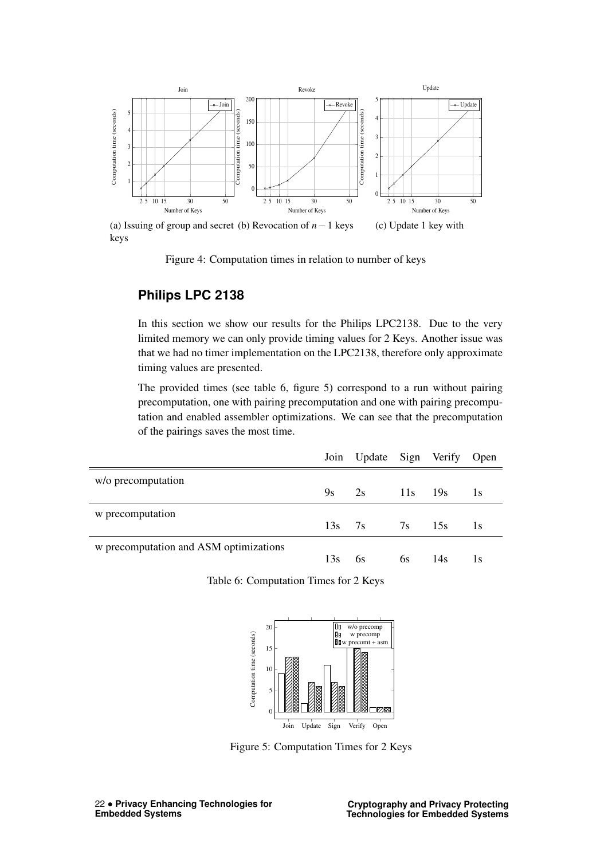

Figure 4: Computation times in relation to number of keys

## **Philips LPC 2138**

In this section we show our results for the Philips LPC2138. Due to the very limited memory we can only provide timing values for 2 Keys. Another issue was that we had no timer implementation on the LPC2138, therefore only approximate timing values are presented.

The provided times (see table 6, figure 5) correspond to a run without pairing precomputation, one with pairing precomputation and one with pairing precomputation and enabled assembler optimizations. We can see that the precomputation of the pairings saves the most time.

|                                        |     | Join Update Sign Verify Open |    |             |     |
|----------------------------------------|-----|------------------------------|----|-------------|-----|
| w/o precomputation                     |     |                              |    |             |     |
|                                        | 9s  | 2s                           |    | $11s$ $19s$ | -ls |
| w precomputation                       |     |                              |    |             |     |
|                                        | 13s | 7s                           | 7s | 15s         | -ls |
| w precomputation and ASM optimizations |     |                              |    |             |     |
|                                        | 13s | 6s                           | 6s | 14s         | 1s  |

Table 6: Computation Times for 2 Keys



Figure 5: Computation Times for 2 Keys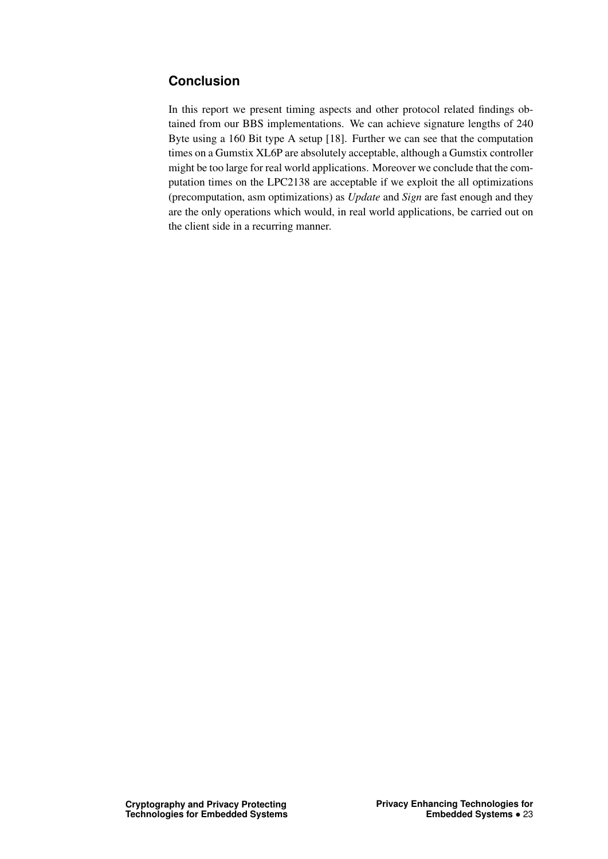## **Conclusion**

In this report we present timing aspects and other protocol related findings obtained from our BBS implementations. We can achieve signature lengths of 240 Byte using a 160 Bit type A setup [18]. Further we can see that the computation times on a Gumstix XL6P are absolutely acceptable, although a Gumstix controller might be too large for real world applications. Moreover we conclude that the computation times on the LPC2138 are acceptable if we exploit the all optimizations (precomputation, asm optimizations) as *Update* and *Sign* are fast enough and they are the only operations which would, in real world applications, be carried out on the client side in a recurring manner.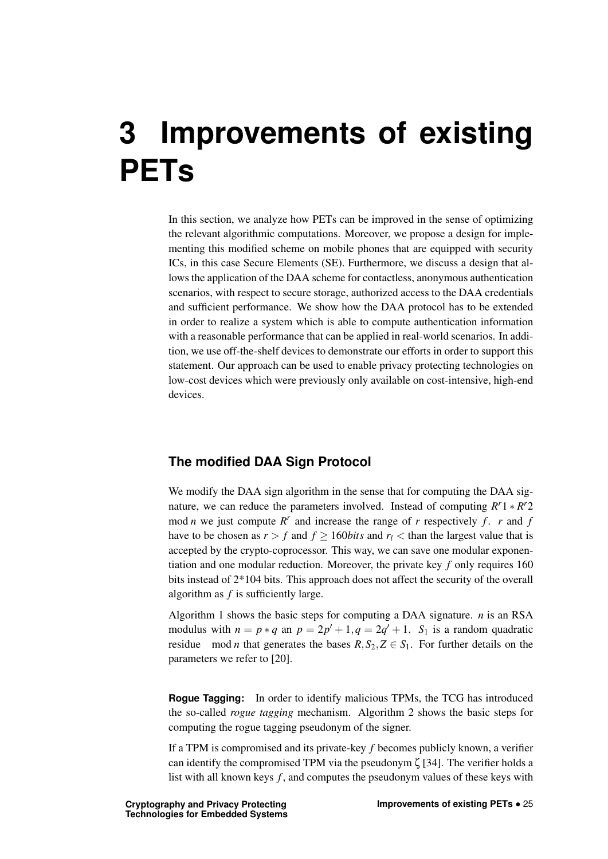# **3 Improvements of existing PETs**

In this section, we analyze how PETs can be improved in the sense of optimizing the relevant algorithmic computations. Moreover, we propose a design for implementing this modified scheme on mobile phones that are equipped with security ICs, in this case Secure Elements (SE). Furthermore, we discuss a design that allows the application of the DAA scheme for contactless, anonymous authentication scenarios, with respect to secure storage, authorized access to the DAA credentials and sufficient performance. We show how the DAA protocol has to be extended in order to realize a system which is able to compute authentication information with a reasonable performance that can be applied in real-world scenarios. In addition, we use off-the-shelf devices to demonstrate our efforts in order to support this statement. Our approach can be used to enable privacy protecting technologies on low-cost devices which were previously only available on cost-intensive, high-end devices.

#### **The modified DAA Sign Protocol**

We modify the DAA sign algorithm in the sense that for computing the DAA signature, we can reduce the parameters involved. Instead of computing  $R^r1 * R^r2$ mod *n* we just compute  $R^r$  and increase the range of *r* respectively *f*. *r* and *f* have to be chosen as  $r > f$  and  $f \ge 160 bits$  and  $r_l$  < than the largest value that is accepted by the crypto-coprocessor. This way, we can save one modular exponentiation and one modular reduction. Moreover, the private key *f* only requires 160 bits instead of 2\*104 bits. This approach does not affect the security of the overall algorithm as *f* is sufficiently large.

Algorithm 1 shows the basic steps for computing a DAA signature. *n* is an RSA modulus with  $n = p * q$  an  $p = 2p' + 1, q = 2q' + 1$ .  $S_1$  is a random quadratic residue mod *n* that generates the bases  $R, S_2, Z \in S_1$ . For further details on the parameters we refer to [20].

**Rogue Tagging:** In order to identify malicious TPMs, the TCG has introduced the so-called *rogue tagging* mechanism. Algorithm 2 shows the basic steps for computing the rogue tagging pseudonym of the signer.

If a TPM is compromised and its private-key *f* becomes publicly known, a verifier can identify the compromised TPM via the pseudonym ζ [34]. The verifier holds a list with all known keys *f* , and computes the pseudonym values of these keys with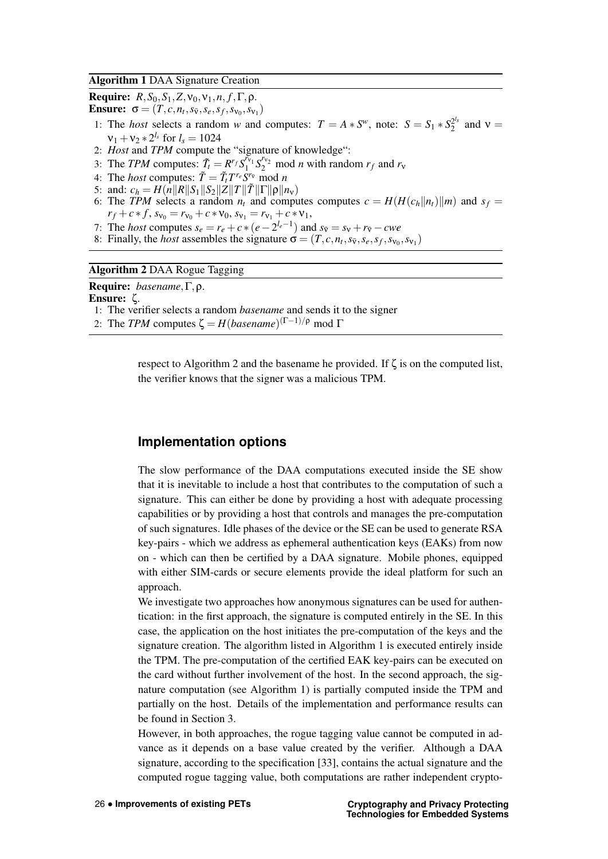#### Algorithm 1 DAA Signature Creation

**Require:** *R*, *S*<sub>0</sub>, *S*<sub>1</sub>, *Z*, *v*<sub>0</sub>, *v*<sub>1</sub>, *n*, *f*, Γ, ρ. **Ensure:**  $\sigma = (T, c, n_t, s_{\bar{v}}, s_e, s_f, s_{v_0}, s_{v_1})$ 

- 1: The *host* selects a random *w* and computes:  $T = A * S^w$ , note:  $S = S_1 * S_2^{2^h}$  $q_2^{2^{i}s}$  and  $v =$  $v_1 + v_2 * 2^{l_s}$  for  $l_s = 1024$
- 2: *Host* and *TPM* compute the "signature of knowledge":
- 3: The *TPM* computes:  $\tilde{T}_t = R^{r_f} S_1^{\tilde{r}_{v_1}} S_2^{r_{v_2}} \text{ mod } n$  with random  $r_f$  and  $r_v$
- 4: The *host* computes:  $\tilde{T} = \tilde{T}_t T^{r_e} S^{r_{\tilde{y}}}_z \text{ mod } n$
- 5: and:  $c_h = H(n||R||S_1||S_2||Z||T||\tilde{T}||\Gamma||\rho||n_v)$
- 6: The *TPM* selects a random  $n_t$  and computes computes  $c = H(H(c_h||n_t)||m)$  and  $s_f =$  $r_f + c * f$ ,  $s_{v_0} = r_{v_0} + c * v_0$ ,  $s_{v_1} = r_{v_1} + c * v_1$ ,
- 7: The *host* computes  $s_e = r_e + c * (e 2^{l_e 1})$  and  $s_{\overline{v}} = s_v + r_{\overline{v}} cwe$
- 8: Finally, the *host* assembles the signature  $\sigma = (T, c, n_t, s_{\bar{v}}, s_e, s_f, s_{v_0}, s_{v_1})$

#### Algorithm 2 DAA Rogue Tagging

Require: *basename*,Γ,ρ.

Ensure: ζ.

- 1: The verifier selects a random *basename* and sends it to the signer
- 2: The *TPM* computes  $\zeta = H(basename)^{(\Gamma-1)/\rho}$  mod  $\Gamma$

respect to Algorithm 2 and the basename he provided. If ζ is on the computed list, the verifier knows that the signer was a malicious TPM.

#### **Implementation options**

The slow performance of the DAA computations executed inside the SE show that it is inevitable to include a host that contributes to the computation of such a signature. This can either be done by providing a host with adequate processing capabilities or by providing a host that controls and manages the pre-computation of such signatures. Idle phases of the device or the SE can be used to generate RSA key-pairs - which we address as ephemeral authentication keys (EAKs) from now on - which can then be certified by a DAA signature. Mobile phones, equipped with either SIM-cards or secure elements provide the ideal platform for such an approach.

We investigate two approaches how anonymous signatures can be used for authentication: in the first approach, the signature is computed entirely in the SE. In this case, the application on the host initiates the pre-computation of the keys and the signature creation. The algorithm listed in Algorithm 1 is executed entirely inside the TPM. The pre-computation of the certified EAK key-pairs can be executed on the card without further involvement of the host. In the second approach, the signature computation (see Algorithm 1) is partially computed inside the TPM and partially on the host. Details of the implementation and performance results can be found in Section 3.

However, in both approaches, the rogue tagging value cannot be computed in advance as it depends on a base value created by the verifier. Although a DAA signature, according to the specification [33], contains the actual signature and the computed rogue tagging value, both computations are rather independent crypto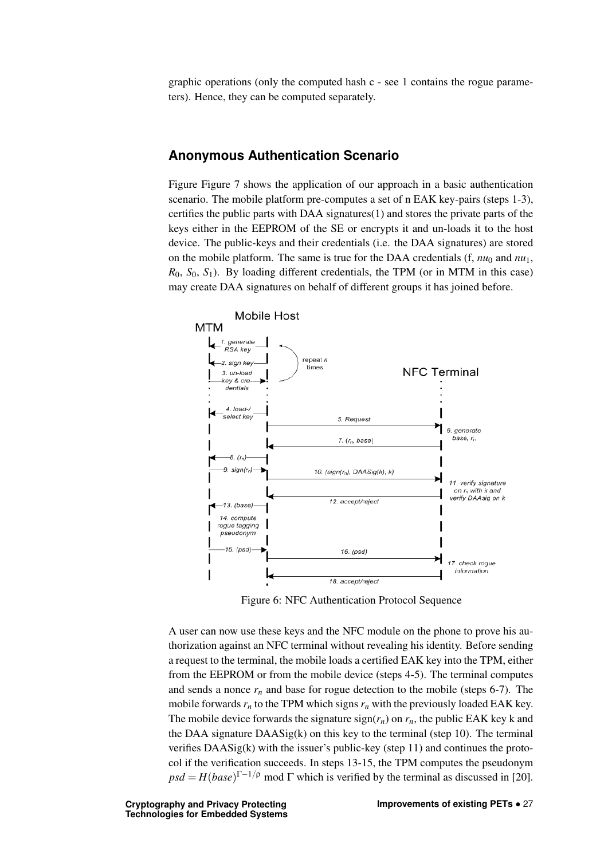graphic operations (only the computed hash c - see 1 contains the rogue parameters). Hence, they can be computed separately.

#### **Anonymous Authentication Scenario**

Figure Figure 7 shows the application of our approach in a basic authentication scenario. The mobile platform pre-computes a set of n EAK key-pairs (steps 1-3), certifies the public parts with DAA signatures(1) and stores the private parts of the keys either in the EEPROM of the SE or encrypts it and un-loads it to the host device. The public-keys and their credentials (i.e. the DAA signatures) are stored on the mobile platform. The same is true for the DAA credentials  $(f, nu_0 \text{ and } nu_1)$ ,  $R_0$ ,  $S_0$ ,  $S_1$ ). By loading different credentials, the TPM (or in MTM in this case) may create DAA signatures on behalf of different groups it has joined before.



Figure 6: NFC Authentication Protocol Sequence

A user can now use these keys and the NFC module on the phone to prove his authorization against an NFC terminal without revealing his identity. Before sending a request to the terminal, the mobile loads a certified EAK key into the TPM, either from the EEPROM or from the mobile device (steps 4-5). The terminal computes and sends a nonce  $r_n$  and base for rogue detection to the mobile (steps 6-7). The mobile forwards  $r_n$  to the TPM which signs  $r_n$  with the previously loaded EAK key. The mobile device forwards the signature  $sign(r_n)$  on  $r_n$ , the public EAK key k and the DAA signature  $D\text{AASig}(k)$  on this key to the terminal (step 10). The terminal verifies DAASig(k) with the issuer's public-key (step 11) and continues the protocol if the verification succeeds. In steps 13-15, the TPM computes the pseudonym  $psd = H(base)^{\Gamma-1/\rho}$  mod  $\Gamma$  which is verified by the terminal as discussed in [20].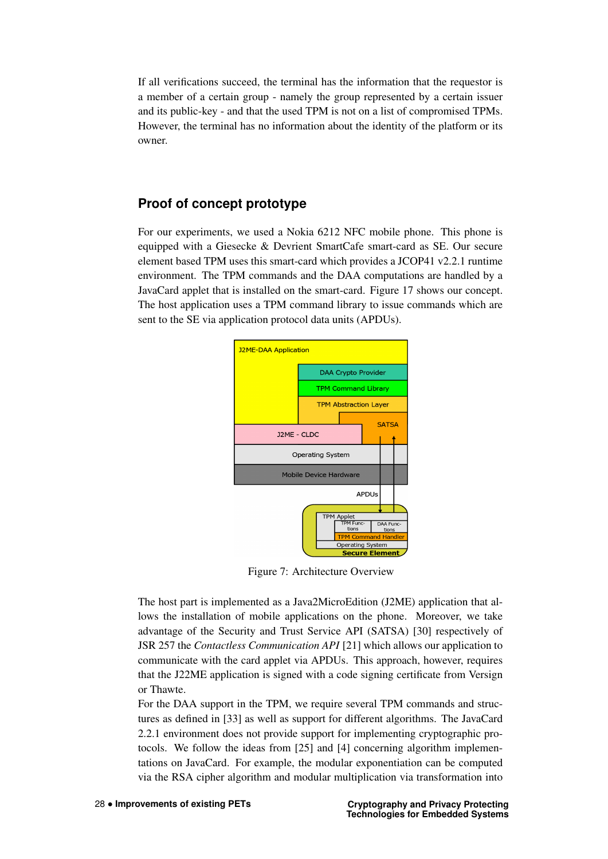If all verifications succeed, the terminal has the information that the requestor is a member of a certain group - namely the group represented by a certain issuer and its public-key - and that the used TPM is not on a list of compromised TPMs. However, the terminal has no information about the identity of the platform or its owner.

## **Proof of concept prototype**

For our experiments, we used a Nokia 6212 NFC mobile phone. This phone is equipped with a Giesecke & Devrient SmartCafe smart-card as SE. Our secure element based TPM uses this smart-card which provides a JCOP41 v2.2.1 runtime environment. The TPM commands and the DAA computations are handled by a JavaCard applet that is installed on the smart-card. Figure 17 shows our concept. The host application uses a TPM command library to issue commands which are sent to the SE via application protocol data units (APDUs).



Figure 7: Architecture Overview

The host part is implemented as a Java2MicroEdition (J2ME) application that allows the installation of mobile applications on the phone. Moreover, we take advantage of the Security and Trust Service API (SATSA) [30] respectively of JSR 257 the *Contactless Communication API* [21] which allows our application to communicate with the card applet via APDUs. This approach, however, requires that the J22ME application is signed with a code signing certificate from Versign or Thawte.

For the DAA support in the TPM, we require several TPM commands and structures as defined in [33] as well as support for different algorithms. The JavaCard 2.2.1 environment does not provide support for implementing cryptographic protocols. We follow the ideas from [25] and [4] concerning algorithm implementations on JavaCard. For example, the modular exponentiation can be computed via the RSA cipher algorithm and modular multiplication via transformation into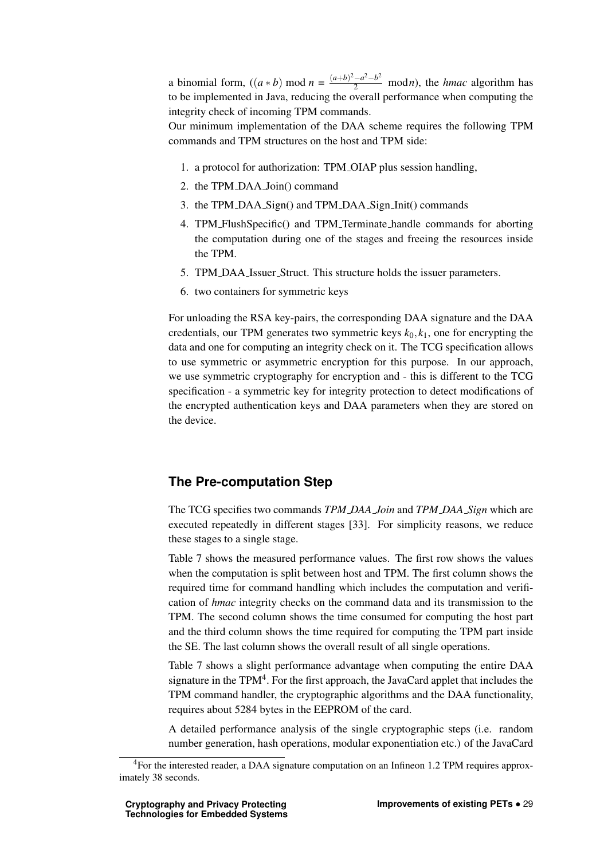a binomial form,  $((a * b) \text{ mod } n = \frac{(a+b)^2 - a^2 - b^2}{2} \text{ mod } n)$ , the *hmac* algorithm has to be implemented in Java, reducing the overall performance when computing the integrity check of incoming TPM commands.

Our minimum implementation of the DAA scheme requires the following TPM commands and TPM structures on the host and TPM side:

- 1. a protocol for authorization: TPM OIAP plus session handling,
- 2. the TPM DAA Join() command
- 3. the TPM DAA Sign() and TPM DAA Sign Init() commands
- 4. TPM FlushSpecific() and TPM Terminate handle commands for aborting the computation during one of the stages and freeing the resources inside the TPM.
- 5. TPM DAA Issuer Struct. This structure holds the issuer parameters.
- 6. two containers for symmetric keys

For unloading the RSA key-pairs, the corresponding DAA signature and the DAA credentials, our TPM generates two symmetric keys  $k_0, k_1$ , one for encrypting the data and one for computing an integrity check on it. The TCG specification allows to use symmetric or asymmetric encryption for this purpose. In our approach, we use symmetric cryptography for encryption and - this is different to the TCG specification - a symmetric key for integrity protection to detect modifications of the encrypted authentication keys and DAA parameters when they are stored on the device.

#### **The Pre-computation Step**

The TCG specifies two commands *TPM DAA Join* and *TPM DAA Sign* which are executed repeatedly in different stages [33]. For simplicity reasons, we reduce these stages to a single stage.

Table 7 shows the measured performance values. The first row shows the values when the computation is split between host and TPM. The first column shows the required time for command handling which includes the computation and verification of *hmac* integrity checks on the command data and its transmission to the TPM. The second column shows the time consumed for computing the host part and the third column shows the time required for computing the TPM part inside the SE. The last column shows the overall result of all single operations.

Table 7 shows a slight performance advantage when computing the entire DAA signature in the TPM<sup>4</sup>. For the first approach, the JavaCard applet that includes the TPM command handler, the cryptographic algorithms and the DAA functionality, requires about 5284 bytes in the EEPROM of the card.

A detailed performance analysis of the single cryptographic steps (i.e. random number generation, hash operations, modular exponentiation etc.) of the JavaCard

 ${}^{4}$ For the interested reader, a DAA signature computation on an Infineon 1.2 TPM requires approximately 38 seconds.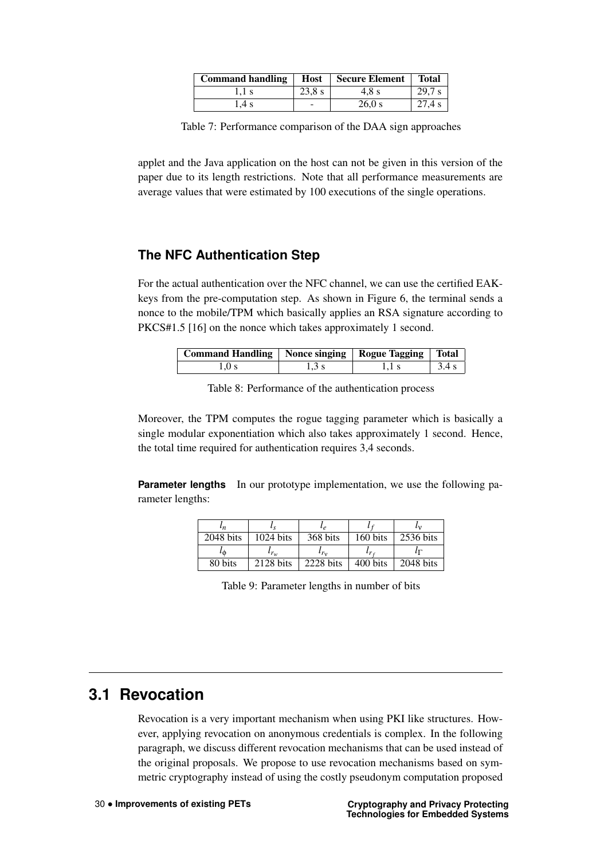| <b>Command handling</b> | Host   | Secure Element | <b>Total</b> |
|-------------------------|--------|----------------|--------------|
| 1.1 s                   | 23.8 s | 4.8 s          | 29.7 s       |
| 1.4 s                   |        | 26.0 s         | 27.4 s       |

Table 7: Performance comparison of the DAA sign approaches

applet and the Java application on the host can not be given in this version of the paper due to its length restrictions. Note that all performance measurements are average values that were estimated by 100 executions of the single operations.

#### **The NFC Authentication Step**

For the actual authentication over the NFC channel, we can use the certified EAKkeys from the pre-computation step. As shown in Figure 6, the terminal sends a nonce to the mobile/TPM which basically applies an RSA signature according to PKCS#1.5 [16] on the nonce which takes approximately 1 second.

| Command Handling   Nonce singing   Rogue Tagging   Total |         |       |                           |
|----------------------------------------------------------|---------|-------|---------------------------|
| 1.0 s                                                    | $1.3$ s | 1.1 s | $\frac{3.4 \text{ s}}{2}$ |

Table 8: Performance of the authentication process

Moreover, the TPM computes the rogue tagging parameter which is basically a single modular exponentiation which also takes approximately 1 second. Hence, the total time required for authentication requires 3,4 seconds.

**Parameter lengths** In our prototype implementation, we use the following parameter lengths:

| $\iota_n$   |                    | ιρ                  |          |             |
|-------------|--------------------|---------------------|----------|-------------|
| $2048$ bits | $1024$ bits        | 368 bits            | 160 bits | 2536 bits   |
|             | $t_{\mathit{r}_w}$ | $\iota_{r}$         | ır.      |             |
| 80 bits     | 2128 bits          | $2228 \text{ bits}$ | 400 bits | $2048$ bits |

Table 9: Parameter lengths in number of bits

# **3.1 Revocation**

Revocation is a very important mechanism when using PKI like structures. However, applying revocation on anonymous credentials is complex. In the following paragraph, we discuss different revocation mechanisms that can be used instead of the original proposals. We propose to use revocation mechanisms based on symmetric cryptography instead of using the costly pseudonym computation proposed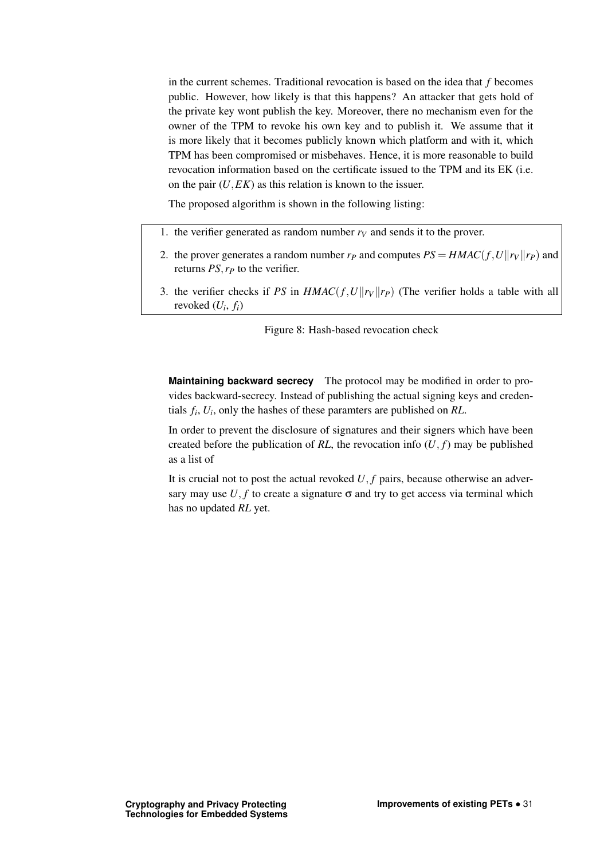in the current schemes. Traditional revocation is based on the idea that *f* becomes public. However, how likely is that this happens? An attacker that gets hold of the private key wont publish the key. Moreover, there no mechanism even for the owner of the TPM to revoke his own key and to publish it. We assume that it is more likely that it becomes publicly known which platform and with it, which TPM has been compromised or misbehaves. Hence, it is more reasonable to build revocation information based on the certificate issued to the TPM and its EK (i.e. on the pair (*U*,*EK*) as this relation is known to the issuer.

The proposed algorithm is shown in the following listing:

- 1. the verifier generated as random number  $r_V$  and sends it to the prover.
- 2. the prover generates a random number  $r_p$  and computes  $PS = HMAC(f, U||r_V||r_P)$  and returns *PS*,*r<sup>P</sup>* to the verifier.
- 3. the verifier checks if *PS* in  $HMAC(f, U||r<sub>V</sub>||r<sub>P</sub>)$  (The verifier holds a table with all revoked  $(U_i, f_i)$

Figure 8: Hash-based revocation check

**Maintaining backward secrecy** The protocol may be modified in order to provides backward-secrecy. Instead of publishing the actual signing keys and credentials *f<sup>i</sup>* , *U<sup>i</sup>* , only the hashes of these paramters are published on *RL*.

In order to prevent the disclosure of signatures and their signers which have been created before the publication of  $RL$ , the revocation info  $(U, f)$  may be published as a list of

It is crucial not to post the actual revoked *U*, *f* pairs, because otherwise an adversary may use  $U, f$  to create a signature  $\sigma$  and try to get access via terminal which has no updated *RL* yet.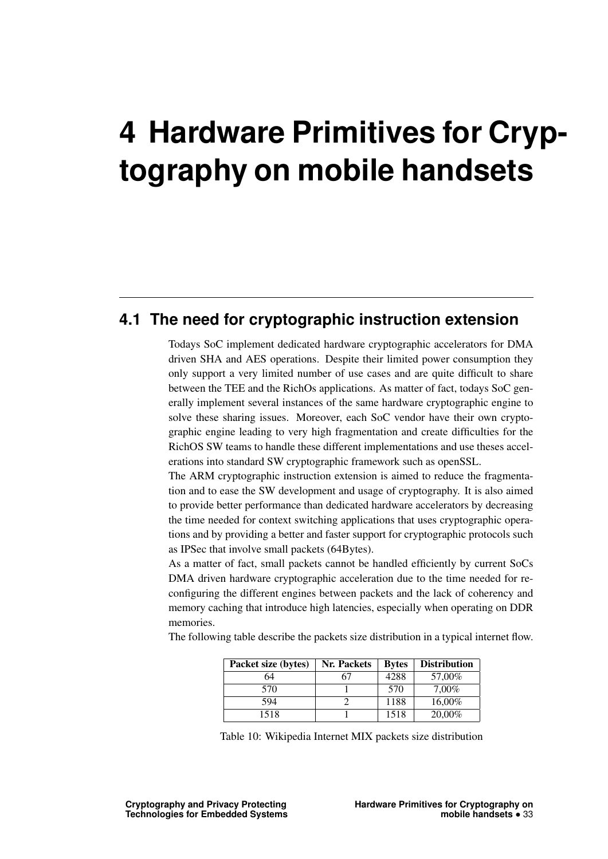# **4 Hardware Primitives for Cryptography on mobile handsets**

## **4.1 The need for cryptographic instruction extension**

Todays SoC implement dedicated hardware cryptographic accelerators for DMA driven SHA and AES operations. Despite their limited power consumption they only support a very limited number of use cases and are quite difficult to share between the TEE and the RichOs applications. As matter of fact, todays SoC generally implement several instances of the same hardware cryptographic engine to solve these sharing issues. Moreover, each SoC vendor have their own cryptographic engine leading to very high fragmentation and create difficulties for the RichOS SW teams to handle these different implementations and use theses accelerations into standard SW cryptographic framework such as openSSL.

The ARM cryptographic instruction extension is aimed to reduce the fragmentation and to ease the SW development and usage of cryptography. It is also aimed to provide better performance than dedicated hardware accelerators by decreasing the time needed for context switching applications that uses cryptographic operations and by providing a better and faster support for cryptographic protocols such as IPSec that involve small packets (64Bytes).

As a matter of fact, small packets cannot be handled efficiently by current SoCs DMA driven hardware cryptographic acceleration due to the time needed for reconfiguring the different engines between packets and the lack of coherency and memory caching that introduce high latencies, especially when operating on DDR memories.

The following table describe the packets size distribution in a typical internet flow.

| Packet size (bytes) | Nr. Packets | <b>Bytes</b> | <b>Distribution</b> |
|---------------------|-------------|--------------|---------------------|
| 64                  | 67          | 4288         | 57,00%              |
| 570                 |             | 570          | $7,00\%$            |
| 594                 |             | 1188         | 16,00%              |
| 1518                |             | 1518         | 20,00%              |

Table 10: Wikipedia Internet MIX packets size distribution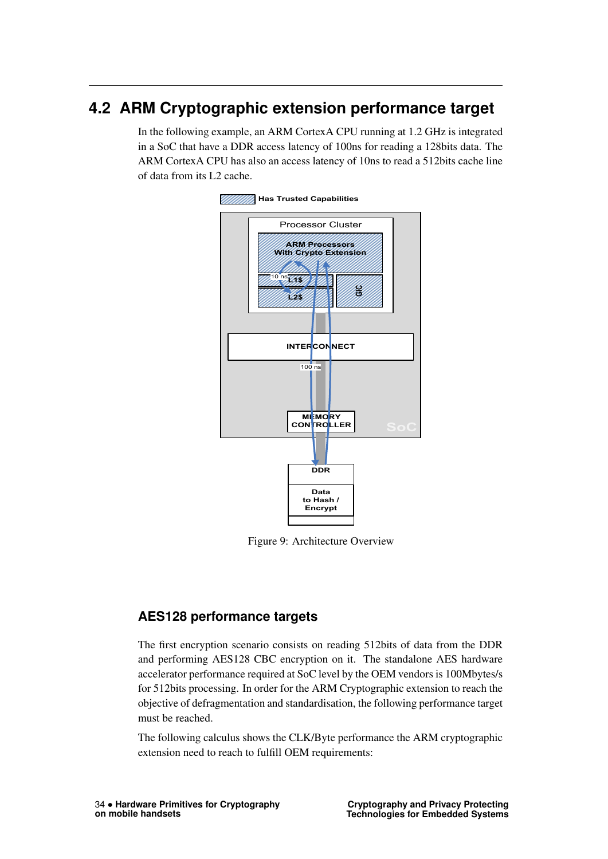# **4.2 ARM Cryptographic extension performance target**

In the following example, an ARM CortexA CPU running at 1.2 GHz is integrated in a SoC that have a DDR access latency of 100ns for reading a 128bits data. The ARM CortexA CPU has also an access latency of 10ns to read a 512bits cache line of data from its L2 cache.



**Has Trusted Capabilities**

Figure 9: Architecture Overview

#### **AES128 performance targets**

The first encryption scenario consists on reading 512bits of data from the DDR and performing AES128 CBC encryption on it. The standalone AES hardware accelerator performance required at SoC level by the OEM vendors is 100Mbytes/s for 512bits processing. In order for the ARM Cryptographic extension to reach the objective of defragmentation and standardisation, the following performance target must be reached.

The following calculus shows the CLK/Byte performance the ARM cryptographic extension need to reach to fulfill OEM requirements: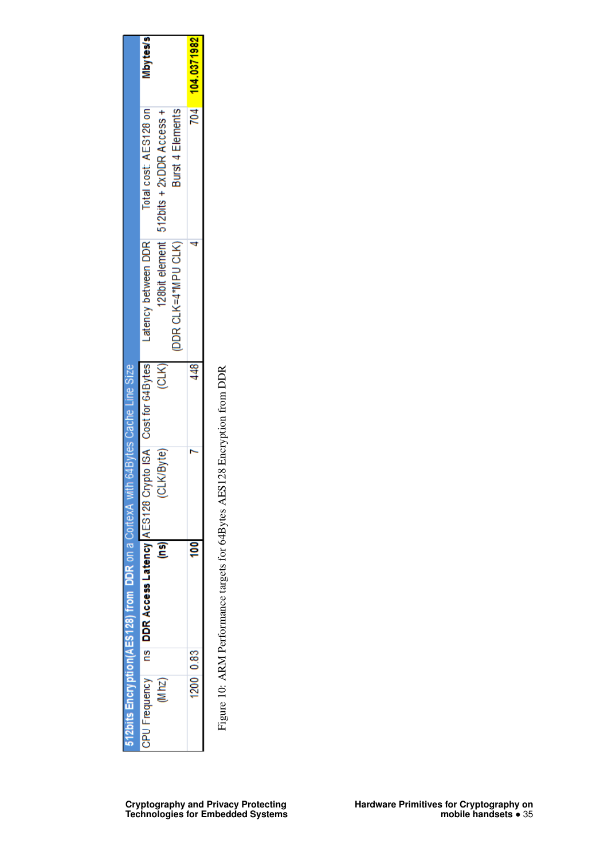| 100<br>π |
|----------|
|          |
|          |

Figure 10: ARM Performance targets for 64Bytes AES128 Encryption from DDR Figure 10: ARM Performance targets for 64Bytes AES128 Encryption from DDR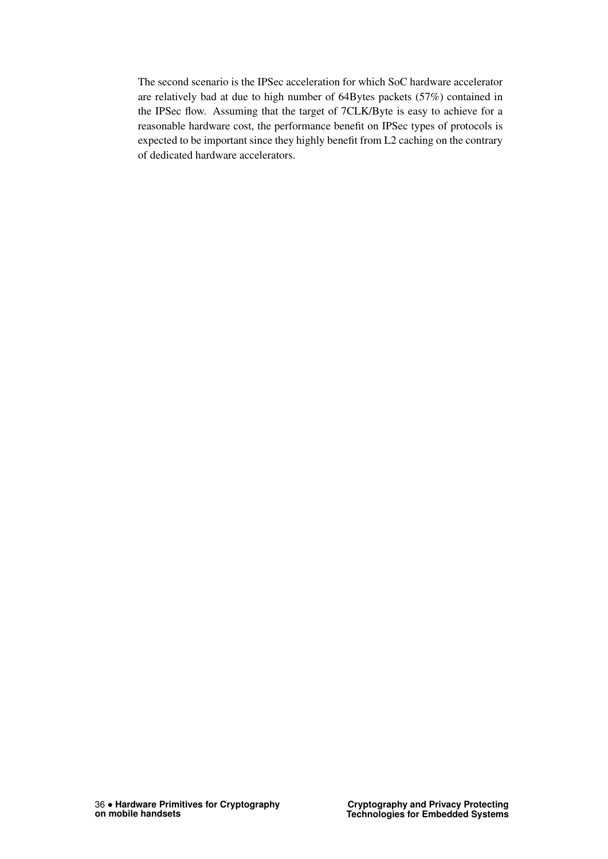The second scenario is the IPSec acceleration for which SoC hardware accelerator are relatively bad at due to high number of 64Bytes packets (57%) contained in the IPSec flow. Assuming that the target of 7CLK/Byte is easy to achieve for a reasonable hardware cost, the performance benefit on IPSec types of protocols is expected to be important since they highly benefit from L2 caching on the contrary of dedicated hardware accelerators.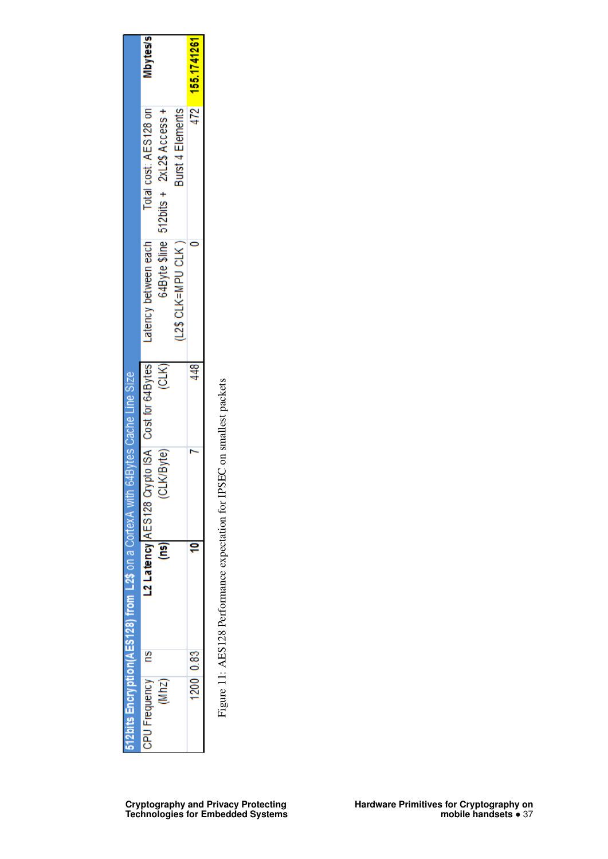|                                                        | <b>Mbytes/s</b>                                 |                                        |                    | 472 155.1741261 |  |
|--------------------------------------------------------|-------------------------------------------------|----------------------------------------|--------------------|-----------------|--|
|                                                        | Total cost: AES128 on                           | 64Byte Sline 512bits + 2xL2\$ Access + | Burst 4 Elements   |                 |  |
|                                                        | Latency between each                            |                                        | (L2\$ CLK=MPU CLK) |                 |  |
| 64Bytes Cache Line Size                                |                                                 | (CLK)                                  |                    | 448             |  |
|                                                        | L2 Latency AES128 Crypto ISA   Cost for 64Bytes | (CLK/Byte)                             |                    |                 |  |
| 512bits Encryption(AES128) from L2\$ on a CortexA with |                                                 | $\widehat{\mathbf{e}}$                 |                    | e               |  |
|                                                        |                                                 |                                        |                    |                 |  |
|                                                        | CPU Frequency                                   | (Mhz)                                  |                    | 1200 0.83       |  |

Figure 11: AES128 Performance expectation for IPSEC on smallest packets Figure 11: AES128 Performance expectation for IPSEC on smallest packets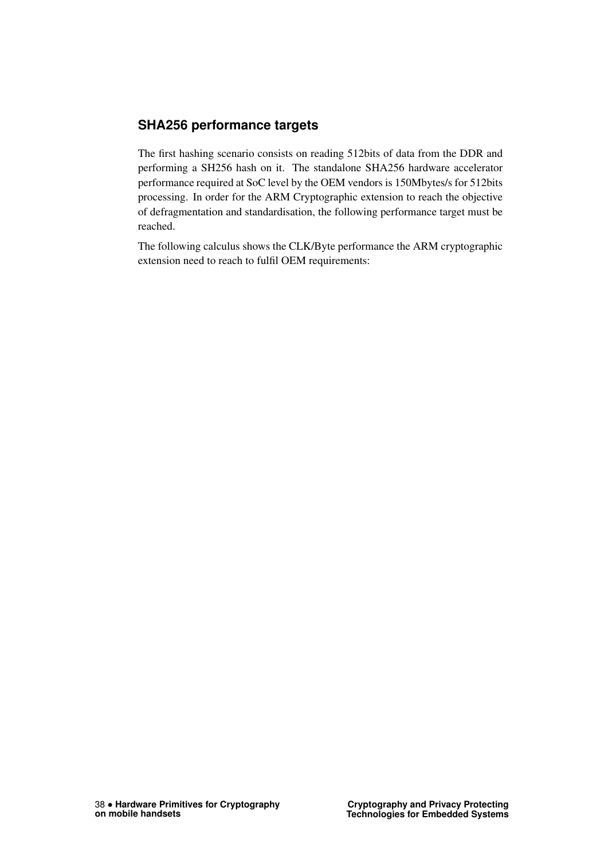#### **SHA256 performance targets**

The first hashing scenario consists on reading 512bits of data from the DDR and performing a SH256 hash on it. The standalone SHA256 hardware accelerator performance required at SoC level by the OEM vendors is 150Mbytes/s for 512bits processing. In order for the ARM Cryptographic extension to reach the objective of defragmentation and standardisation, the following performance target must be reached.

The following calculus shows the CLK/Byte performance the ARM cryptographic extension need to reach to fulfil OEM requirements: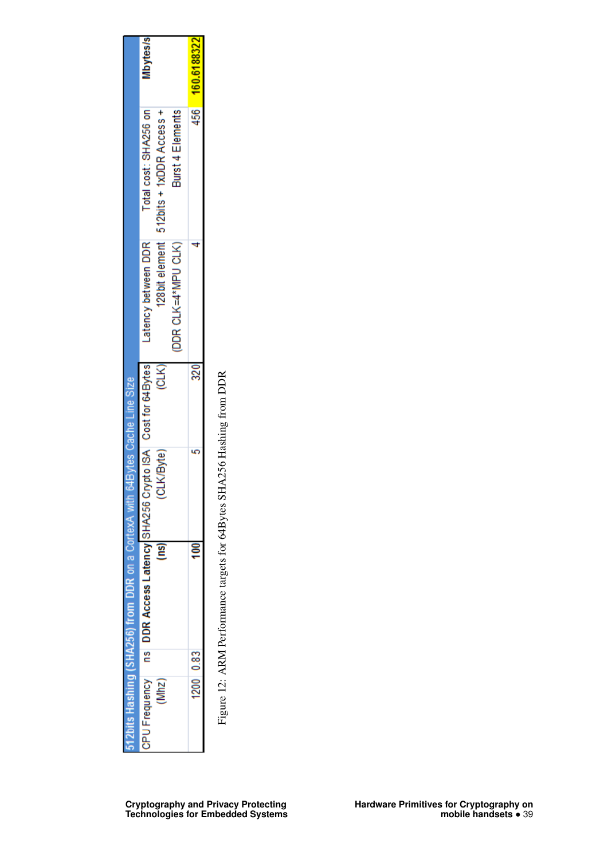|                 | <b>Mbytes/s</b>               |                                           |                     | 160.6188322    |
|-----------------|-------------------------------|-------------------------------------------|---------------------|----------------|
|                 | Total cost: SHA256 on         | 128 bit element 512 bits + 1xDDR Access + | Burst 4 Elements    | 456            |
|                 | Latency between DDR           |                                           | (DDR CLK=4*MPU CLK) |                |
| Cache Line Size | rypto ISA   Cost for 64 Bytes | (CLK)                                     |                     | 320            |
|                 |                               | CLK/Byte)                                 |                     | 5              |
|                 | ns DDR Access Latency SHA256  | ΓS)                                       |                     | $\overline{0}$ |
|                 |                               |                                           |                     | 12000083       |
|                 | <b>CPU Frequency</b>          | (Mlnz                                     |                     |                |

Figure 12: ARM Performance targets for 64Bytes SHA256 Hashing from DDR Figure 12: ARM Performance targets for 64Bytes SHA256 Hashing from DDR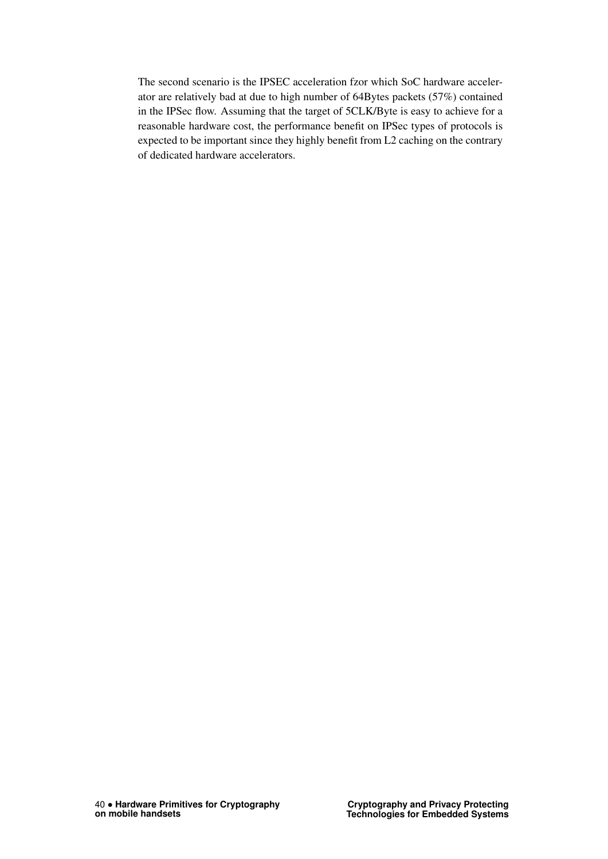The second scenario is the IPSEC acceleration fzor which SoC hardware accelerator are relatively bad at due to high number of 64Bytes packets (57%) contained in the IPSec flow. Assuming that the target of 5CLK/Byte is easy to achieve for a reasonable hardware cost, the performance benefit on IPSec types of protocols is expected to be important since they highly benefit from L2 caching on the contrary of dedicated hardware accelerators.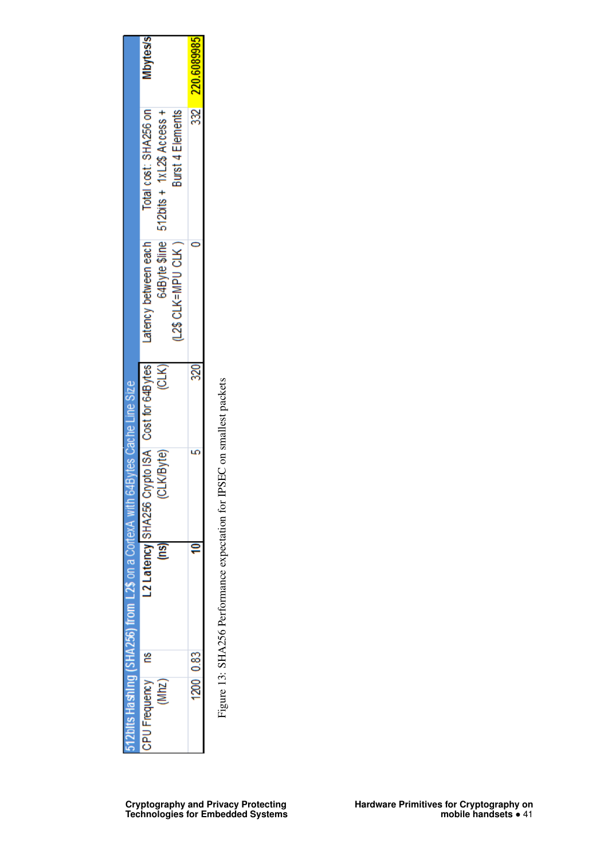|                                                    | <b>Abytes/s</b>                              |                                                            | 332 220,6089985 |
|----------------------------------------------------|----------------------------------------------|------------------------------------------------------------|-----------------|
|                                                    | Total cost: SHA256 on                        | Burst 4 Elements<br>64Byte Sline 512bits + 1xL2\$ Access + |                 |
|                                                    | Latency between each                         | (L2\$ CLK=MPU CLK)                                         |                 |
| Bytes Cache Line Size                              |                                              | (CLK)                                                      | 320             |
|                                                    | 2 Latency SHA256 Crypto ISA Cost for 64Bytes | (CLK/Byte)                                                 |                 |
| i2bits Hashing (SHA256) from L2\$ on a CortexA wit |                                              | ns)                                                        | Ş               |
|                                                    | ۴S                                           |                                                            |                 |
|                                                    | CPU Frequency                                | Mhz)                                                       | 1200 0.83       |

Figure 13: SHA256 Performance expectation for IPSEC on smallest packets Figure 13: SHA256 Performance expectation for IPSEC on smallest packets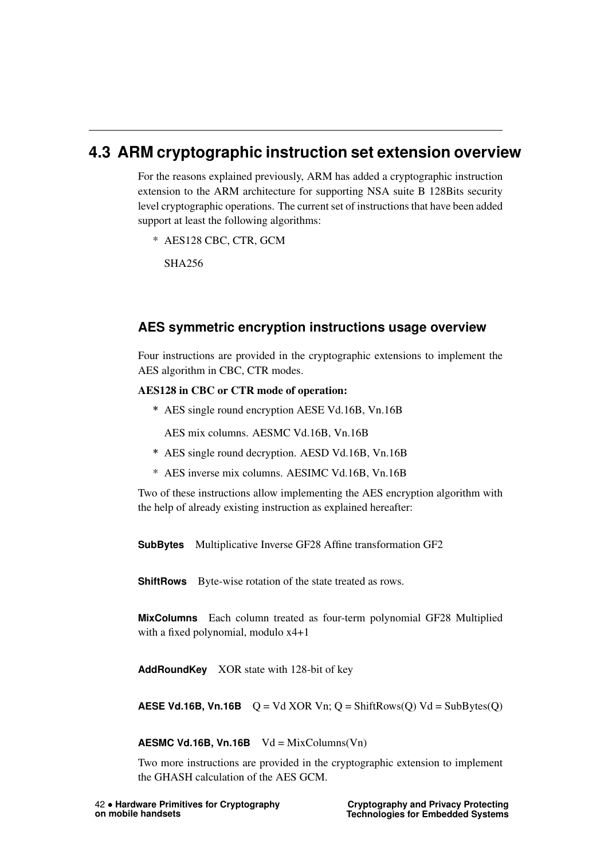# **4.3 ARM cryptographic instruction set extension overview**

For the reasons explained previously, ARM has added a cryptographic instruction extension to the ARM architecture for supporting NSA suite B 128Bits security level cryptographic operations. The current set of instructions that have been added support at least the following algorithms:

\* AES128 CBC, CTR, GCM

SHA256

#### **AES symmetric encryption instructions usage overview**

Four instructions are provided in the cryptographic extensions to implement the AES algorithm in CBC, CTR modes.

#### AES128 in CBC or CTR mode of operation:

\* AES single round encryption AESE Vd.16B, Vn.16B

AES mix columns. AESMC Vd.16B, Vn.16B

- \* AES single round decryption. AESD Vd.16B, Vn.16B
- \* AES inverse mix columns. AESIMC Vd.16B, Vn.16B

Two of these instructions allow implementing the AES encryption algorithm with the help of already existing instruction as explained hereafter:

**SubBytes** Multiplicative Inverse GF28 Affine transformation GF2

**ShiftRows** Byte-wise rotation of the state treated as rows.

**MixColumns** Each column treated as four-term polynomial GF28 Multiplied with a fixed polynomial, modulo x4+1

**AddRoundKey** XOR state with 128-bit of key

**AESE Vd.16B, Vn.16B**  $Q = Vd XOR Vn$ ;  $Q = ShifRows(Q) Vd = SubBytes(Q)$ 

**AESMC Vd.16B, Vn.16B**  $Vd = MixColumns(Vn)$ 

Two more instructions are provided in the cryptographic extension to implement the GHASH calculation of the AES GCM.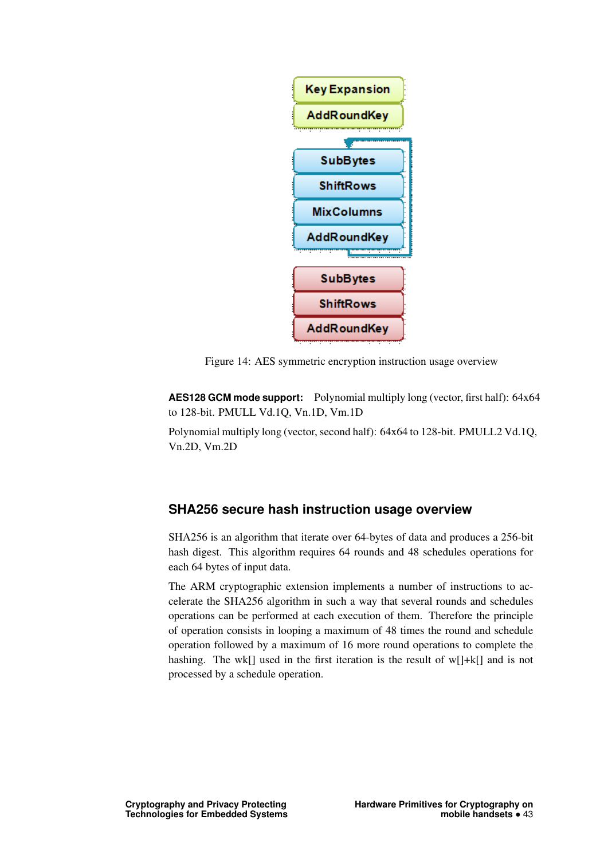

Figure 14: AES symmetric encryption instruction usage overview

**AES128 GCM mode support:** Polynomial multiply long (vector, first half): 64x64 to 128-bit. PMULL Vd.1Q, Vn.1D, Vm.1D

Polynomial multiply long (vector, second half): 64x64 to 128-bit. PMULL2 Vd.1Q, Vn.2D, Vm.2D

#### **SHA256 secure hash instruction usage overview**

SHA256 is an algorithm that iterate over 64-bytes of data and produces a 256-bit hash digest. This algorithm requires 64 rounds and 48 schedules operations for each 64 bytes of input data.

The ARM cryptographic extension implements a number of instructions to accelerate the SHA256 algorithm in such a way that several rounds and schedules operations can be performed at each execution of them. Therefore the principle of operation consists in looping a maximum of 48 times the round and schedule operation followed by a maximum of 16 more round operations to complete the hashing. The wk[] used in the first iteration is the result of w[]+k[] and is not processed by a schedule operation.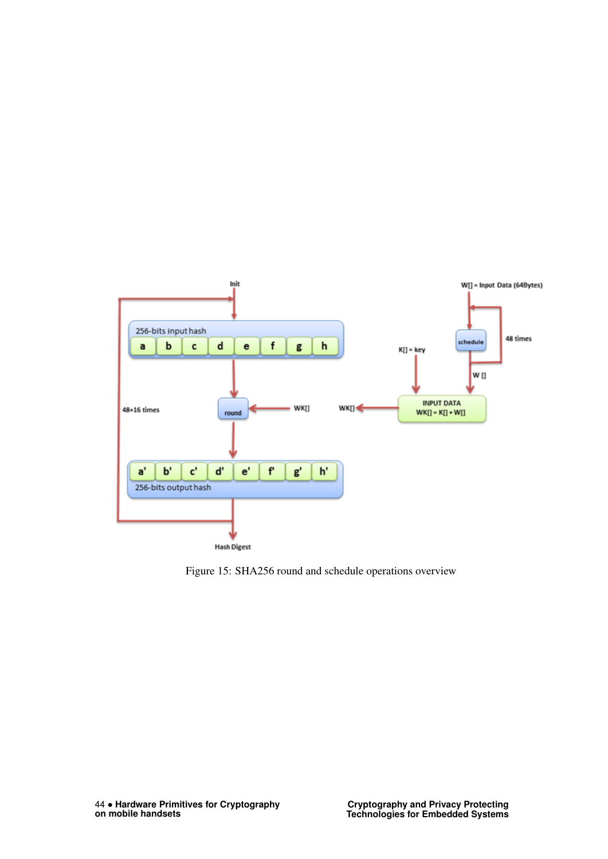

Figure 15: SHA256 round and schedule operations overview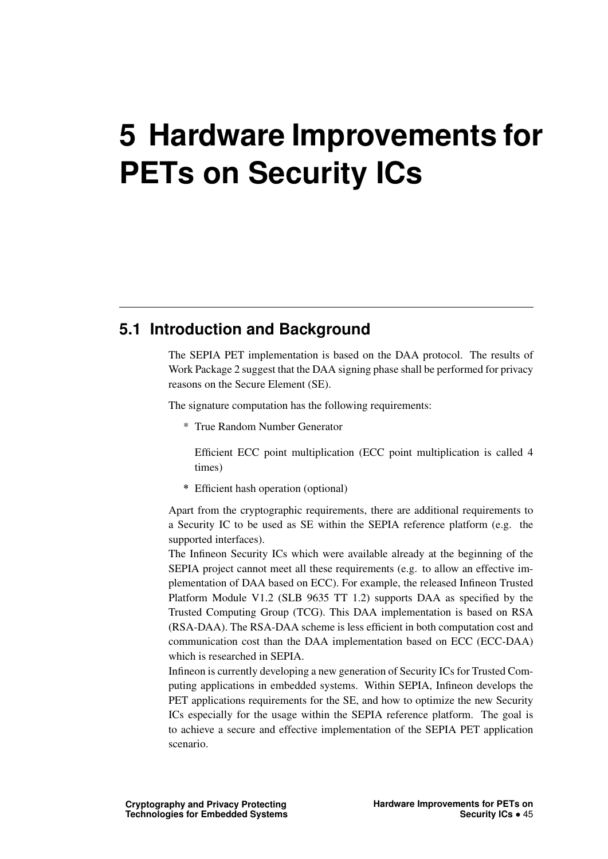# **5 Hardware Improvements for PETs on Security ICs**

### **5.1 Introduction and Background**

The SEPIA PET implementation is based on the DAA protocol. The results of Work Package 2 suggest that the DAA signing phase shall be performed for privacy reasons on the Secure Element (SE).

The signature computation has the following requirements:

\* True Random Number Generator

Efficient ECC point multiplication (ECC point multiplication is called 4 times)

\* Efficient hash operation (optional)

Apart from the cryptographic requirements, there are additional requirements to a Security IC to be used as SE within the SEPIA reference platform (e.g. the supported interfaces).

The Infineon Security ICs which were available already at the beginning of the SEPIA project cannot meet all these requirements (e.g. to allow an effective implementation of DAA based on ECC). For example, the released Infineon Trusted Platform Module V1.2 (SLB 9635 TT 1.2) supports DAA as specified by the Trusted Computing Group (TCG). This DAA implementation is based on RSA (RSA-DAA). The RSA-DAA scheme is less efficient in both computation cost and communication cost than the DAA implementation based on ECC (ECC-DAA) which is researched in SEPIA.

Infineon is currently developing a new generation of Security ICs for Trusted Computing applications in embedded systems. Within SEPIA, Infineon develops the PET applications requirements for the SE, and how to optimize the new Security ICs especially for the usage within the SEPIA reference platform. The goal is to achieve a secure and effective implementation of the SEPIA PET application scenario.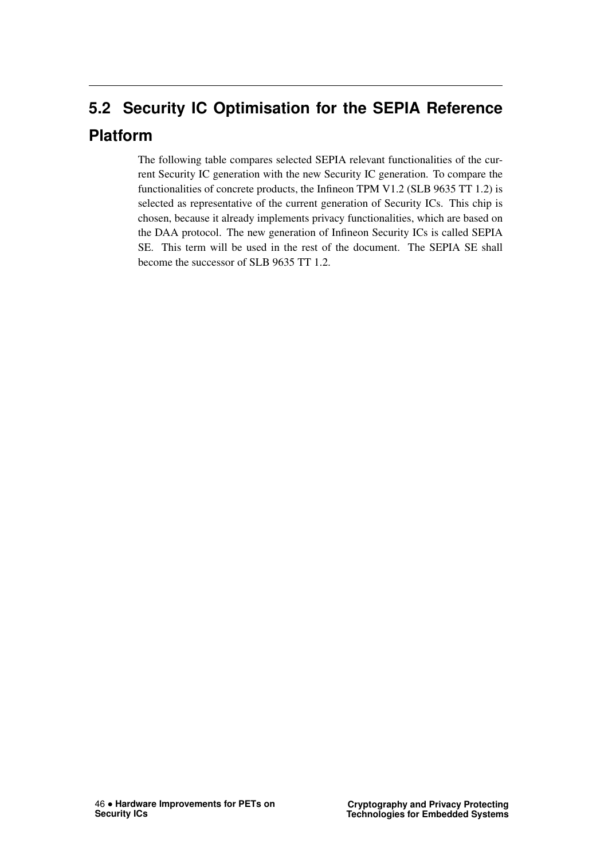# **5.2 Security IC Optimisation for the SEPIA Reference Platform**

The following table compares selected SEPIA relevant functionalities of the current Security IC generation with the new Security IC generation. To compare the functionalities of concrete products, the Infineon TPM V1.2 (SLB 9635 TT 1.2) is selected as representative of the current generation of Security ICs. This chip is chosen, because it already implements privacy functionalities, which are based on the DAA protocol. The new generation of Infineon Security ICs is called SEPIA SE. This term will be used in the rest of the document. The SEPIA SE shall become the successor of SLB 9635 TT 1.2.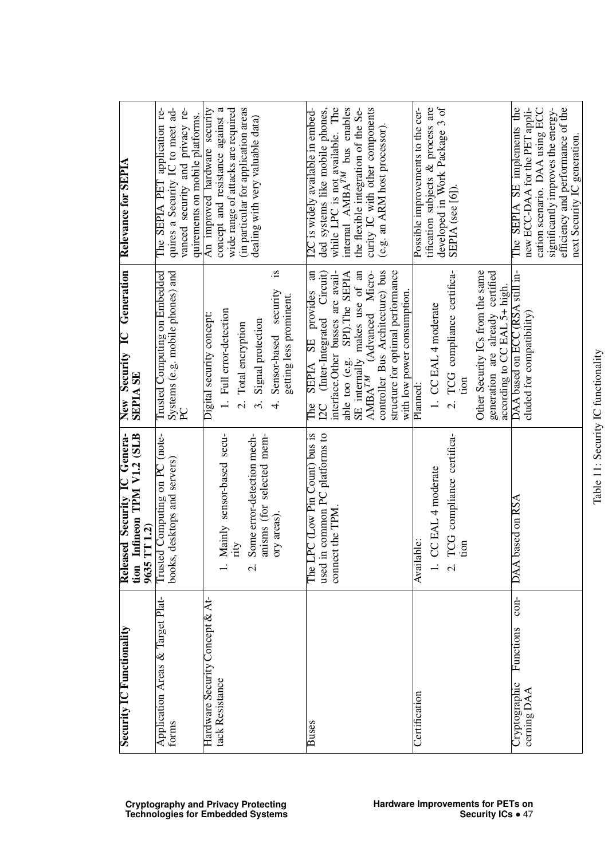| <b>Security IC Functionality</b>                    | Infineon TPM V1.2 (SLB<br>Released Security IC Genera-<br>IT 1.2)<br>9635<br>tion                                     | New Security IC Generation<br><b>SEPIA SE</b>                                                                                                                                                                                                                                                                                                          | Relevance for SEPIA                                                                                                                                                                                                                                |
|-----------------------------------------------------|-----------------------------------------------------------------------------------------------------------------------|--------------------------------------------------------------------------------------------------------------------------------------------------------------------------------------------------------------------------------------------------------------------------------------------------------------------------------------------------------|----------------------------------------------------------------------------------------------------------------------------------------------------------------------------------------------------------------------------------------------------|
| Target Plat-<br>Application Areas &<br>forms        | Trusted Computing on PC (note-<br>books, desktops and servers)                                                        | Systems (e.g. mobile phones) and<br>Trusted Computing on Embedded<br>PC                                                                                                                                                                                                                                                                                | quires a Security IC to meet ad-<br>The SEPIA PET application re-<br>vanced security and privacy re-<br>quirements on mobile platforms.                                                                                                            |
| Hardware Security Concept & At-<br>tack Resistance  | Mainly sensor-based secu-<br>Some error-detection mech-<br>anisms (for selected mem-<br>ory areas).<br>rity<br>$\sim$ | ŠÍ.<br>Sensor-based security<br>getting less prominent.<br>1. Full error-detection<br>Digital security concept:<br>Signal protection<br>2. Total encryption<br>$\overline{4}$<br>$\ddot{\mathrm{c}}$                                                                                                                                                   | (in particular for application areas<br>wide range of attacks are required<br>An improved hardware security<br>concept and resistance against a<br>dealing with very valuable data)                                                                |
| Buses                                               | $PC$ (Low Pin Count) bus is<br>used in common PC platforms to<br>connect the TPM.<br>The <sub>1</sub>                 | controller Bus Architecture) bus<br>structure for optimal performance<br>interface. Other busses are avail-<br>able too (e.g. SPI).The SEPIA<br>SE internally makes use of an<br>AMBA <sup>TM</sup> (Advanced Micro-<br>$\mathbf{a}$<br>(Inter-Integrated Circuit)<br>provides<br>with low power consumption.<br>SE<br>S<br><b>SEPIA</b><br>12C<br>The | while LPC is not available. The internal $AMBA^{TM}$ bus enables<br>curity IC with other components<br>ded systems like mobile phones,<br>the flexible integration of the Se-<br>2C is widely available in embed-<br>(e.g. an ARM host processor). |
| Certification                                       | TCG compliance certifica-<br>CC EAL 4 moderate<br>Available:<br>tion<br>$\sim$                                        | Other Security ICs from the same<br>2. TCG compliance certifica-<br>generation are already certified<br>according to CC EAL 5+ high.<br>1. CC EAL 4 moderate<br>tion<br>Planned:                                                                                                                                                                       | developed in Work Package 3 of<br>Possible improvements to the cer-<br>tification subjects & process are<br>SEPIA (see [6]).                                                                                                                       |
| $con-$<br>Functions<br>Cryptographic<br>cerning DAA | based on RSA<br>DAA                                                                                                   | DAA based on ECC (RSA still in-<br>cluded for compatibility)                                                                                                                                                                                                                                                                                           | The SEPIA SE implements the<br>efficiency and performance of the<br>significantly improves the energy-<br>cation scenario. DAA using ECC<br>new ECC-DAA for the PET appli-<br>next Security IC generation.                                         |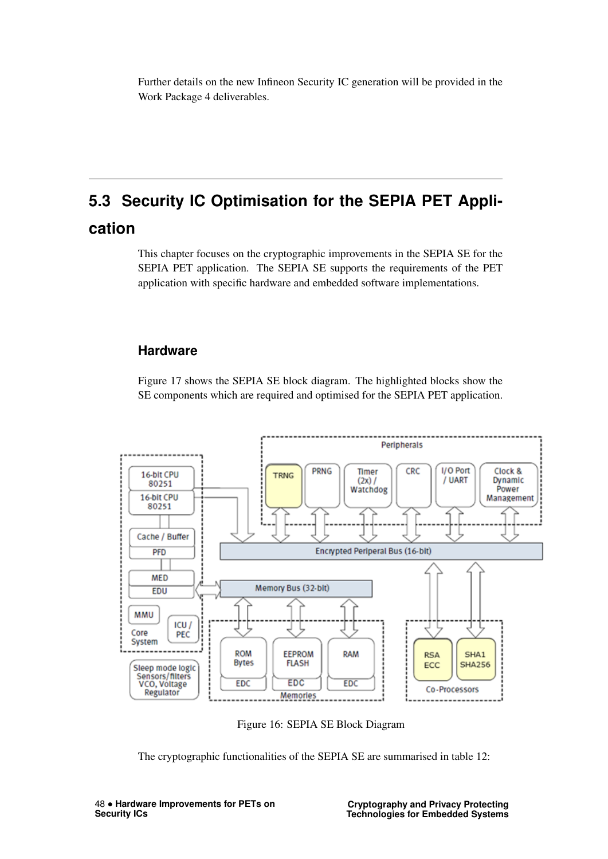Further details on the new Infineon Security IC generation will be provided in the Work Package 4 deliverables.

# **5.3 Security IC Optimisation for the SEPIA PET Application**

This chapter focuses on the cryptographic improvements in the SEPIA SE for the SEPIA PET application. The SEPIA SE supports the requirements of the PET application with specific hardware and embedded software implementations.

#### **Hardware**

Figure 17 shows the SEPIA SE block diagram. The highlighted blocks show the SE components which are required and optimised for the SEPIA PET application.



Figure 16: SEPIA SE Block Diagram

The cryptographic functionalities of the SEPIA SE are summarised in table 12: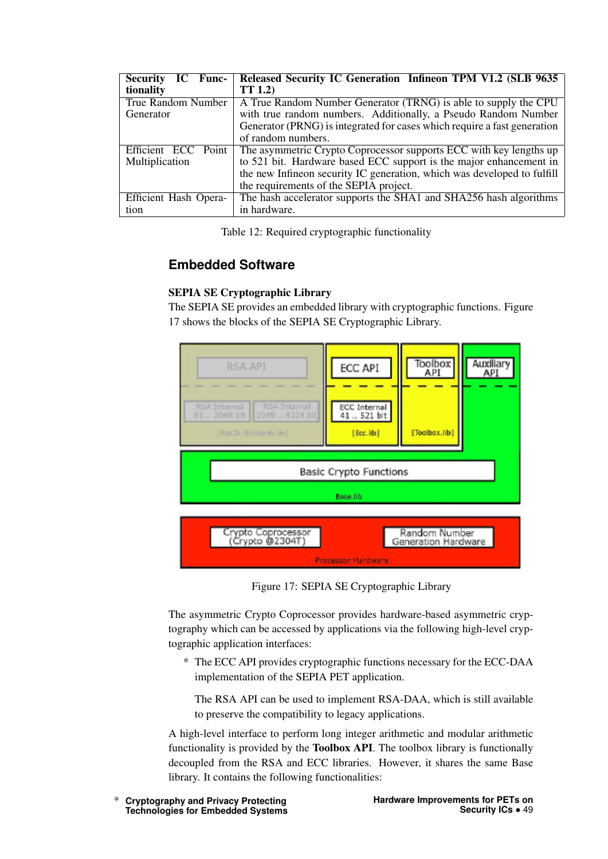| Security IC Func-         | Released Security IC Generation Infineon TPM V1.2 (SLB 9635              |
|---------------------------|--------------------------------------------------------------------------|
| tionality                 | <b>TT 1.2)</b>                                                           |
| <b>True Random Number</b> | A True Random Number Generator (TRNG) is able to supply the CPU          |
| Generator                 | with true random numbers. Additionally, a Pseudo Random Number           |
|                           | Generator (PRNG) is integrated for cases which require a fast generation |
|                           | of random numbers.                                                       |
| Efficient ECC Point       | The asymmetric Crypto Coprocessor supports ECC with key lengths up       |
| Multiplication            | to 521 bit. Hardware based ECC support is the major enhancement in       |
|                           | the new Infineon security IC generation, which was developed to fulfill  |
|                           | the requirements of the SEPIA project.                                   |
| Efficient Hash Opera-     | The hash accelerator supports the SHA1 and SHA256 hash algorithms        |
| tion                      | in hardware.                                                             |

Table 12: Required cryptographic functionality

#### **Embedded Software**

#### SEPIA SE Cryptographic Library

The SEPIA SE provides an embedded library with cryptographic functions. Figure 17 shows the blocks of the SEPIA SE Cryptographic Library.



Figure 17: SEPIA SE Cryptographic Library

The asymmetric Crypto Coprocessor provides hardware-based asymmetric cryptography which can be accessed by applications via the following high-level cryptographic application interfaces:

\* The ECC API provides cryptographic functions necessary for the ECC-DAA implementation of the SEPIA PET application.

The RSA API can be used to implement RSA-DAA, which is still available to preserve the compatibility to legacy applications.

A high-level interface to perform long integer arithmetic and modular arithmetic functionality is provided by the Toolbox API. The toolbox library is functionally decoupled from the RSA and ECC libraries. However, it shares the same Base library. It contains the following functionalities:

\* **Cryptography and Privacy Protecting Technologies for Embedded Systems**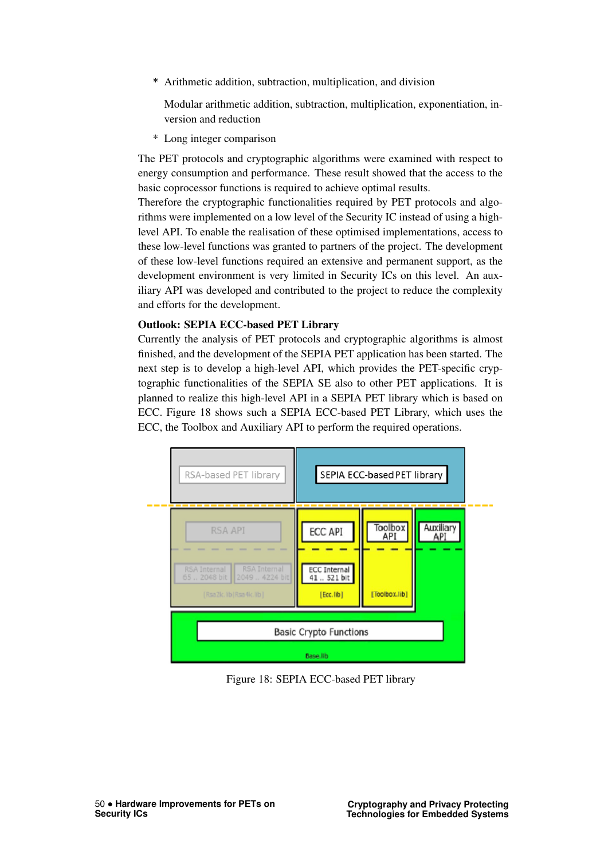\* Arithmetic addition, subtraction, multiplication, and division

Modular arithmetic addition, subtraction, multiplication, exponentiation, inversion and reduction

\* Long integer comparison

The PET protocols and cryptographic algorithms were examined with respect to energy consumption and performance. These result showed that the access to the basic coprocessor functions is required to achieve optimal results.

Therefore the cryptographic functionalities required by PET protocols and algorithms were implemented on a low level of the Security IC instead of using a highlevel API. To enable the realisation of these optimised implementations, access to these low-level functions was granted to partners of the project. The development of these low-level functions required an extensive and permanent support, as the development environment is very limited in Security ICs on this level. An auxiliary API was developed and contributed to the project to reduce the complexity and efforts for the development.

#### Outlook: SEPIA ECC-based PET Library

Currently the analysis of PET protocols and cryptographic algorithms is almost finished, and the development of the SEPIA PET application has been started. The next step is to develop a high-level API, which provides the PET-specific cryptographic functionalities of the SEPIA SE also to other PET applications. It is planned to realize this high-level API in a SEPIA PET library which is based on ECC. Figure 18 shows such a SEPIA ECC-based PET Library, which uses the ECC, the Toolbox and Auxiliary API to perform the required operations.



Figure 18: SEPIA ECC-based PET library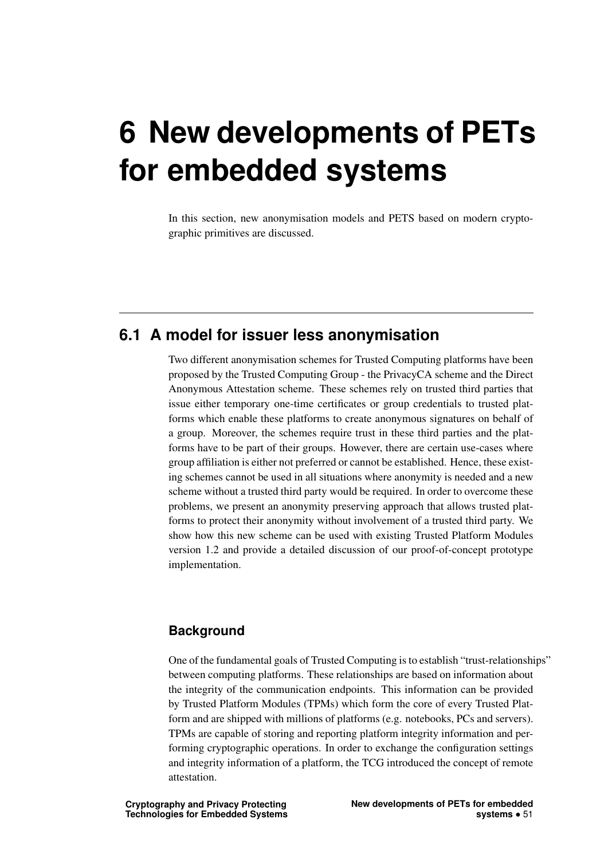# **6 New developments of PETs for embedded systems**

In this section, new anonymisation models and PETS based on modern cryptographic primitives are discussed.

### **6.1 A model for issuer less anonymisation**

Two different anonymisation schemes for Trusted Computing platforms have been proposed by the Trusted Computing Group - the PrivacyCA scheme and the Direct Anonymous Attestation scheme. These schemes rely on trusted third parties that issue either temporary one-time certificates or group credentials to trusted platforms which enable these platforms to create anonymous signatures on behalf of a group. Moreover, the schemes require trust in these third parties and the platforms have to be part of their groups. However, there are certain use-cases where group affiliation is either not preferred or cannot be established. Hence, these existing schemes cannot be used in all situations where anonymity is needed and a new scheme without a trusted third party would be required. In order to overcome these problems, we present an anonymity preserving approach that allows trusted platforms to protect their anonymity without involvement of a trusted third party. We show how this new scheme can be used with existing Trusted Platform Modules version 1.2 and provide a detailed discussion of our proof-of-concept prototype implementation.

#### **Background**

One of the fundamental goals of Trusted Computing is to establish "trust-relationships" between computing platforms. These relationships are based on information about the integrity of the communication endpoints. This information can be provided by Trusted Platform Modules (TPMs) which form the core of every Trusted Platform and are shipped with millions of platforms (e.g. notebooks, PCs and servers). TPMs are capable of storing and reporting platform integrity information and performing cryptographic operations. In order to exchange the configuration settings and integrity information of a platform, the TCG introduced the concept of remote attestation.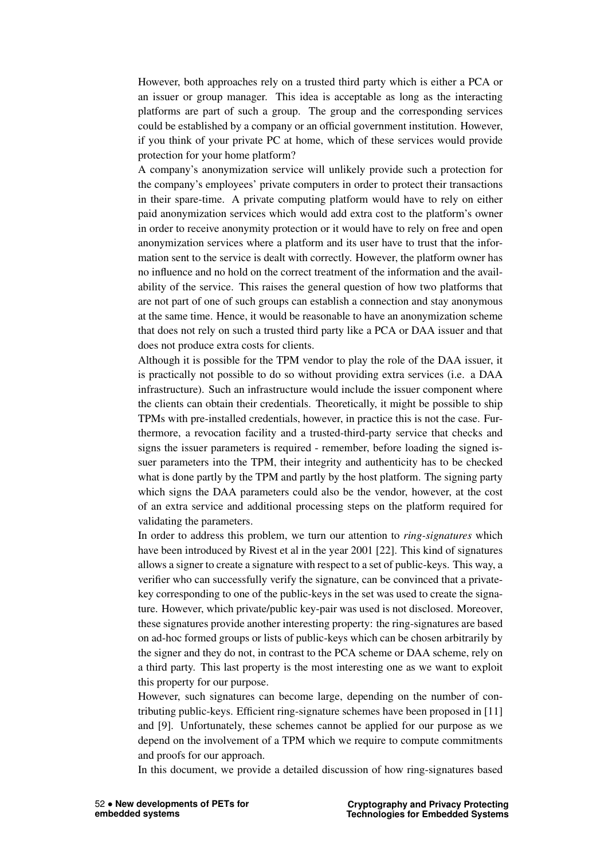However, both approaches rely on a trusted third party which is either a PCA or an issuer or group manager. This idea is acceptable as long as the interacting platforms are part of such a group. The group and the corresponding services could be established by a company or an official government institution. However, if you think of your private PC at home, which of these services would provide protection for your home platform?

A company's anonymization service will unlikely provide such a protection for the company's employees' private computers in order to protect their transactions in their spare-time. A private computing platform would have to rely on either paid anonymization services which would add extra cost to the platform's owner in order to receive anonymity protection or it would have to rely on free and open anonymization services where a platform and its user have to trust that the information sent to the service is dealt with correctly. However, the platform owner has no influence and no hold on the correct treatment of the information and the availability of the service. This raises the general question of how two platforms that are not part of one of such groups can establish a connection and stay anonymous at the same time. Hence, it would be reasonable to have an anonymization scheme that does not rely on such a trusted third party like a PCA or DAA issuer and that does not produce extra costs for clients.

Although it is possible for the TPM vendor to play the role of the DAA issuer, it is practically not possible to do so without providing extra services (i.e. a DAA infrastructure). Such an infrastructure would include the issuer component where the clients can obtain their credentials. Theoretically, it might be possible to ship TPMs with pre-installed credentials, however, in practice this is not the case. Furthermore, a revocation facility and a trusted-third-party service that checks and signs the issuer parameters is required - remember, before loading the signed issuer parameters into the TPM, their integrity and authenticity has to be checked what is done partly by the TPM and partly by the host platform. The signing party which signs the DAA parameters could also be the vendor, however, at the cost of an extra service and additional processing steps on the platform required for validating the parameters.

In order to address this problem, we turn our attention to *ring-signatures* which have been introduced by Rivest et al in the year 2001 [22]. This kind of signatures allows a signer to create a signature with respect to a set of public-keys. This way, a verifier who can successfully verify the signature, can be convinced that a privatekey corresponding to one of the public-keys in the set was used to create the signature. However, which private/public key-pair was used is not disclosed. Moreover, these signatures provide another interesting property: the ring-signatures are based on ad-hoc formed groups or lists of public-keys which can be chosen arbitrarily by the signer and they do not, in contrast to the PCA scheme or DAA scheme, rely on a third party. This last property is the most interesting one as we want to exploit this property for our purpose.

However, such signatures can become large, depending on the number of contributing public-keys. Efficient ring-signature schemes have been proposed in [11] and [9]. Unfortunately, these schemes cannot be applied for our purpose as we depend on the involvement of a TPM which we require to compute commitments and proofs for our approach.

In this document, we provide a detailed discussion of how ring-signatures based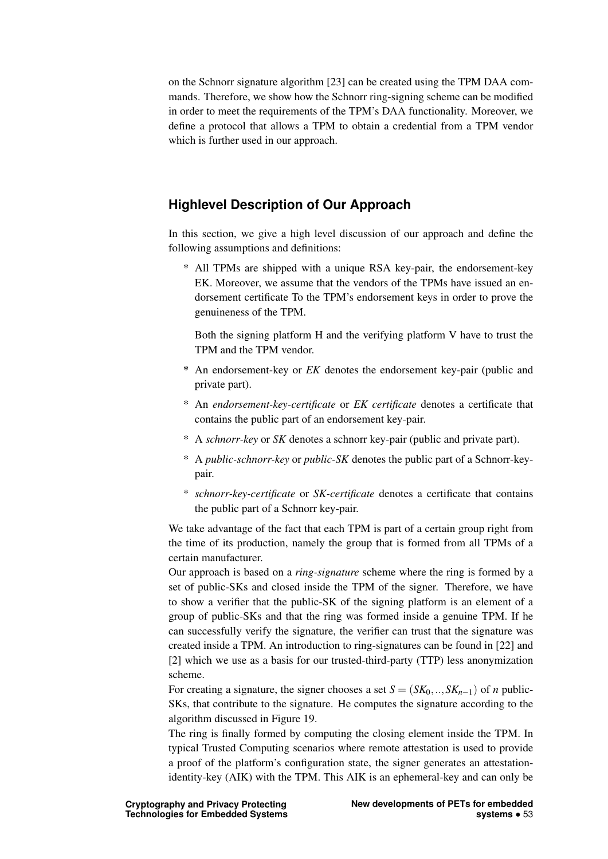on the Schnorr signature algorithm [23] can be created using the TPM DAA commands. Therefore, we show how the Schnorr ring-signing scheme can be modified in order to meet the requirements of the TPM's DAA functionality. Moreover, we define a protocol that allows a TPM to obtain a credential from a TPM vendor which is further used in our approach.

#### **Highlevel Description of Our Approach**

In this section, we give a high level discussion of our approach and define the following assumptions and definitions:

\* All TPMs are shipped with a unique RSA key-pair, the endorsement-key EK. Moreover, we assume that the vendors of the TPMs have issued an endorsement certificate To the TPM's endorsement keys in order to prove the genuineness of the TPM.

Both the signing platform H and the verifying platform V have to trust the TPM and the TPM vendor.

- \* An endorsement-key or *EK* denotes the endorsement key-pair (public and private part).
- \* An *endorsement-key-certificate* or *EK certificate* denotes a certificate that contains the public part of an endorsement key-pair.
- \* A *schnorr-key* or *SK* denotes a schnorr key-pair (public and private part).
- \* A *public-schnorr-key* or *public-SK* denotes the public part of a Schnorr-keypair.
- \* *schnorr-key-certificate* or *SK-certificate* denotes a certificate that contains the public part of a Schnorr key-pair.

We take advantage of the fact that each TPM is part of a certain group right from the time of its production, namely the group that is formed from all TPMs of a certain manufacturer.

Our approach is based on a *ring-signature* scheme where the ring is formed by a set of public-SKs and closed inside the TPM of the signer. Therefore, we have to show a verifier that the public-SK of the signing platform is an element of a group of public-SKs and that the ring was formed inside a genuine TPM. If he can successfully verify the signature, the verifier can trust that the signature was created inside a TPM. An introduction to ring-signatures can be found in [22] and [2] which we use as a basis for our trusted-third-party (TTP) less anonymization scheme.

For creating a signature, the signer chooses a set  $S = (SK_0, \ldots, SK_{n-1})$  of *n* public-SKs, that contribute to the signature. He computes the signature according to the algorithm discussed in Figure 19.

The ring is finally formed by computing the closing element inside the TPM. In typical Trusted Computing scenarios where remote attestation is used to provide a proof of the platform's configuration state, the signer generates an attestationidentity-key (AIK) with the TPM. This AIK is an ephemeral-key and can only be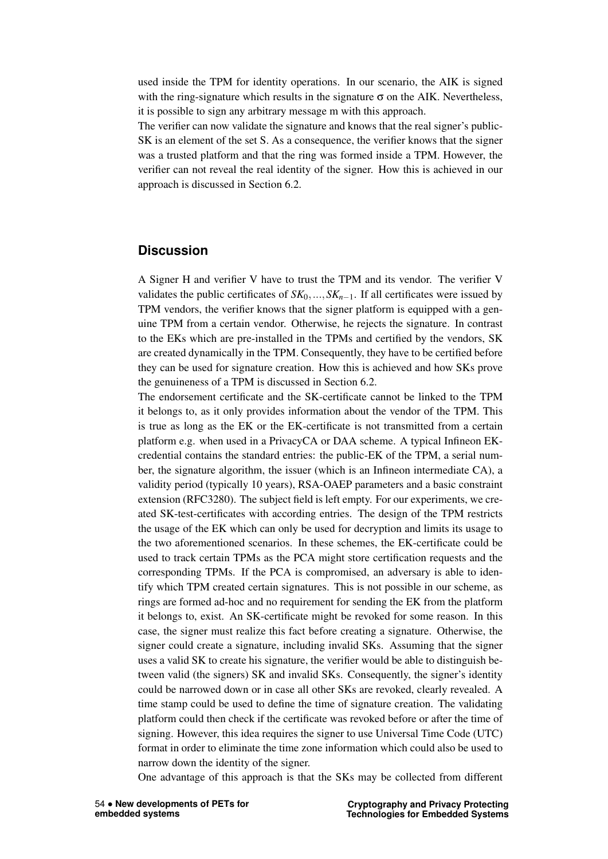used inside the TPM for identity operations. In our scenario, the AIK is signed with the ring-signature which results in the signature  $\sigma$  on the AIK. Nevertheless, it is possible to sign any arbitrary message m with this approach.

The verifier can now validate the signature and knows that the real signer's public-SK is an element of the set S. As a consequence, the verifier knows that the signer was a trusted platform and that the ring was formed inside a TPM. However, the verifier can not reveal the real identity of the signer. How this is achieved in our approach is discussed in Section 6.2.

#### **Discussion**

A Signer H and verifier V have to trust the TPM and its vendor. The verifier V validates the public certificates of  $SK_0, \ldots, SK_{n-1}$ . If all certificates were issued by TPM vendors, the verifier knows that the signer platform is equipped with a genuine TPM from a certain vendor. Otherwise, he rejects the signature. In contrast to the EKs which are pre-installed in the TPMs and certified by the vendors, SK are created dynamically in the TPM. Consequently, they have to be certified before they can be used for signature creation. How this is achieved and how SKs prove the genuineness of a TPM is discussed in Section 6.2.

The endorsement certificate and the SK-certificate cannot be linked to the TPM it belongs to, as it only provides information about the vendor of the TPM. This is true as long as the EK or the EK-certificate is not transmitted from a certain platform e.g. when used in a PrivacyCA or DAA scheme. A typical Infineon EKcredential contains the standard entries: the public-EK of the TPM, a serial number, the signature algorithm, the issuer (which is an Infineon intermediate CA), a validity period (typically 10 years), RSA-OAEP parameters and a basic constraint extension (RFC3280). The subject field is left empty. For our experiments, we created SK-test-certificates with according entries. The design of the TPM restricts the usage of the EK which can only be used for decryption and limits its usage to the two aforementioned scenarios. In these schemes, the EK-certificate could be used to track certain TPMs as the PCA might store certification requests and the corresponding TPMs. If the PCA is compromised, an adversary is able to identify which TPM created certain signatures. This is not possible in our scheme, as rings are formed ad-hoc and no requirement for sending the EK from the platform it belongs to, exist. An SK-certificate might be revoked for some reason. In this case, the signer must realize this fact before creating a signature. Otherwise, the signer could create a signature, including invalid SKs. Assuming that the signer uses a valid SK to create his signature, the verifier would be able to distinguish between valid (the signers) SK and invalid SKs. Consequently, the signer's identity could be narrowed down or in case all other SKs are revoked, clearly revealed. A time stamp could be used to define the time of signature creation. The validating platform could then check if the certificate was revoked before or after the time of signing. However, this idea requires the signer to use Universal Time Code (UTC) format in order to eliminate the time zone information which could also be used to narrow down the identity of the signer.

One advantage of this approach is that the SKs may be collected from different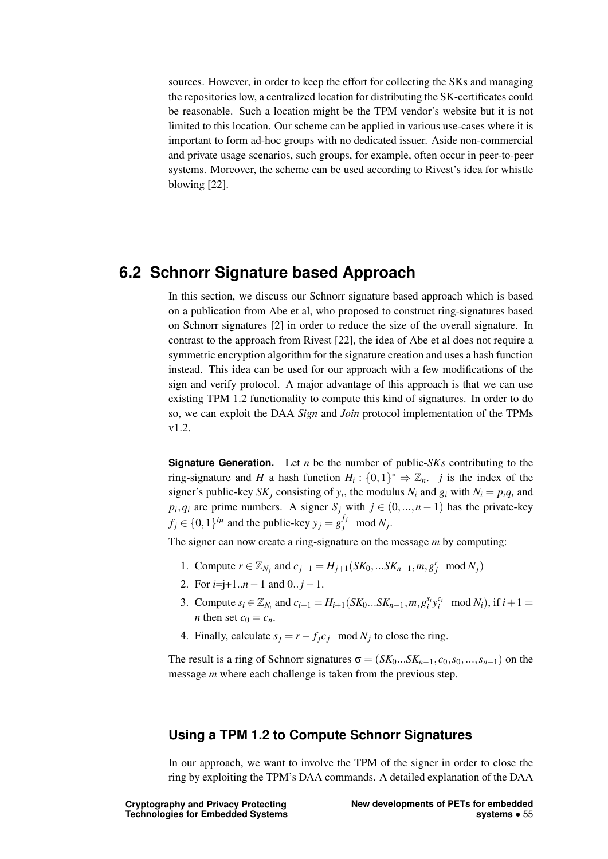sources. However, in order to keep the effort for collecting the SKs and managing the repositories low, a centralized location for distributing the SK-certificates could be reasonable. Such a location might be the TPM vendor's website but it is not limited to this location. Our scheme can be applied in various use-cases where it is important to form ad-hoc groups with no dedicated issuer. Aside non-commercial and private usage scenarios, such groups, for example, often occur in peer-to-peer systems. Moreover, the scheme can be used according to Rivest's idea for whistle blowing [22].

### **6.2 Schnorr Signature based Approach**

In this section, we discuss our Schnorr signature based approach which is based on a publication from Abe et al, who proposed to construct ring-signatures based on Schnorr signatures [2] in order to reduce the size of the overall signature. In contrast to the approach from Rivest [22], the idea of Abe et al does not require a symmetric encryption algorithm for the signature creation and uses a hash function instead. This idea can be used for our approach with a few modifications of the sign and verify protocol. A major advantage of this approach is that we can use existing TPM 1.2 functionality to compute this kind of signatures. In order to do so, we can exploit the DAA *Sign* and *Join* protocol implementation of the TPMs v1.2.

**Signature Generation.** Let *n* be the number of public-*SKs* contributing to the ring-signature and *H* a hash function  $H_i: \{0,1\}^* \Rightarrow \mathbb{Z}_n$ . *j* is the index of the signer's public-key  $SK_j$  consisting of  $y_i$ , the modulus  $N_i$  and  $g_i$  with  $N_i = p_i q_i$  and  $p_i, q_i$  are prime numbers. A signer  $S_j$  with  $j \in (0, ..., n-1)$  has the private-key  $f_j \in \{0, 1\}^{l_H}$  and the public-key  $y_j = g_j^{f_j} \mod N_j$ .

The signer can now create a ring-signature on the message *m* by computing:

- 1. Compute  $r \in \mathbb{Z}_{N_j}$  and  $c_{j+1} = H_{j+1}(SK_0, \ldots SK_{n-1}, m, g^r_j \mod N_j)$
- 2. For *i*=j+1..*n*−1 and 0.. *j* −1.
- 3. Compute  $s_i \in \mathbb{Z}_{N_i}$  and  $c_{i+1} = H_{i+1}(SK_0...SK_{n-1}, m, g_i^{s_i}y_i^{c_i} \mod N_i)$ , if  $i+1 =$ *n* then set  $c_0 = c_n$ .
- 4. Finally, calculate  $s_j = r f_j c_j \mod N_j$  to close the ring.

The result is a ring of Schnorr signatures  $\sigma = (SK_0...SK_{n-1}, c_0, s_0,...,s_{n-1})$  on the message *m* where each challenge is taken from the previous step.

#### **Using a TPM 1.2 to Compute Schnorr Signatures**

In our approach, we want to involve the TPM of the signer in order to close the ring by exploiting the TPM's DAA commands. A detailed explanation of the DAA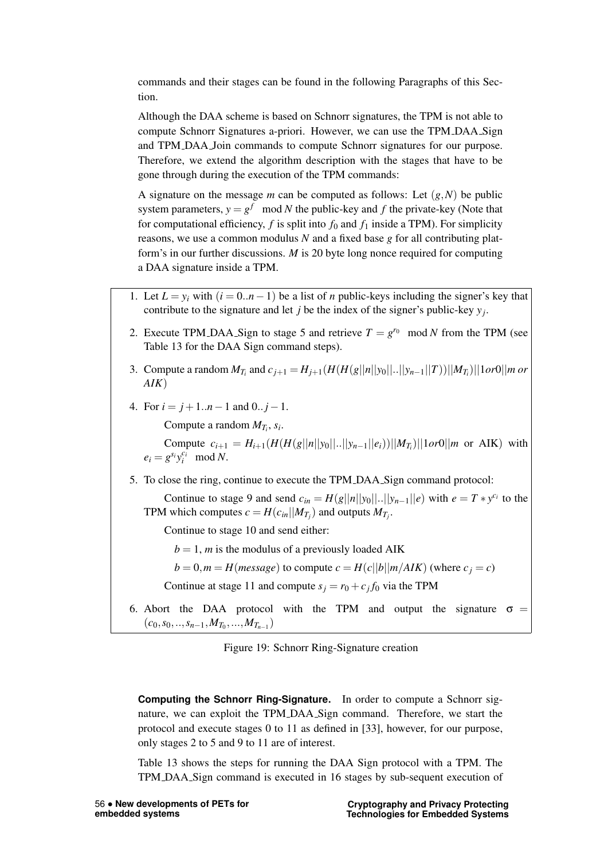commands and their stages can be found in the following Paragraphs of this Section.

Although the DAA scheme is based on Schnorr signatures, the TPM is not able to compute Schnorr Signatures a-priori. However, we can use the TPM DAA Sign and TPM DAA Join commands to compute Schnorr signatures for our purpose. Therefore, we extend the algorithm description with the stages that have to be gone through during the execution of the TPM commands:

A signature on the message *m* can be computed as follows: Let  $(g, N)$  be public system parameters,  $y = g^f \mod N$  the public-key and  $f$  the private-key (Note that for computational efficiency,  $f$  is split into  $f_0$  and  $f_1$  inside a TPM). For simplicity reasons, we use a common modulus *N* and a fixed base *g* for all contributing platform's in our further discussions. *M* is 20 byte long nonce required for computing a DAA signature inside a TPM.

- 1. Let  $L = y_i$  with  $(i = 0..n 1)$  be a list of *n* public-keys including the signer's key that contribute to the signature and let *j* be the index of the signer's public-key *y<sup>j</sup>* .
- 2. Execute TPM DAA Sign to stage 5 and retrieve  $T = g^{r_0} \mod N$  from the TPM (see Table 13 for the DAA Sign command steps).
- 3. Compute a random  $M_{T_i}$  and  $c_{j+1} = H_{j+1}(H(H(g||n||y_0||...||y_{n-1}||T))||M_{T_i})||1$  or 0 ||m or *AIK*)
- 4. For  $i = j + 1..n 1$  and  $0..j 1$ .

Compute a random  $M_{T_i}$ ,  $s_i$ .

Compute  $c_{i+1} = H_{i+1}(H(H(g||n||y_0||...||y_{n-1}||e_i))||M_{T_i})||1 \text{ or } 0||m$  or AIK) with  $e_i = g^{s_i} y_i^{c_i} \mod N$ .

5. To close the ring, continue to execute the TPM DAA Sign command protocol:

Continue to stage 9 and send  $c_{in} = H(g||n||y_0||...||y_{n-1}||e)$  with  $e = T * y^{c_i}$  to the TPM which computes  $c = H(c_{in}||M_{T_j})$  and outputs  $M_{T_j}$ .

Continue to stage 10 and send either:

 $b = 1$ , *m* is the modulus of a previously loaded AIK

 $b = 0, m = H(m \text{essage})$  to compute  $c = H(c||b||m/AIK)$  (where  $c_i = c$ )

Continue at stage 11 and compute  $s_j = r_0 + c_j f_0$  via the TPM

6. Abort the DAA protocol with the TPM and output the signature  $\sigma =$  $(c_0, s_0, \ldots, s_{n-1}, M_{T_0}, \ldots, M_{T_{n-1}})$ 

Figure 19: Schnorr Ring-Signature creation

**Computing the Schnorr Ring-Signature.** In order to compute a Schnorr signature, we can exploit the TPM DAA Sign command. Therefore, we start the protocol and execute stages 0 to 11 as defined in [33], however, for our purpose, only stages 2 to 5 and 9 to 11 are of interest.

Table 13 shows the steps for running the DAA Sign protocol with a TPM. The TPM DAA Sign command is executed in 16 stages by sub-sequent execution of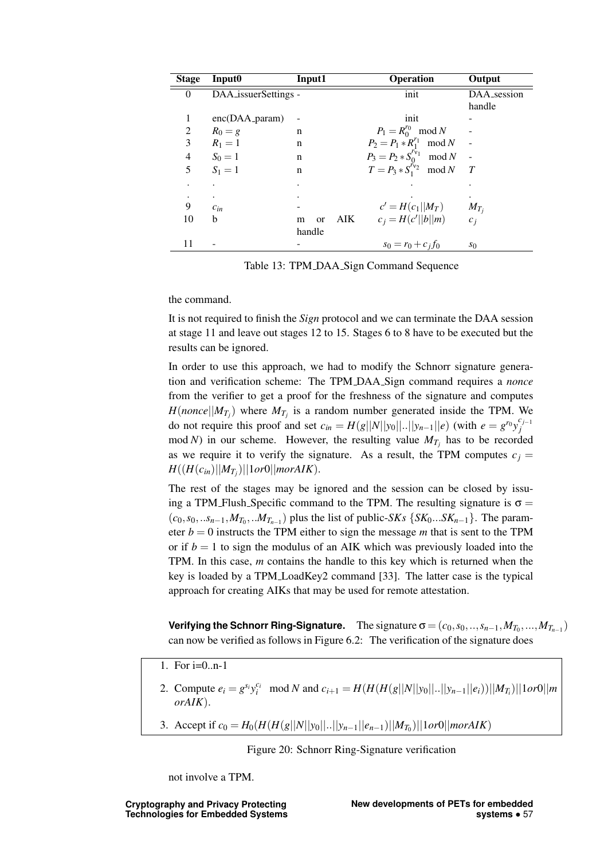| <b>Stage</b>   | Input <sub>0</sub>   | Input1         | <b>Operation</b>                   | Output           |
|----------------|----------------------|----------------|------------------------------------|------------------|
| $\theta$       | DAA_issuerSettings - |                | init                               | DAA_session      |
|                |                      |                |                                    | handle           |
| 1              | $enc(DAA_param)$     |                | init                               |                  |
| $\overline{c}$ | $R_0 = g$            | n              | $P_1 = R_0^{r_0} \mod N$           |                  |
| 3              | $R_1 = 1$            | n              | $P_2 = P_1 * R_1^{r_1} \mod N$     |                  |
| 4              | $S_0 = 1$            | n              | $P_3 = P_2 * S_0^{r_{V_1}} \mod N$ | $\overline{a}$   |
| 5              | $S_1 = 1$            | n              | $T = P_3 * S_1^{r_{V_2}} \mod N$   | $\boldsymbol{T}$ |
| $\bullet$      | $\ddot{\phantom{0}}$ | ٠              |                                    |                  |
|                |                      |                |                                    |                  |
| 9              | $c_{in}$             |                | $c' = H(c_1  M_T)$                 | $M_{T_i}$        |
| 10             | b                    | <b>or</b><br>m | AIK $c_i = H(c'  b  m)$            | $c_i$            |
|                |                      | handle         |                                    |                  |
| 11             |                      |                | $s_0 = r_0 + c_i f_0$              | $S_{0}$          |

Table 13: TPM DAA Sign Command Sequence

the command.

It is not required to finish the *Sign* protocol and we can terminate the DAA session at stage 11 and leave out stages 12 to 15. Stages 6 to 8 have to be executed but the results can be ignored.

In order to use this approach, we had to modify the Schnorr signature generation and verification scheme: The TPM DAA Sign command requires a *nonce* from the verifier to get a proof for the freshness of the signature and computes *H*(*nonce*|| $M_{T_j}$ ) where  $M_{T_j}$  is a random number generated inside the TPM. We do not require this proof and set  $c_{in} = H(g||N||y_0||...||y_{n-1}||e)$  (with  $e = g^{r_0}y_j^{c_{j-1}}$ *j* mod *N*) in our scheme. However, the resulting value  $M_{T_j}$  has to be recorded as we require it to verify the signature. As a result, the TPM computes  $c_j =$  $H((H(c_{in})||M_{T_j})||1 or 0||mor AIK).$ 

The rest of the stages may be ignored and the session can be closed by issuing a TPM Flush Specific command to the TPM. The resulting signature is  $\sigma$  =  $(c_0, s_0, \ldots s_{n-1}, M_{T_0}, \ldots M_{T_{n-1}})$  plus the list of public-*SKs* {*SK*<sub>0</sub>...*SK*<sub>*n*−1</sub>}. The parameter  $b = 0$  instructs the TPM either to sign the message *m* that is sent to the TPM or if  $b = 1$  to sign the modulus of an AIK which was previously loaded into the TPM. In this case, *m* contains the handle to this key which is returned when the key is loaded by a TPM LoadKey2 command [33]. The latter case is the typical approach for creating AIKs that may be used for remote attestation.

**Verifying the Schnorr Ring-Signature.** The signature  $\sigma = (c_0, s_0, ..., s_{n-1}, M_{T_0}, ..., M_{T_{n-1}})$ can now be verified as follows in Figure 6.2: The verification of the signature does

- 1. For  $i=0..n-1$
- 2. Compute  $e_i = g^{s_i} y_i^{c_i} \mod N$  and  $c_{i+1} = H(H(H(g||N||y_0||...||y_{n-1}||e_i))||M_{T_i})||1 \text{ or } 0||m$ *orAIK*).
- 3. Accept if  $c_0 = H_0(H(H(g||N||y_0||...||y_{n-1}||e_{n-1})||M_{T_0})||1$ *or*0 $||$ *morAIK*)

Figure 20: Schnorr Ring-Signature verification

not involve a TPM.

**Cryptography and Privacy Protecting Technologies for Embedded Systems**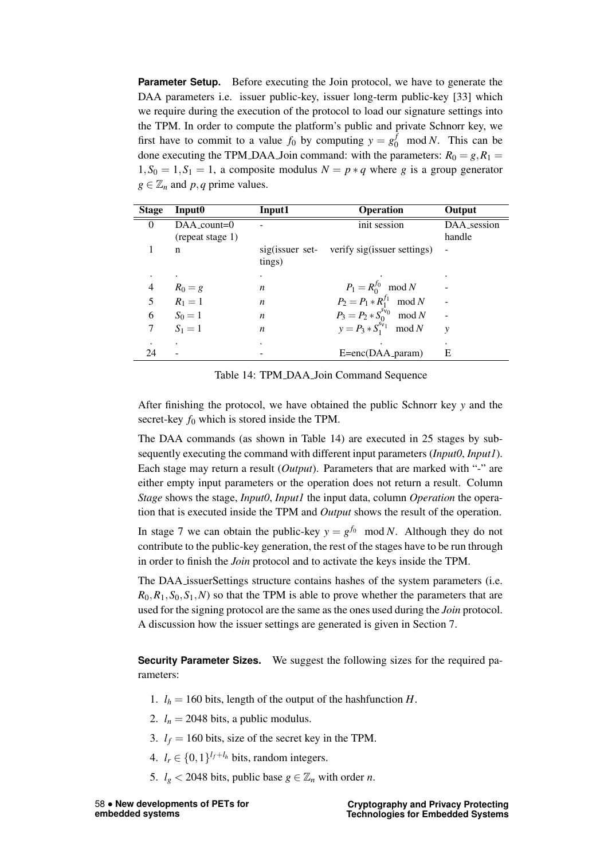**Parameter Setup.** Before executing the Join protocol, we have to generate the DAA parameters i.e. issuer public-key, issuer long-term public-key [33] which we require during the execution of the protocol to load our signature settings into the TPM. In order to compute the platform's public and private Schnorr key, we first have to commit to a value  $f_0$  by computing  $y = g_0^f \mod N$ . This can be done executing the TPM\_DAA\_Join command: with the parameters:  $R_0 = g, R_1 =$  $1, S_0 = 1, S_1 = 1$ , a composite modulus  $N = p * q$  where *g* is a group generator  $g \in \mathbb{Z}_n$  and *p*, *q* prime values.

| <b>Stage</b> | Input <sub>0</sub>        | Input1           | <b>Operation</b>                                                     | Output         |
|--------------|---------------------------|------------------|----------------------------------------------------------------------|----------------|
| $\Omega$     | $DAA$ <sub>-count=0</sub> |                  | init session                                                         | DAA_session    |
|              | (repeat stage 1)          |                  |                                                                      | handle         |
|              | n                         | tings)           | sig(issuer set- verify sig(issuer settings)                          | $\blacksquare$ |
|              |                           | ٠                |                                                                      |                |
| 4            | $R_0 = g$                 | $\boldsymbol{n}$ | $P_1 = R_0^{f_0} \mod N$                                             |                |
| 5            | $R_1 = 1$                 | n                | $P_2 = P_1 * R_1^{f_1} \mod N$<br>$P_3 = P_2 * S_0^{s_{V_0}} \mod N$ |                |
| 6            | $S_0 = 1$                 | $\boldsymbol{n}$ |                                                                      |                |
| 7            | $S_1 = 1$                 | n                | $y = P_3 * S_1^{\tilde{s_{V_1}}} \mod N$                             | $\mathcal{V}$  |
|              | $\cdot$                   | ٠                |                                                                      |                |
| 24           |                           |                  | $E=enc(DAA_param)$                                                   | Ε              |

Table 14: TPM DAA Join Command Sequence

After finishing the protocol, we have obtained the public Schnorr key *y* and the secret-key  $f_0$  which is stored inside the TPM.

The DAA commands (as shown in Table 14) are executed in 25 stages by subsequently executing the command with different input parameters (*Input0*, *Input1*). Each stage may return a result (*Output*). Parameters that are marked with "-" are either empty input parameters or the operation does not return a result. Column *Stage* shows the stage, *Input0*, *Input1* the input data, column *Operation* the operation that is executed inside the TPM and *Output* shows the result of the operation.

In stage 7 we can obtain the public-key  $y = g^{f_0} \mod N$ . Although they do not contribute to the public-key generation, the rest of the stages have to be run through in order to finish the *Join* protocol and to activate the keys inside the TPM.

The DAA issuerSettings structure contains hashes of the system parameters (i.e.  $R_0, R_1, S_0, S_1, N$  so that the TPM is able to prove whether the parameters that are used for the signing protocol are the same as the ones used during the *Join* protocol. A discussion how the issuer settings are generated is given in Section 7.

**Security Parameter Sizes.** We suggest the following sizes for the required parameters:

- 1.  $l_h = 160$  bits, length of the output of the hashfunction *H*.
- 2.  $l_n = 2048$  bits, a public modulus.
- 3.  $l_f = 160$  bits, size of the secret key in the TPM.
- 4.  $l_r \in \{0,1\}^{l_f+l_h}$  bits, random integers.
- 5.  $l_g < 2048$  bits, public base  $g \in \mathbb{Z}_n$  with order *n*.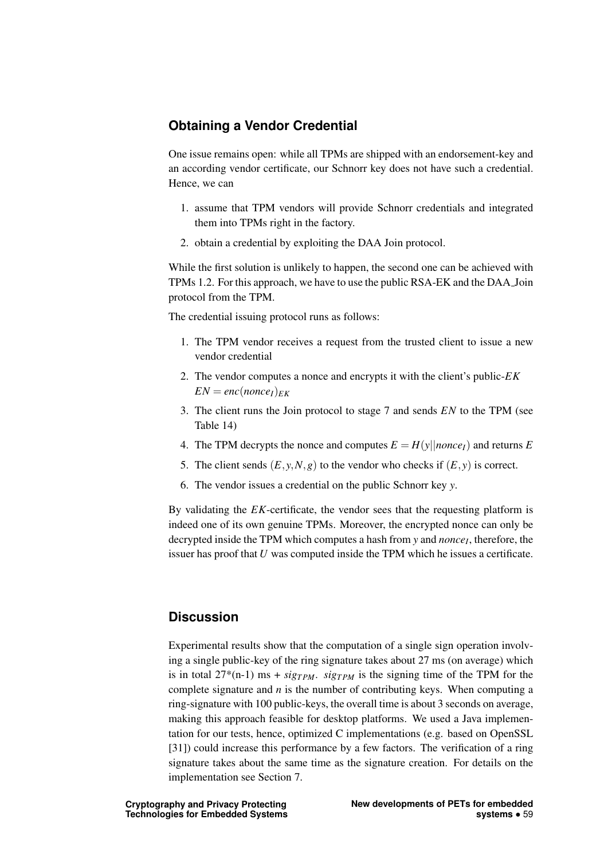#### **Obtaining a Vendor Credential**

One issue remains open: while all TPMs are shipped with an endorsement-key and an according vendor certificate, our Schnorr key does not have such a credential. Hence, we can

- 1. assume that TPM vendors will provide Schnorr credentials and integrated them into TPMs right in the factory.
- 2. obtain a credential by exploiting the DAA Join protocol.

While the first solution is unlikely to happen, the second one can be achieved with TPMs 1.2. For this approach, we have to use the public RSA-EK and the DAA Join protocol from the TPM.

The credential issuing protocol runs as follows:

- 1. The TPM vendor receives a request from the trusted client to issue a new vendor credential
- 2. The vendor computes a nonce and encrypts it with the client's public-*EK*  $EN = enc(nonce_I)_{EK}$
- 3. The client runs the Join protocol to stage 7 and sends *EN* to the TPM (see Table 14)
- 4. The TPM decrypts the nonce and computes  $E = H(y||\text{none}_I)$  and returns *E*
- 5. The client sends  $(E, y, N, g)$  to the vendor who checks if  $(E, y)$  is correct.
- 6. The vendor issues a credential on the public Schnorr key *y*.

By validating the *EK*-certificate, the vendor sees that the requesting platform is indeed one of its own genuine TPMs. Moreover, the encrypted nonce can only be decrypted inside the TPM which computes a hash from *y* and *nonce<sup>I</sup>* , therefore, the issuer has proof that *U* was computed inside the TPM which he issues a certificate.

#### **Discussion**

Experimental results show that the computation of a single sign operation involving a single public-key of the ring signature takes about 27 ms (on average) which is in total  $27*(n-1)$  ms +  $sig<sub>TPM</sub>$ .  $sig<sub>TPM</sub>$  is the signing time of the TPM for the complete signature and  $n$  is the number of contributing keys. When computing a ring-signature with 100 public-keys, the overall time is about 3 seconds on average, making this approach feasible for desktop platforms. We used a Java implementation for our tests, hence, optimized C implementations (e.g. based on OpenSSL [31]) could increase this performance by a few factors. The verification of a ring signature takes about the same time as the signature creation. For details on the implementation see Section 7.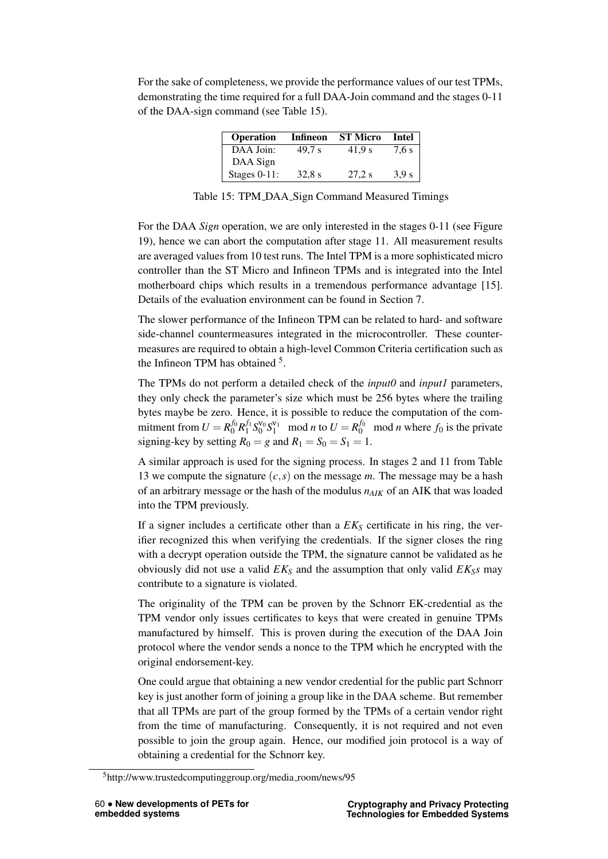For the sake of completeness, we provide the performance values of our test TPMs, demonstrating the time required for a full DAA-Join command and the stages 0-11 of the DAA-sign command (see Table 15).

| <b>Operation</b> | <b>Infineon</b> | <b>ST Micro</b> | Intel            |
|------------------|-----------------|-----------------|------------------|
| DAA Join:        | 49.7 s          | 41.9 s          | 7.6 s            |
| DAA Sign         |                 |                 |                  |
| Stages 0-11:     | 32.8 s          | 27.2 s          | 3.9 <sub>s</sub> |

Table 15: TPM DAA Sign Command Measured Timings

For the DAA *Sign* operation, we are only interested in the stages 0-11 (see Figure 19), hence we can abort the computation after stage 11. All measurement results are averaged values from 10 test runs. The Intel TPM is a more sophisticated micro controller than the ST Micro and Infineon TPMs and is integrated into the Intel motherboard chips which results in a tremendous performance advantage [15]. Details of the evaluation environment can be found in Section 7.

The slower performance of the Infineon TPM can be related to hard- and software side-channel countermeasures integrated in the microcontroller. These countermeasures are required to obtain a high-level Common Criteria certification such as the Infineon TPM has obtained  $5$ .

The TPMs do not perform a detailed check of the *input0* and *input1* parameters, they only check the parameter's size which must be 256 bytes where the trailing bytes maybe be zero. Hence, it is possible to reduce the computation of the commitment from  $U = R_0^{f_0} R_1^{f_1}$  $I_1^{\{f_1\}} S_0^{\{v_0\}} S_1^{\{v_1\}}$  mod *n* to  $U = R_0^{f_0}$  mod *n* where  $f_0$  is the private signing-key by setting  $R_0 = g$  and  $R_1 = S_0 = S_1 = 1$ .

A similar approach is used for the signing process. In stages 2 and 11 from Table 13 we compute the signature  $(c, s)$  on the message *m*. The message may be a hash of an arbitrary message or the hash of the modulus *nAIK* of an AIK that was loaded into the TPM previously.

If a signer includes a certificate other than a  $EK<sub>S</sub>$  certificate in his ring, the verifier recognized this when verifying the credentials. If the signer closes the ring with a decrypt operation outside the TPM, the signature cannot be validated as he obviously did not use a valid  $EK_S$  and the assumption that only valid  $EK_Ss$  may contribute to a signature is violated.

The originality of the TPM can be proven by the Schnorr EK-credential as the TPM vendor only issues certificates to keys that were created in genuine TPMs manufactured by himself. This is proven during the execution of the DAA Join protocol where the vendor sends a nonce to the TPM which he encrypted with the original endorsement-key.

One could argue that obtaining a new vendor credential for the public part Schnorr key is just another form of joining a group like in the DAA scheme. But remember that all TPMs are part of the group formed by the TPMs of a certain vendor right from the time of manufacturing. Consequently, it is not required and not even possible to join the group again. Hence, our modified join protocol is a way of obtaining a credential for the Schnorr key.

<sup>5</sup>http://www.trustedcomputinggroup.org/media room/news/95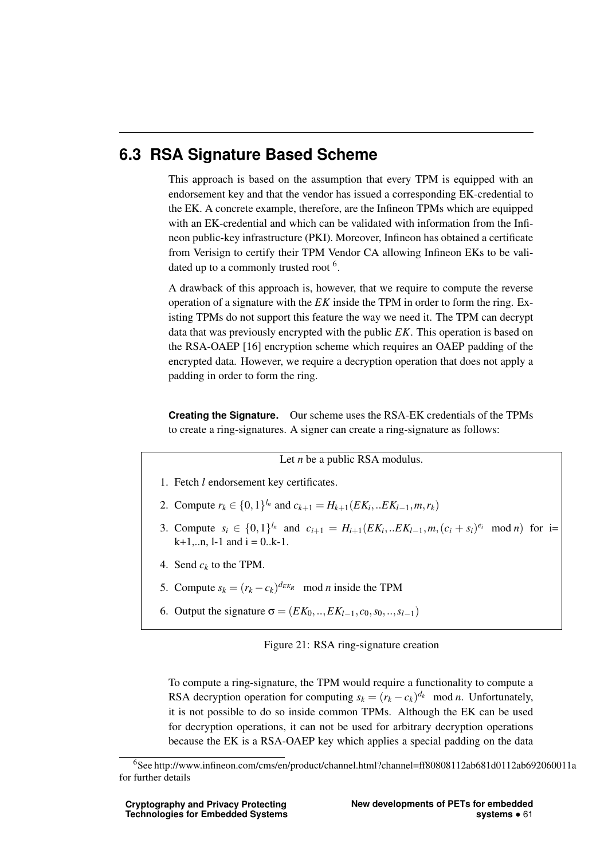## **6.3 RSA Signature Based Scheme**

This approach is based on the assumption that every TPM is equipped with an endorsement key and that the vendor has issued a corresponding EK-credential to the EK. A concrete example, therefore, are the Infineon TPMs which are equipped with an EK-credential and which can be validated with information from the Infineon public-key infrastructure (PKI). Moreover, Infineon has obtained a certificate from Verisign to certify their TPM Vendor CA allowing Infineon EKs to be validated up to a commonly trusted root <sup>6</sup>.

A drawback of this approach is, however, that we require to compute the reverse operation of a signature with the *EK* inside the TPM in order to form the ring. Existing TPMs do not support this feature the way we need it. The TPM can decrypt data that was previously encrypted with the public *EK*. This operation is based on the RSA-OAEP [16] encryption scheme which requires an OAEP padding of the encrypted data. However, we require a decryption operation that does not apply a padding in order to form the ring.

**Creating the Signature.** Our scheme uses the RSA-EK credentials of the TPMs to create a ring-signatures. A signer can create a ring-signature as follows:

#### Let *n* be a public RSA modulus.

- 1. Fetch *l* endorsement key certificates.
- 2. Compute  $r_k \in \{0, 1\}^{l_n}$  and  $c_{k+1} = H_{k+1}(EK_i, . . EK_{l-1}, m, r_k)$
- 3. Compute  $s_i \in \{0,1\}^{l_n}$  and  $c_{i+1} = H_{i+1}(EK_i, . . EK_{l-1}, m, (c_i + s_i)^{e_i} \mod n)$  for i=  $k+1...n$ , 1-1 and  $i = 0...k-1$ .
- 4. Send *c<sup>k</sup>* to the TPM.
- 5. Compute  $s_k = (r_k c_k)^{d_{E K_R}}$  mod *n* inside the TPM
- 6. Output the signature  $\sigma = (EK_0, ..., EK_{l-1}, c_0, s_0, ..., s_{l-1})$

#### Figure 21: RSA ring-signature creation

To compute a ring-signature, the TPM would require a functionality to compute a RSA decryption operation for computing  $s_k = (r_k - c_k)^{d_k} \mod n$ . Unfortunately, it is not possible to do so inside common TPMs. Although the EK can be used for decryption operations, it can not be used for arbitrary decryption operations because the EK is a RSA-OAEP key which applies a special padding on the data

<sup>6</sup>See http://www.infineon.com/cms/en/product/channel.html?channel=ff80808112ab681d0112ab692060011a for further details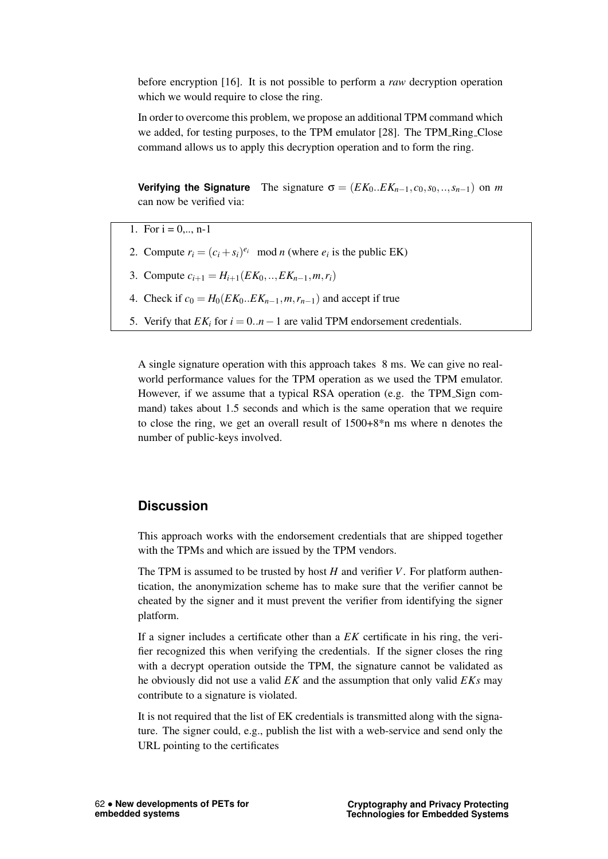before encryption [16]. It is not possible to perform a *raw* decryption operation which we would require to close the ring.

In order to overcome this problem, we propose an additional TPM command which we added, for testing purposes, to the TPM emulator [28]. The TPM Ring Close command allows us to apply this decryption operation and to form the ring.

**Verifying the Signature** The signature  $\sigma = (EK_0..EK_{n-1}, c_0, s_0, ..., s_{n-1})$  on *m* can now be verified via:

- 1. For  $i = 0,..., n-1$
- 2. Compute  $r_i = (c_i + s_i)^{e_i} \mod n$  (where  $e_i$  is the public EK)
- 3. Compute  $c_{i+1} = H_{i+1}(EK_0, \ldots, EK_{n-1}, m, r_i)$
- 4. Check if  $c_0 = H_0(EK_0..EK_{n-1},m,r_{n-1})$  and accept if true
- 5. Verify that  $EK_i$  for  $i = 0..n 1$  are valid TPM endorsement credentials.

A single signature operation with this approach takes 8 ms. We can give no realworld performance values for the TPM operation as we used the TPM emulator. However, if we assume that a typical RSA operation (e.g. the TPM Sign command) takes about 1.5 seconds and which is the same operation that we require to close the ring, we get an overall result of 1500+8\*n ms where n denotes the number of public-keys involved.

#### **Discussion**

This approach works with the endorsement credentials that are shipped together with the TPMs and which are issued by the TPM vendors.

The TPM is assumed to be trusted by host *H* and verifier *V*. For platform authentication, the anonymization scheme has to make sure that the verifier cannot be cheated by the signer and it must prevent the verifier from identifying the signer platform.

If a signer includes a certificate other than a *EK* certificate in his ring, the verifier recognized this when verifying the credentials. If the signer closes the ring with a decrypt operation outside the TPM, the signature cannot be validated as he obviously did not use a valid *EK* and the assumption that only valid *EKs* may contribute to a signature is violated.

It is not required that the list of EK credentials is transmitted along with the signature. The signer could, e.g., publish the list with a web-service and send only the URL pointing to the certificates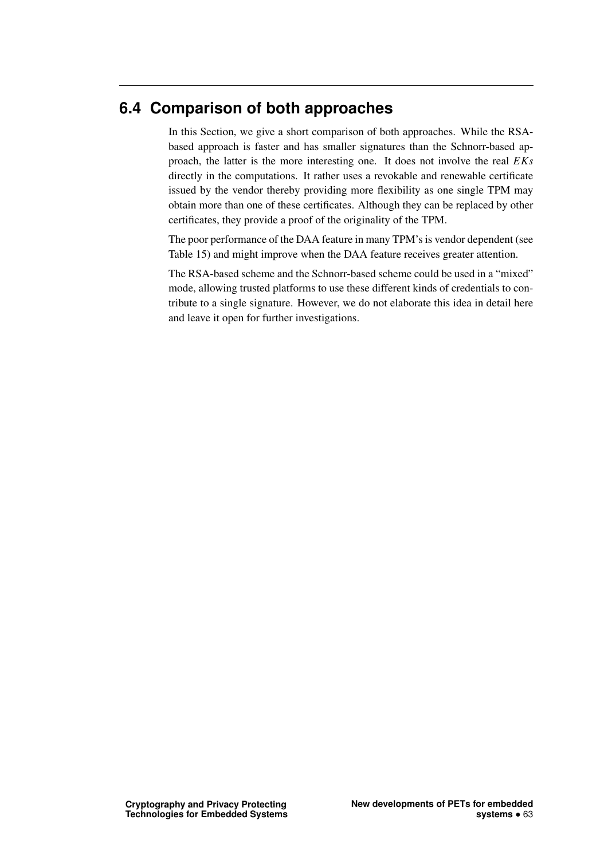# **6.4 Comparison of both approaches**

In this Section, we give a short comparison of both approaches. While the RSAbased approach is faster and has smaller signatures than the Schnorr-based approach, the latter is the more interesting one. It does not involve the real *EKs* directly in the computations. It rather uses a revokable and renewable certificate issued by the vendor thereby providing more flexibility as one single TPM may obtain more than one of these certificates. Although they can be replaced by other certificates, they provide a proof of the originality of the TPM.

The poor performance of the DAA feature in many TPM's is vendor dependent (see Table 15) and might improve when the DAA feature receives greater attention.

The RSA-based scheme and the Schnorr-based scheme could be used in a "mixed" mode, allowing trusted platforms to use these different kinds of credentials to contribute to a single signature. However, we do not elaborate this idea in detail here and leave it open for further investigations.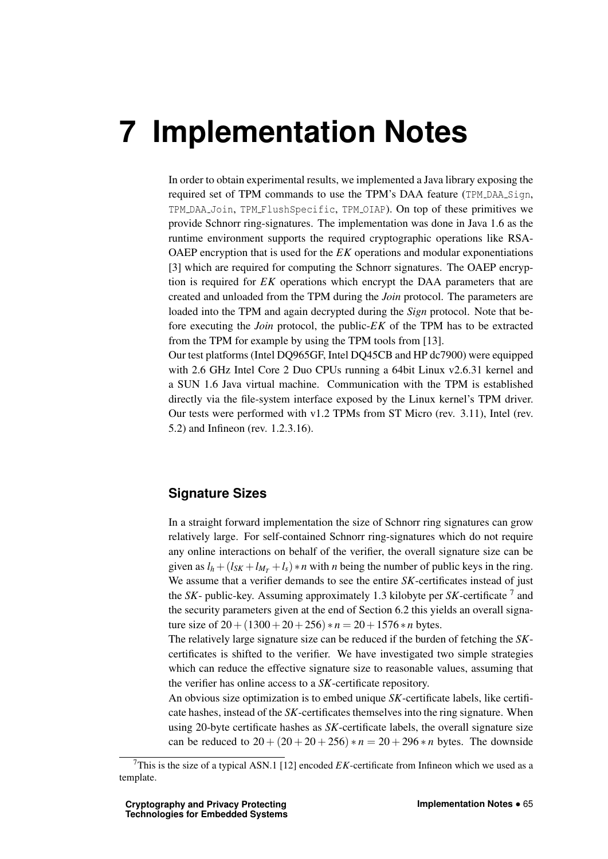## **7 Implementation Notes**

In order to obtain experimental results, we implemented a Java library exposing the required set of TPM commands to use the TPM's DAA feature (TPM\_DAA\_Sign, TPM DAA Join, TPM FlushSpecific, TPM OIAP). On top of these primitives we provide Schnorr ring-signatures. The implementation was done in Java 1.6 as the runtime environment supports the required cryptographic operations like RSA-OAEP encryption that is used for the *EK* operations and modular exponentiations [3] which are required for computing the Schnorr signatures. The OAEP encryption is required for *EK* operations which encrypt the DAA parameters that are created and unloaded from the TPM during the *Join* protocol. The parameters are loaded into the TPM and again decrypted during the *Sign* protocol. Note that before executing the *Join* protocol, the public-*EK* of the TPM has to be extracted from the TPM for example by using the TPM tools from [13].

Our test platforms (Intel DQ965GF, Intel DQ45CB and HP dc7900) were equipped with 2.6 GHz Intel Core 2 Duo CPUs running a 64bit Linux v2.6.31 kernel and a SUN 1.6 Java virtual machine. Communication with the TPM is established directly via the file-system interface exposed by the Linux kernel's TPM driver. Our tests were performed with v1.2 TPMs from ST Micro (rev. 3.11), Intel (rev. 5.2) and Infineon (rev. 1.2.3.16).

## **Signature Sizes**

In a straight forward implementation the size of Schnorr ring signatures can grow relatively large. For self-contained Schnorr ring-signatures which do not require any online interactions on behalf of the verifier, the overall signature size can be given as  $l_h + (l_{SK} + l_{Mr} + l_s) * n$  with *n* being the number of public keys in the ring. We assume that a verifier demands to see the entire *SK*-certificates instead of just the *SK*- public-key. Assuming approximately 1.3 kilobyte per *SK*-certificate <sup>7</sup> and the security parameters given at the end of Section 6.2 this yields an overall signature size of  $20 + (1300 + 20 + 256) * n = 20 + 1576 * n$  bytes.

The relatively large signature size can be reduced if the burden of fetching the *SK*certificates is shifted to the verifier. We have investigated two simple strategies which can reduce the effective signature size to reasonable values, assuming that the verifier has online access to a *SK*-certificate repository.

An obvious size optimization is to embed unique *SK*-certificate labels, like certificate hashes, instead of the *SK*-certificates themselves into the ring signature. When using 20-byte certificate hashes as *SK*-certificate labels, the overall signature size can be reduced to  $20 + (20 + 20 + 256) * n = 20 + 296 * n$  bytes. The downside

<sup>&</sup>lt;sup>7</sup>This is the size of a typical ASN.1 [12] encoded *EK*-certificate from Infineon which we used as a template.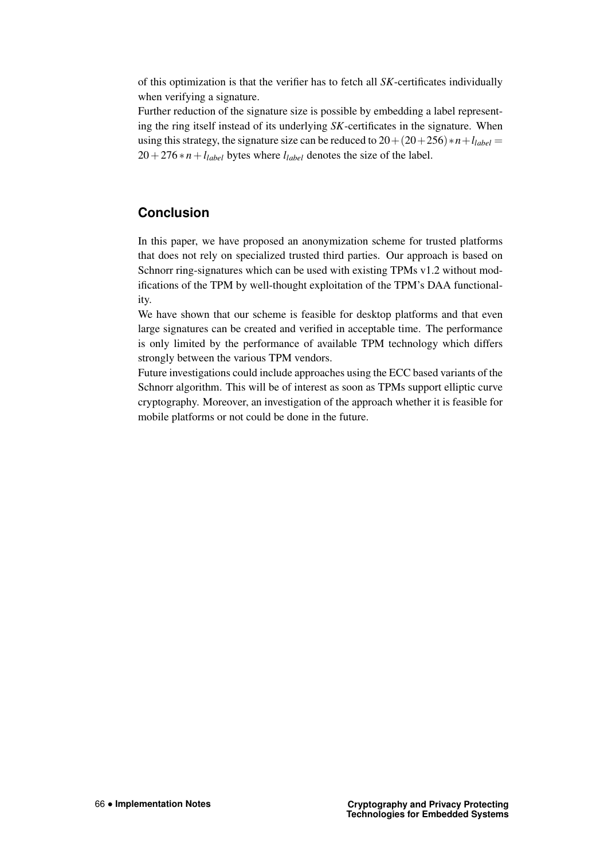of this optimization is that the verifier has to fetch all *SK*-certificates individually when verifying a signature.

Further reduction of the signature size is possible by embedding a label representing the ring itself instead of its underlying *SK*-certificates in the signature. When using this strategy, the signature size can be reduced to  $20+(20+256)*n+l_{label}$  $20+276*n+l_{label}$  bytes where  $l_{label}$  denotes the size of the label.

## **Conclusion**

In this paper, we have proposed an anonymization scheme for trusted platforms that does not rely on specialized trusted third parties. Our approach is based on Schnorr ring-signatures which can be used with existing TPMs v1.2 without modifications of the TPM by well-thought exploitation of the TPM's DAA functionality.

We have shown that our scheme is feasible for desktop platforms and that even large signatures can be created and verified in acceptable time. The performance is only limited by the performance of available TPM technology which differs strongly between the various TPM vendors.

Future investigations could include approaches using the ECC based variants of the Schnorr algorithm. This will be of interest as soon as TPMs support elliptic curve cryptography. Moreover, an investigation of the approach whether it is feasible for mobile platforms or not could be done in the future.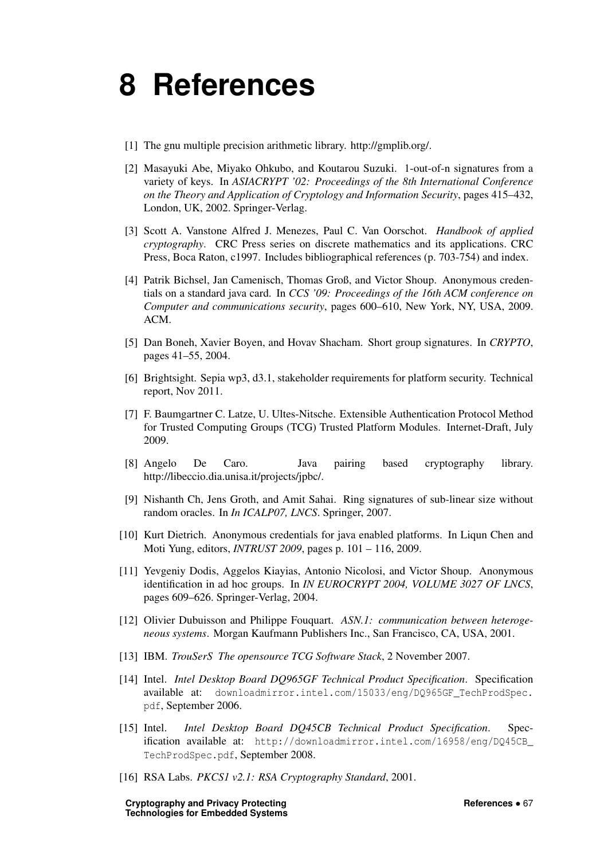## **8 References**

- [1] The gnu multiple precision arithmetic library. http://gmplib.org/.
- [2] Masayuki Abe, Miyako Ohkubo, and Koutarou Suzuki. 1-out-of-n signatures from a variety of keys. In *ASIACRYPT '02: Proceedings of the 8th International Conference on the Theory and Application of Cryptology and Information Security*, pages 415–432, London, UK, 2002. Springer-Verlag.
- [3] Scott A. Vanstone Alfred J. Menezes, Paul C. Van Oorschot. *Handbook of applied cryptography*. CRC Press series on discrete mathematics and its applications. CRC Press, Boca Raton, c1997. Includes bibliographical references (p. 703-754) and index.
- [4] Patrik Bichsel, Jan Camenisch, Thomas Groß, and Victor Shoup. Anonymous credentials on a standard java card. In *CCS '09: Proceedings of the 16th ACM conference on Computer and communications security*, pages 600–610, New York, NY, USA, 2009. ACM.
- [5] Dan Boneh, Xavier Boyen, and Hovav Shacham. Short group signatures. In *CRYPTO*, pages 41–55, 2004.
- [6] Brightsight. Sepia wp3, d3.1, stakeholder requirements for platform security. Technical report, Nov 2011.
- [7] F. Baumgartner C. Latze, U. Ultes-Nitsche. Extensible Authentication Protocol Method for Trusted Computing Groups (TCG) Trusted Platform Modules. Internet-Draft, July 2009.
- [8] Angelo De Caro. Java pairing based cryptography library. http://libeccio.dia.unisa.it/projects/jpbc/.
- [9] Nishanth Ch, Jens Groth, and Amit Sahai. Ring signatures of sub-linear size without random oracles. In *In ICALP07, LNCS*. Springer, 2007.
- [10] Kurt Dietrich. Anonymous credentials for java enabled platforms. In Liqun Chen and Moti Yung, editors, *INTRUST 2009*, pages p. 101 – 116, 2009.
- [11] Yevgeniy Dodis, Aggelos Kiayias, Antonio Nicolosi, and Victor Shoup. Anonymous identification in ad hoc groups. In *IN EUROCRYPT 2004, VOLUME 3027 OF LNCS*, pages 609–626. Springer-Verlag, 2004.
- [12] Olivier Dubuisson and Philippe Fouquart. *ASN.1: communication between heterogeneous systems*. Morgan Kaufmann Publishers Inc., San Francisco, CA, USA, 2001.
- [13] IBM. *TrouSerS The opensource TCG Software Stack*, 2 November 2007.
- [14] Intel. *Intel Desktop Board DQ965GF Technical Product Specification*. Specification available at: downloadmirror.intel.com/15033/eng/DQ965GF\_TechProdSpec. pdf, September 2006.
- [15] Intel. *Intel Desktop Board DQ45CB Technical Product Specification*. Specification available at: http://downloadmirror.intel.com/16958/eng/DQ45CB\_ TechProdSpec.pdf, September 2008.
- [16] RSA Labs. *PKCS1 v2.1: RSA Cryptography Standard*, 2001.

**Cryptography and Privacy Protecting Technologies for Embedded Systems**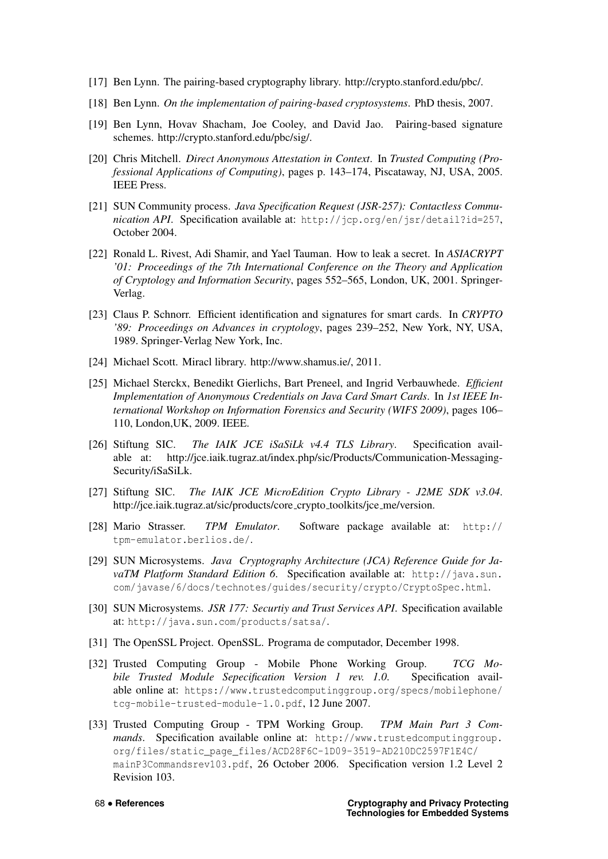- [17] Ben Lynn. The pairing-based cryptography library. http://crypto.stanford.edu/pbc/.
- [18] Ben Lynn. *On the implementation of pairing-based cryptosystems*. PhD thesis, 2007.
- [19] Ben Lynn, Hovav Shacham, Joe Cooley, and David Jao. Pairing-based signature schemes. http://crypto.stanford.edu/pbc/sig/.
- [20] Chris Mitchell. *Direct Anonymous Attestation in Context*. In *Trusted Computing (Professional Applications of Computing)*, pages p. 143–174, Piscataway, NJ, USA, 2005. IEEE Press.
- [21] SUN Community process. *Java Specification Request (JSR-257): Contactless Communication API*. Specification available at: http://jcp.org/en/jsr/detail?id=257, October 2004.
- [22] Ronald L. Rivest, Adi Shamir, and Yael Tauman. How to leak a secret. In *ASIACRYPT '01: Proceedings of the 7th International Conference on the Theory and Application of Cryptology and Information Security*, pages 552–565, London, UK, 2001. Springer-Verlag.
- [23] Claus P. Schnorr. Efficient identification and signatures for smart cards. In *CRYPTO '89: Proceedings on Advances in cryptology*, pages 239–252, New York, NY, USA, 1989. Springer-Verlag New York, Inc.
- [24] Michael Scott. Miracl library. http://www.shamus.ie/, 2011.
- [25] Michael Sterckx, Benedikt Gierlichs, Bart Preneel, and Ingrid Verbauwhede. *Efficient Implementation of Anonymous Credentials on Java Card Smart Cards*. In *1st IEEE International Workshop on Information Forensics and Security (WIFS 2009)*, pages 106– 110, London,UK, 2009. IEEE.
- [26] Stiftung SIC. *The IAIK JCE iSaSiLk v4.4 TLS Library*. Specification available at: http://jce.iaik.tugraz.at/index.php/sic/Products/Communication-Messaging-Security/iSaSiLk.
- [27] Stiftung SIC. *The IAIK JCE MicroEdition Crypto Library J2ME SDK v3.04*. http://jce.iaik.tugraz.at/sic/products/core crypto toolkits/jce me/version.
- [28] Mario Strasser. *TPM Emulator*. Software package available at: http:// tpm-emulator.berlios.de/.
- [29] SUN Microsystems. *Java Cryptography Architecture (JCA) Reference Guide for JavaTM Platform Standard Edition 6*. Specification available at: http://java.sun. com/javase/6/docs/technotes/guides/security/crypto/CryptoSpec.html.
- [30] SUN Microsystems. *JSR 177: Securtiy and Trust Services API*. Specification available at: http://java.sun.com/products/satsa/.
- [31] The OpenSSL Project. OpenSSL. Programa de computador, December 1998.
- [32] Trusted Computing Group Mobile Phone Working Group. *TCG Mobile Trusted Module Sepecification Version 1 rev. 1.0*. Specification available online at: https://www.trustedcomputinggroup.org/specs/mobilephone/ tcg-mobile-trusted-module-1.0.pdf, 12 June 2007.
- [33] Trusted Computing Group TPM Working Group. *TPM Main Part 3 Commands*. Specification available online at: http://www.trustedcomputinggroup. org/files/static\_page\_files/ACD28F6C-1D09-3519-AD210DC2597F1E4C/ mainP3Commandsrev103.pdf, 26 October 2006. Specification version 1.2 Level 2 Revision 103.